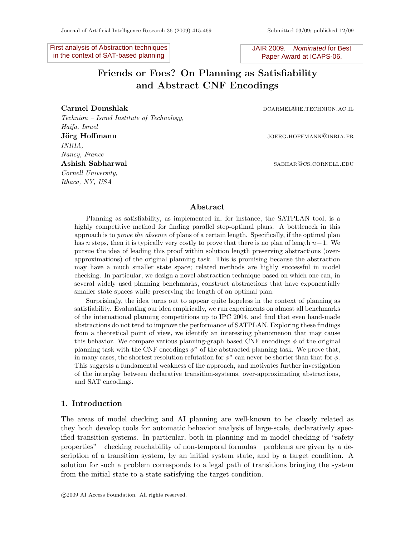First analysis of Abstraction techniques in the context of SAT-based planning

JAIR 2009. Nominated for Best Paper Award at ICAPS-06.

# Friends or Foes? On Planning as Satisfiability and Abstract CNF Encodings

Technion – Israel Institute of Technology, Haifa, Israel **Jörg Hoffmann** joerg.hoffmann joerg.hoffmann joerg.hoffmann joerg.hoffmann joerg.hoffmann joerg.hoffmann joerg.h INRIA, Nancy, France Ashish Sabharwal sabharwal sabharwal sabharwal sabharwal sabhara sabhara sabhara sabhara sabhara sabhara sabhara sabhara sabhara sabhara sabhara sabhara sabhara sabhara sabhara sabhara sabhara sabhara sabhara sabhara sabha Cornell University, Ithaca, NY, USA

Carmel Domshlak dealers and the control of the control of the control of the control of the control of the control of the control of the control of the control of the control of the control of the control of the control of

# Abstract

Planning as satisfiability, as implemented in, for instance, the SATPLAN tool, is a highly competitive method for finding parallel step-optimal plans. A bottleneck in this approach is to *prove the absence* of plans of a certain length. Specifically, if the optimal plan has n steps, then it is typically very costly to prove that there is no plan of length  $n-1$ . We pursue the idea of leading this proof within solution length preserving abstractions (overapproximations) of the original planning task. This is promising because the abstraction may have a much smaller state space; related methods are highly successful in model checking. In particular, we design a novel abstraction technique based on which one can, in several widely used planning benchmarks, construct abstractions that have exponentially smaller state spaces while preserving the length of an optimal plan.

Surprisingly, the idea turns out to appear quite hopeless in the context of planning as satisfiability. Evaluating our idea empirically, we run experiments on almost all benchmarks of the international planning competitions up to IPC 2004, and find that even hand-made abstractions do not tend to improve the performance of SATPLAN. Exploring these findings from a theoretical point of view, we identify an interesting phenomenon that may cause this behavior. We compare various planning-graph based CNF encodings  $\phi$  of the original planning task with the CNF encodings  $\phi^{\sigma}$  of the abstracted planning task. We prove that, in many cases, the shortest resolution refutation for  $\phi^{\sigma}$  can never be shorter than that for  $\phi$ . This suggests a fundamental weakness of the approach, and motivates further investigation of the interplay between declarative transition-systems, over-approximating abstractions, and SAT encodings.

## 1. Introduction

The areas of model checking and AI planning are well-known to be closely related as they both develop tools for automatic behavior analysis of large-scale, declaratively specified transition systems. In particular, both in planning and in model checking of "safety properties"—checking reachability of non-temporal formulas—problems are given by a description of a transition system, by an initial system state, and by a target condition. A solution for such a problem corresponds to a legal path of transitions bringing the system from the initial state to a state satisfying the target condition.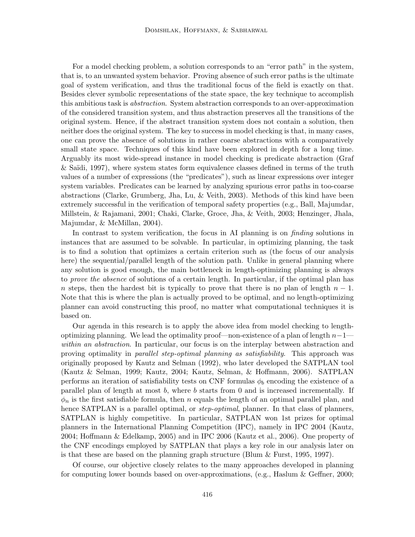For a model checking problem, a solution corresponds to an "error path" in the system, that is, to an unwanted system behavior. Proving absence of such error paths is the ultimate goal of system verification, and thus the traditional focus of the field is exactly on that. Besides clever symbolic representations of the state space, the key technique to accomplish this ambitious task is abstraction. System abstraction corresponds to an over-approximation of the considered transition system, and thus abstraction preserves all the transitions of the original system. Hence, if the abstract transition system does not contain a solution, then neither does the original system. The key to success in model checking is that, in many cases, one can prove the absence of solutions in rather coarse abstractions with a comparatively small state space. Techniques of this kind have been explored in depth for a long time. Arguably its most wide-spread instance in model checking is predicate abstraction (Graf  $&$  Saïdi, 1997), where system states form equivalence classes defined in terms of the truth values of a number of expressions (the "predicates"), such as linear expressions over integer system variables. Predicates can be learned by analyzing spurious error paths in too-coarse abstractions (Clarke, Grumberg, Jha, Lu, & Veith, 2003). Methods of this kind have been extremely successful in the verification of temporal safety properties (e.g., Ball, Majumdar, Millstein, & Rajamani, 2001; Chaki, Clarke, Groce, Jha, & Veith, 2003; Henzinger, Jhala, Majumdar, & McMillan, 2004).

In contrast to system verification, the focus in AI planning is on *finding* solutions in instances that are assumed to be solvable. In particular, in optimizing planning, the task is to find a solution that optimizes a certain criterion such as (the focus of our analysis here) the sequential/parallel length of the solution path. Unlike in general planning where any solution is good enough, the main bottleneck in length-optimizing planning is always to prove the absence of solutions of a certain length. In particular, if the optimal plan has n steps, then the hardest bit is typically to prove that there is no plan of length  $n-1$ . Note that this is where the plan is actually proved to be optimal, and no length-optimizing planner can avoid constructing this proof, no matter what computational techniques it is based on.

Our agenda in this research is to apply the above idea from model checking to lengthoptimizing planning. We lead the optimality proof—non-existence of a plan of length  $n-1$ – within an abstraction. In particular, our focus is on the interplay between abstraction and proving optimality in parallel step-optimal planning as satisfiability. This approach was originally proposed by Kautz and Selman (1992), who later developed the SATPLAN tool (Kautz & Selman, 1999; Kautz, 2004; Kautz, Selman, & Hoffmann, 2006). SATPLAN performs an iteration of satisfiability tests on CNF formulas  $\phi_b$  encoding the existence of a parallel plan of length at most b, where b starts from 0 and is increased incrementally. If  $\phi_n$  is the first satisfiable formula, then n equals the length of an optimal parallel plan, and hence SATPLAN is a parallel optimal, or *step-optimal*, planner. In that class of planners, SATPLAN is highly competitive. In particular, SATPLAN won 1st prizes for optimal planners in the International Planning Competition (IPC), namely in IPC 2004 (Kautz, 2004; Hoffmann & Edelkamp, 2005) and in IPC 2006 (Kautz et al., 2006). One property of the CNF encodings employed by SATPLAN that plays a key role in our analysis later on is that these are based on the planning graph structure (Blum & Furst, 1995, 1997).

Of course, our objective closely relates to the many approaches developed in planning for computing lower bounds based on over-approximations, (e.g., Haslum & Geffner, 2000;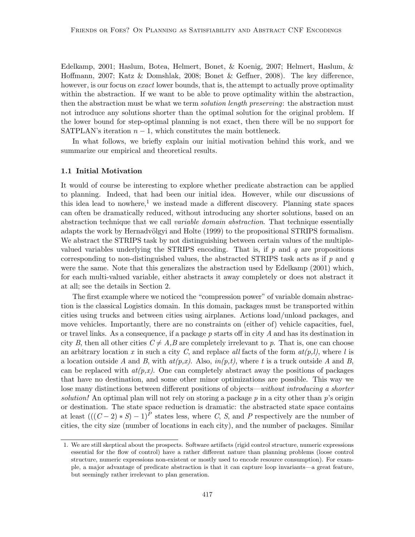Edelkamp, 2001; Haslum, Botea, Helmert, Bonet, & Koenig, 2007; Helmert, Haslum, & Hoffmann, 2007; Katz & Domshlak, 2008; Bonet & Geffner, 2008). The key difference, however, is our focus on *exact* lower bounds, that is, the attempt to actually prove optimality within the abstraction. If we want to be able to prove optimality within the abstraction, then the abstraction must be what we term *solution length preserving*: the abstraction must not introduce any solutions shorter than the optimal solution for the original problem. If the lower bound for step-optimal planning is not exact, then there will be no support for SATPLAN's iteration  $n-1$ , which constitutes the main bottleneck.

In what follows, we briefly explain our initial motivation behind this work, and we summarize our empirical and theoretical results.

#### 1.1 Initial Motivation

It would of course be interesting to explore whether predicate abstraction can be applied to planning. Indeed, that had been our initial idea. However, while our discussions of this idea lead to nowhere,<sup>1</sup> we instead made a different discovery. Planning state spaces can often be dramatically reduced, without introducing any shorter solutions, based on an abstraction technique that we call variable domain abstraction. That technique essentially adapts the work by Hernadvölgyi and Holte (1999) to the propositional STRIPS formalism. We abstract the STRIPS task by not distinguishing between certain values of the multiplevalued variables underlying the STRIPS encoding. That is, if  $p$  and  $q$  are propositions corresponding to non-distinguished values, the abstracted STRIPS task acts as if  $p$  and  $q$ were the same. Note that this generalizes the abstraction used by Edelkamp (2001) which, for each multi-valued variable, either abstracts it away completely or does not abstract it at all; see the details in Section 2.

The first example where we noticed the "compression power" of variable domain abstraction is the classical Logistics domain. In this domain, packages must be transported within cities using trucks and between cities using airplanes. Actions load/unload packages, and move vehicles. Importantly, there are no constraints on (either of) vehicle capacities, fuel, or travel links. As a consequence, if a package  $p$  starts off in city  $A$  and has its destination in city B, then all other cities  $C \neq A, B$  are completely irrelevant to p. That is, one can choose an arbitrary location x in such a city C, and replace all facts of the form  $at(p, l)$ , where l is a location outside A and B, with  $at(p,x)$ . Also,  $in(p,t)$ , where t is a truck outside A and B, can be replaced with  $at(p,x)$ . One can completely abstract away the positions of packages that have no destination, and some other minor optimizations are possible. This way we lose many distinctions between different positions of objects—without introducing a shorter solution! An optimal plan will not rely on storing a package  $p$  in a city other than  $p$ 's origin or destination. The state space reduction is dramatic: the abstracted state space contains at least  $(((C-2)*S)-1)^P$  states less, where C, S, and P respectively are the number of cities, the city size (number of locations in each city), and the number of packages. Similar

<sup>1.</sup> We are still skeptical about the prospects. Software artifacts (rigid control structure, numeric expressions essential for the flow of control) have a rather different nature than planning problems (loose control structure, numeric expressions non-existent or mostly used to encode resource consumption). For example, a major advantage of predicate abstraction is that it can capture loop invariants—a great feature, but seemingly rather irrelevant to plan generation.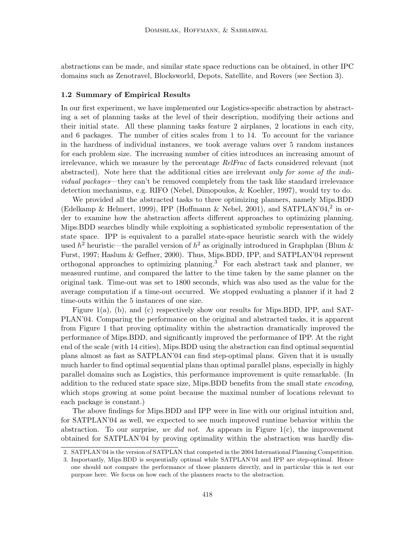abstractions can be made, and similar state space reductions can be obtained, in other IPC domains such as Zenotravel, Blocksworld, Depots, Satellite, and Rovers (see Section 3).

#### 1.2 Summary of Empirical Results

In our first experiment, we have implemented our Logistics-specific abstraction by abstracting a set of planning tasks at the level of their description, modifying their actions and their initial state. All these planning tasks feature 2 airplanes, 2 locations in each city, and 6 packages. The number of cities scales from 1 to 14. To account for the variance in the hardness of individual instances, we took average values over 5 random instances for each problem size. The increasing number of cities introduces an increasing amount of irrelevance, which we measure by the percentage RelFrac of facts considered relevant (not abstracted). Note here that the additional cities are irrelevant only for some of the individual packages—they can't be removed completely from the task like standard irrelevance detection mechanisms, e.g. RIFO (Nebel, Dimopoulos, & Koehler, 1997), would try to do.

We provided all the abstracted tasks to three optimizing planners, namely Mips.BDD (Edelkamp & Helmert, 1999), IPP (Hoffmann & Nebel, 2001), and SATPLAN'04,<sup>2</sup> in order to examine how the abstraction affects different approaches to optimizing planning. Mips.BDD searches blindly while exploiting a sophisticated symbolic representation of the state space. IPP is equivalent to a parallel state-space heuristic search with the widely used  $h^2$  heuristic—the parallel version of  $h^2$  as originally introduced in Graphplan (Blum & Furst, 1997; Haslum & Geffner, 2000). Thus, Mips.BDD, IPP, and SATPLAN'04 represent orthogonal approaches to optimizing planning.<sup>3</sup> For each abstract task and planner, we measured runtime, and compared the latter to the time taken by the same planner on the original task. Time-out was set to 1800 seconds, which was also used as the value for the average computation if a time-out occurred. We stopped evaluating a planner if it had 2 time-outs within the 5 instances of one size.

Figure 1(a), (b), and (c) respectively show our results for Mips.BDD, IPP, and SAT-PLAN'04. Comparing the performance on the original and abstracted tasks, it is apparent from Figure 1 that proving optimality within the abstraction dramatically improved the performance of Mips.BDD, and significantly improved the performance of IPP. At the right end of the scale (with 14 cities), Mips.BDD using the abstraction can find optimal sequential plans almost as fast as SATPLAN'04 can find step-optimal plans. Given that it is usually much harder to find optimal sequential plans than optimal parallel plans, especially in highly parallel domains such as Logistics, this performance improvement is quite remarkable. (In addition to the reduced state space size, Mips.BDD benefits from the small state *encoding*, which stops growing at some point because the maximal number of locations relevant to each package is constant.)

The above findings for Mips.BDD and IPP were in line with our original intuition and, for SATPLAN'04 as well, we expected to see much improved runtime behavior within the abstraction. To our surprise, we did not. As appears in Figure  $1(c)$ , the improvement obtained for SATPLAN'04 by proving optimality within the abstraction was hardly dis-

<sup>2.</sup> SATPLAN'04 is the version of SATPLAN that competed in the 2004 International Planning Competition.

<sup>3.</sup> Importantly, Mips.BDD is sequentially optimal while SATPLAN'04 and IPP are step-optimal. Hence one should not compare the performance of those planners directly, and in particular this is not our purpose here. We focus on how each of the planners reacts to the abstraction.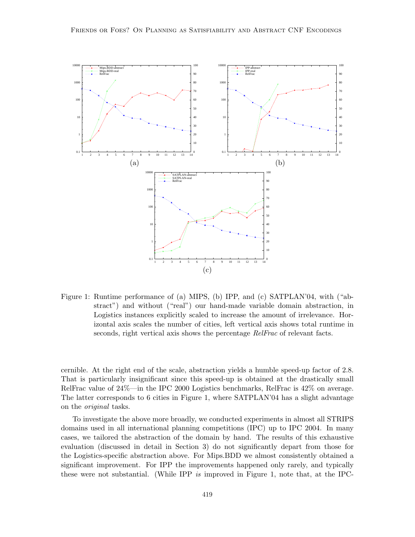

Figure 1: Runtime performance of (a) MIPS, (b) IPP, and (c) SATPLAN'04, with ("abstract") and without ("real") our hand-made variable domain abstraction, in Logistics instances explicitly scaled to increase the amount of irrelevance. Horizontal axis scales the number of cities, left vertical axis shows total runtime in seconds, right vertical axis shows the percentage *RelFrac* of relevant facts.

cernible. At the right end of the scale, abstraction yields a humble speed-up factor of 2.8. That is particularly insignificant since this speed-up is obtained at the drastically small RelFrac value of 24%—in the IPC 2000 Logistics benchmarks, RelFrac is 42% on average. The latter corresponds to 6 cities in Figure 1, where SATPLAN'04 has a slight advantage on the original tasks.

To investigate the above more broadly, we conducted experiments in almost all STRIPS domains used in all international planning competitions (IPC) up to IPC 2004. In many cases, we tailored the abstraction of the domain by hand. The results of this exhaustive evaluation (discussed in detail in Section 3) do not significantly depart from those for the Logistics-specific abstraction above. For Mips.BDD we almost consistently obtained a significant improvement. For IPP the improvements happened only rarely, and typically these were not substantial. (While IPP is improved in Figure 1, note that, at the IPC-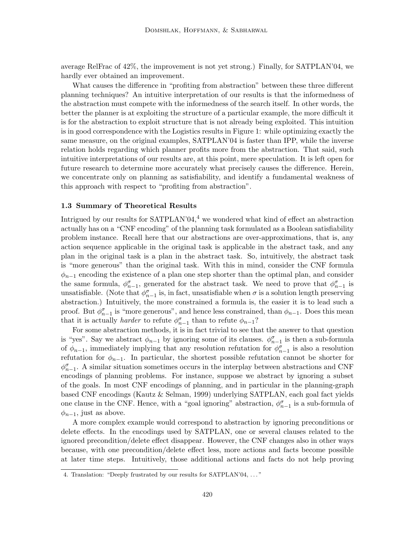average RelFrac of 42%, the improvement is not yet strong.) Finally, for SATPLAN'04, we hardly ever obtained an improvement.

What causes the difference in "profiting from abstraction" between these three different planning techniques? An intuitive interpretation of our results is that the informedness of the abstraction must compete with the informedness of the search itself. In other words, the better the planner is at exploiting the structure of a particular example, the more difficult it is for the abstraction to exploit structure that is not already being exploited. This intuition is in good correspondence with the Logistics results in Figure 1: while optimizing exactly the same measure, on the original examples, SATPLAN'04 is faster than IPP, while the inverse relation holds regarding which planner profits more from the abstraction. That said, such intuitive interpretations of our results are, at this point, mere speculation. It is left open for future research to determine more accurately what precisely causes the difference. Herein, we concentrate only on planning as satisfiability, and identify a fundamental weakness of this approach with respect to "profiting from abstraction".

# 1.3 Summary of Theoretical Results

Intrigued by our results for  $SATPLAN'04<sup>4</sup>$  we wondered what kind of effect an abstraction actually has on a "CNF encoding" of the planning task formulated as a Boolean satisfiability problem instance. Recall here that our abstractions are over-approximations, that is, any action sequence applicable in the original task is applicable in the abstract task, and any plan in the original task is a plan in the abstract task. So, intuitively, the abstract task is "more generous" than the original task. With this in mind, consider the CNF formula  $\phi_{n-1}$  encoding the existence of a plan one step shorter than the optimal plan, and consider the same formula,  $\phi_{n-1}^{\sigma}$ , generated for the abstract task. We need to prove that  $\phi_{n-1}^{\sigma}$  is unsatisfiable. (Note that  $\phi_{n-1}^{\sigma}$  is, in fact, unsatisfiable when  $\sigma$  is a solution length preserving abstraction.) Intuitively, the more constrained a formula is, the easier it is to lead such a proof. But  $\phi_{n-1}^{\sigma}$  is "more generous", and hence less constrained, than  $\phi_{n-1}$ . Does this mean that it is actually *harder* to refute  $\phi_{n-1}^{\sigma}$  than to refute  $\phi_{n-1}$ ?

For some abstraction methods, it is in fact trivial to see that the answer to that question is "yes". Say we abstract  $\phi_{n-1}$  by ignoring some of its clauses.  $\phi_{n-1}^{\sigma}$  is then a sub-formula of  $\phi_{n-1}$ , immediately implying that any resolution refutation for  $\phi_{n-1}^{\sigma}$  is also a resolution refutation for  $\phi_{n-1}$ . In particular, the shortest possible refutation cannot be shorter for  $\phi_{n-1}^{\sigma}$ . A similar situation sometimes occurs in the interplay between abstractions and CNF encodings of planning problems. For instance, suppose we abstract by ignoring a subset of the goals. In most CNF encodings of planning, and in particular in the planning-graph based CNF encodings (Kautz & Selman, 1999) underlying SATPLAN, each goal fact yields one clause in the CNF. Hence, with a "goal ignoring" abstraction,  $\phi_{n-1}^{\sigma}$  is a sub-formula of  $\phi_{n-1}$ , just as above.

A more complex example would correspond to abstraction by ignoring preconditions or delete effects. In the encodings used by SATPLAN, one or several clauses related to the ignored precondition/delete effect disappear. However, the CNF changes also in other ways because, with one precondition/delete effect less, more actions and facts become possible at later time steps. Intuitively, those additional actions and facts do not help proving

<sup>4.</sup> Translation: "Deeply frustrated by our results for SATPLAN'04, . . . "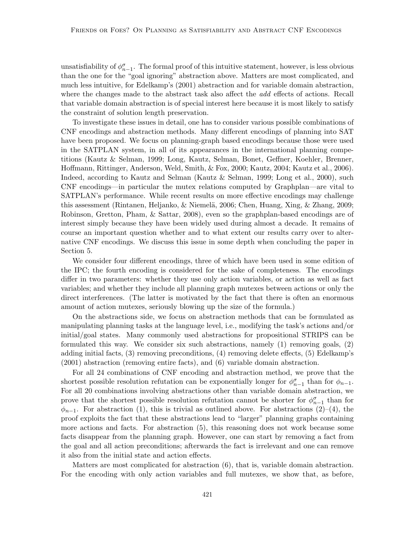unsatisfiability of  $\phi_{n-1}^{\sigma}$ . The formal proof of this intuitive statement, however, is less obvious than the one for the "goal ignoring" abstraction above. Matters are most complicated, and much less intuitive, for Edelkamp's (2001) abstraction and for variable domain abstraction, where the changes made to the abstract task also affect the *add* effects of actions. Recall that variable domain abstraction is of special interest here because it is most likely to satisfy the constraint of solution length preservation.

To investigate these issues in detail, one has to consider various possible combinations of CNF encodings and abstraction methods. Many different encodings of planning into SAT have been proposed. We focus on planning-graph based encodings because those were used in the SATPLAN system, in all of its appearances in the international planning competitions (Kautz & Selman, 1999; Long, Kautz, Selman, Bonet, Geffner, Koehler, Brenner, Hoffmann, Rittinger, Anderson, Weld, Smith, & Fox, 2000; Kautz, 2004; Kautz et al., 2006). Indeed, according to Kautz and Selman (Kautz & Selman, 1999; Long et al., 2000), such CNF encodings—in particular the mutex relations computed by Graphplan—are vital to SATPLAN's performance. While recent results on more effective encodings may challenge this assessment (Rintanen, Heljanko, & Niemelä, 2006; Chen, Huang, Xing, & Zhang, 2009; Robinson, Gretton, Pham, & Sattar, 2008), even so the graphplan-based encodings are of interest simply because they have been widely used during almost a decade. It remains of course an important question whether and to what extent our results carry over to alternative CNF encodings. We discuss this issue in some depth when concluding the paper in Section 5.

We consider four different encodings, three of which have been used in some edition of the IPC; the fourth encoding is considered for the sake of completeness. The encodings differ in two parameters: whether they use only action variables, or action as well as fact variables; and whether they include all planning graph mutexes between actions or only the direct interferences. (The latter is motivated by the fact that there is often an enormous amount of action mutexes, seriously blowing up the size of the formula.)

On the abstractions side, we focus on abstraction methods that can be formulated as manipulating planning tasks at the language level, i.e., modifying the task's actions and/or initial/goal states. Many commonly used abstractions for propositional STRIPS can be formulated this way. We consider six such abstractions, namely (1) removing goals, (2) adding initial facts, (3) removing preconditions, (4) removing delete effects, (5) Edelkamp's (2001) abstraction (removing entire facts), and (6) variable domain abstraction.

For all 24 combinations of CNF encoding and abstraction method, we prove that the shortest possible resolution refutation can be exponentially longer for  $\phi_{n-1}^{\sigma}$  than for  $\phi_{n-1}$ . For all 20 combinations involving abstractions other than variable domain abstraction, we prove that the shortest possible resolution refutation cannot be shorter for  $\phi_{n-1}^{\sigma}$  than for  $\phi_{n-1}$ . For abstraction (1), this is trivial as outlined above. For abstractions (2)–(4), the proof exploits the fact that these abstractions lead to "larger" planning graphs containing more actions and facts. For abstraction (5), this reasoning does not work because some facts disappear from the planning graph. However, one can start by removing a fact from the goal and all action preconditions; afterwards the fact is irrelevant and one can remove it also from the initial state and action effects.

Matters are most complicated for abstraction (6), that is, variable domain abstraction. For the encoding with only action variables and full mutexes, we show that, as before,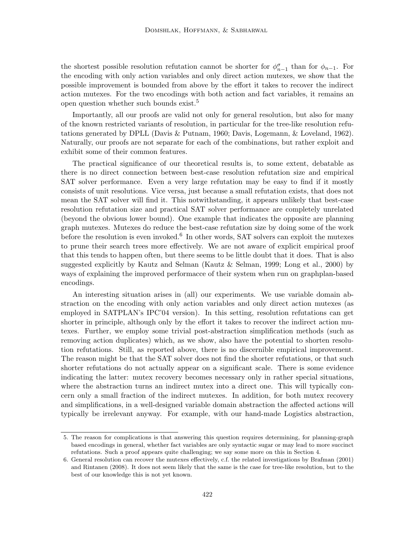the shortest possible resolution refutation cannot be shorter for  $\phi_{n-1}^{\sigma}$  than for  $\phi_{n-1}$ . For the encoding with only action variables and only direct action mutexes, we show that the possible improvement is bounded from above by the effort it takes to recover the indirect action mutexes. For the two encodings with both action and fact variables, it remains an open question whether such bounds exist.<sup>5</sup>

Importantly, all our proofs are valid not only for general resolution, but also for many of the known restricted variants of resolution, in particular for the tree-like resolution refutations generated by DPLL (Davis & Putnam, 1960; Davis, Logemann, & Loveland, 1962). Naturally, our proofs are not separate for each of the combinations, but rather exploit and exhibit some of their common features.

The practical significance of our theoretical results is, to some extent, debatable as there is no direct connection between best-case resolution refutation size and empirical SAT solver performance. Even a very large refutation may be easy to find if it mostly consists of unit resolutions. Vice versa, just because a small refutation exists, that does not mean the SAT solver will find it. This notwithstanding, it appears unlikely that best-case resolution refutation size and practical SAT solver performance are completely unrelated (beyond the obvious lower bound). One example that indicates the opposite are planning graph mutexes. Mutexes do reduce the best-case refutation size by doing some of the work before the resolution is even invoked.<sup>6</sup> In other words, SAT solvers can exploit the mutexes to prune their search trees more effectively. We are not aware of explicit empirical proof that this tends to happen often, but there seems to be little doubt that it does. That is also suggested explicitly by Kautz and Selman (Kautz & Selman, 1999; Long et al., 2000) by ways of explaining the improved performacce of their system when run on graphplan-based encodings.

An interesting situation arises in (all) our experiments. We use variable domain abstraction on the encoding with only action variables and only direct action mutexes (as employed in SATPLAN's IPC'04 version). In this setting, resolution refutations can get shorter in principle, although only by the effort it takes to recover the indirect action mutexes. Further, we employ some trivial post-abstraction simplification methods (such as removing action duplicates) which, as we show, also have the potential to shorten resolution refutations. Still, as reported above, there is no discernible empirical improvement. The reason might be that the SAT solver does not find the shorter refutations, or that such shorter refutations do not actually appear on a significant scale. There is some evidence indicating the latter: mutex recovery becomes necessary only in rather special situations, where the abstraction turns an indirect mutex into a direct one. This will typically concern only a small fraction of the indirect mutexes. In addition, for both mutex recovery and simplifications, in a well-designed variable domain abstraction the affected actions will typically be irrelevant anyway. For example, with our hand-made Logistics abstraction,

<sup>5.</sup> The reason for complications is that answering this question requires determining, for planning-graph based encodings in general, whether fact variables are only syntactic sugar or may lead to more succinct refutations. Such a proof appears quite challenging; we say some more on this in Section 4.

<sup>6.</sup> General resolution can recover the mutexes effectively, c.f. the related investigations by Brafman (2001) and Rintanen (2008). It does not seem likely that the same is the case for tree-like resolution, but to the best of our knowledge this is not yet known.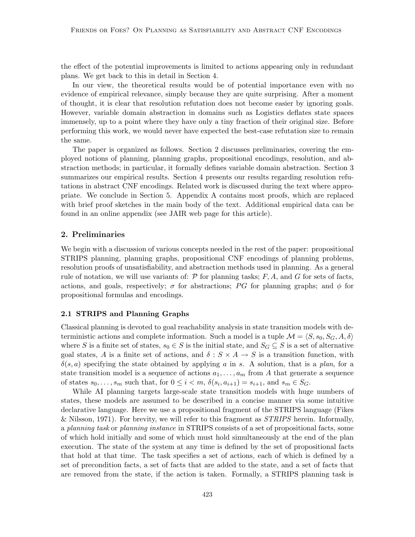the effect of the potential improvements is limited to actions appearing only in redundant plans. We get back to this in detail in Section 4.

In our view, the theoretical results would be of potential importance even with no evidence of empirical relevance, simply because they are quite surprising. After a moment of thought, it is clear that resolution refutation does not become easier by ignoring goals. However, variable domain abstraction in domains such as Logistics deflates state spaces immensely, up to a point where they have only a tiny fraction of their original size. Before performing this work, we would never have expected the best-case refutation size to remain the same.

The paper is organized as follows. Section 2 discusses preliminaries, covering the employed notions of planning, planning graphs, propositional encodings, resolution, and abstraction methods; in particular, it formally defines variable domain abstraction. Section 3 summarizes our empirical results. Section 4 presents our results regarding resolution refutations in abstract CNF encodings. Related work is discussed during the text where appropriate. We conclude in Section 5. Appendix A contains most proofs, which are replaced with brief proof sketches in the main body of the text. Additional empirical data can be found in an online appendix (see JAIR web page for this article).

# 2. Preliminaries

We begin with a discussion of various concepts needed in the rest of the paper: propositional STRIPS planning, planning graphs, propositional CNF encodings of planning problems, resolution proofs of unsatisfiability, and abstraction methods used in planning. As a general rule of notation, we will use variants of:  $P$  for planning tasks;  $F, A$ , and G for sets of facts, actions, and goals, respectively;  $\sigma$  for abstractions; PG for planning graphs; and  $\phi$  for propositional formulas and encodings.

## 2.1 STRIPS and Planning Graphs

Classical planning is devoted to goal reachability analysis in state transition models with deterministic actions and complete information. Such a model is a tuple  $\mathcal{M} = \langle S, s_0, S_G, A, \delta \rangle$ where S is a finite set of states,  $s_0 \in S$  is the initial state, and  $S_G \subseteq S$  is a set of alternative goal states, A is a finite set of actions, and  $\delta: S \times A \rightarrow S$  is a transition function, with  $\delta(s, a)$  specifying the state obtained by applying a in s. A solution, that is a plan, for a state transition model is a sequence of actions  $a_1, \ldots, a_m$  from A that generate a sequence of states  $s_0, \ldots, s_m$  such that, for  $0 \leq i < m$ ,  $\delta(s_i, a_{i+1}) = s_{i+1}$ , and  $s_m \in S_G$ .

While AI planning targets large-scale state transition models with huge numbers of states, these models are assumed to be described in a concise manner via some intuitive declarative language. Here we use a propositional fragment of the STRIPS language (Fikes & Nilsson, 1971). For brevity, we will refer to this fragment as  $STRIPS$  herein. Informally, a planning task or planning instance in STRIPS consists of a set of propositional facts, some of which hold initially and some of which must hold simultaneously at the end of the plan execution. The state of the system at any time is defined by the set of propositional facts that hold at that time. The task specifies a set of actions, each of which is defined by a set of precondition facts, a set of facts that are added to the state, and a set of facts that are removed from the state, if the action is taken. Formally, a STRIPS planning task is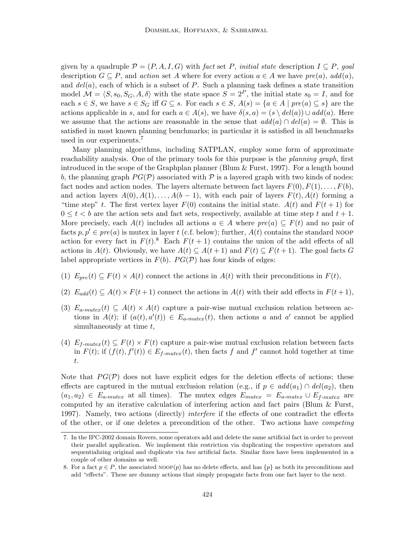given by a quadruple  $\mathcal{P} = (P, A, I, G)$  with fact set P, initial state description  $I \subseteq P$ , goal description  $G \subseteq P$ , and action set A where for every action  $a \in A$  we have  $pre(a)$ ,  $add(a)$ , and  $del(a)$ , each of which is a subset of P. Such a planning task defines a state transition model  $\mathcal{M} = \langle S, s_0, S_G, A, \delta \rangle$  with the state space  $S = 2^P$ , the initial state  $s_0 = I$ , and for each  $s \in S$ , we have  $s \in S_G$  iff  $G \subseteq s$ . For each  $s \in S$ ,  $A(s) = \{a \in A \mid pre(a) \subseteq s\}$  are the actions applicable in s, and for each  $a \in A(s)$ , we have  $\delta(s, a) = (s \setminus \text{del}(a)) \cup \text{add}(a)$ . Here we assume that the actions are reasonable in the sense that  $add(a) \cap del(a) = \emptyset$ . This is satisfied in most known planning benchmarks; in particular it is satisfied in all benchmarks used in our experiments.<sup>7</sup>

Many planning algorithms, including SATPLAN, employ some form of approximate reachability analysis. One of the primary tools for this purpose is the *planning graph*, first introduced in the scope of the Graphplan planner (Blum & Furst, 1997). For a length bound b, the planning graph  $PG(\mathcal{P})$  associated with  $\mathcal P$  is a layered graph with two kinds of nodes: fact nodes and action nodes. The layers alternate between fact layers  $F(0), F(1), \ldots, F(b)$ , and action layers  $A(0), A(1), \ldots, A(b-1)$ , with each pair of layers  $F(t), A(t)$  forming a "time step" t. The first vertex layer  $F(0)$  contains the initial state.  $A(t)$  and  $F(t+1)$  for  $0 \leq t < b$  are the action sets and fact sets, respectively, available at time step t and  $t + 1$ . More precisely, each  $A(t)$  includes all actions  $a \in A$  where  $pre(a) \subseteq F(t)$  and no pair of facts  $p, p' \in pre(a)$  is mutex in layer t (c.f. below); further,  $A(t)$  contains the standard NOOP action for every fact in  $F(t)$ .<sup>8</sup> Each  $F(t + 1)$  contains the union of the add effects of all actions in  $A(t)$ . Obviously, we have  $A(t) \subseteq A(t+1)$  and  $F(t) \subseteq F(t+1)$ . The goal facts G label appropriate vertices in  $F(b)$ .  $PG(\mathcal{P})$  has four kinds of edges:

- (1)  $E_{pre}(t) \subseteq F(t) \times A(t)$  connect the actions in  $A(t)$  with their preconditions in  $F(t)$ ,
- (2)  $E_{add}(t) \subseteq A(t) \times F(t+1)$  connect the actions in  $A(t)$  with their add effects in  $F(t+1)$ ,
- (3)  $E_{a-mutex}(t) \subseteq A(t) \times A(t)$  capture a pair-wise mutual exclusion relation between actions in  $A(t)$ ; if  $(a(t), a'(t)) \in E_{a-mutes}(t)$ , then actions a and a' cannot be applied simultaneously at time  $t$ ,
- (4)  $E_{f-mutex}(t) \subseteq F(t) \times F(t)$  capture a pair-wise mutual exclusion relation between facts in  $F(t)$ ; if  $(f(t), f'(t)) \in E_{f-mutex}(t)$ , then facts f and f' cannot hold together at time t.

Note that  $PG(\mathcal{P})$  does not have explicit edges for the deletion effects of actions; these effects are captured in the mutual exclusion relation (e.g., if  $p \in add(a_1) \cap del(a_2)$ , then  $(a_1, a_2) \in E_{a-mutex}$  at all times). The mutex edges  $E_{mutex} = E_{a-mutex} \cup E_{f-mutex}$  are computed by an iterative calculation of interfering action and fact pairs (Blum & Furst, 1997). Namely, two actions (directly) *interfere* if the effects of one contradict the effects of the other, or if one deletes a precondition of the other. Two actions have competing

<sup>7.</sup> In the IPC-2002 domain Rovers, some operators add and delete the same artificial fact in order to prevent their parallel application. We implement this restriction via duplicating the respective operators and sequentializing original and duplicate via two artificial facts. Similar fixes have been implemented in a couple of other domains as well.

<sup>8.</sup> For a fact  $p \in P$ , the associated NOOP $(p)$  has no delete effects, and has  $\{p\}$  as both its preconditions and add "effects". These are dummy actions that simply propagate facts from one fact layer to the next.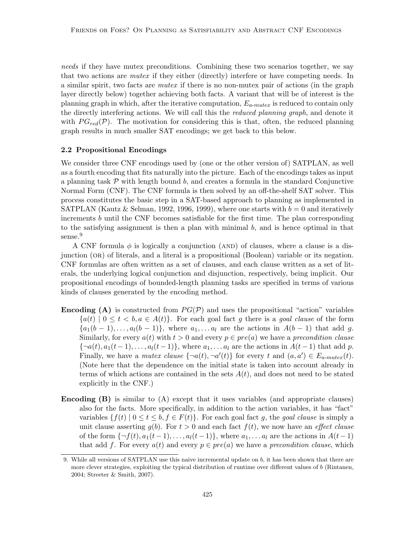needs if they have mutex preconditions. Combining these two scenarios together, we say that two actions are mutex if they either (directly) interfere or have competing needs. In a similar spirit, two facts are mutex if there is no non-mutex pair of actions (in the graph layer directly below) together achieving both facts. A variant that will be of interest is the planning graph in which, after the iterative computation,  $E_{a-mutex}$  is reduced to contain only the directly interfering actions. We will call this the *reduced planning graph*, and denote it with  $PG_{red}(\mathcal{P})$ . The motivation for considering this is that, often, the reduced planning graph results in much smaller SAT encodings; we get back to this below.

#### 2.2 Propositional Encodings

We consider three CNF encodings used by (one or the other version of) SATPLAN, as well as a fourth encoding that fits naturally into the picture. Each of the encodings takes as input a planning task  $\mathcal P$  with length bound b, and creates a formula in the standard Conjunctive Normal Form (CNF). The CNF formula is then solved by an off-the-shelf SAT solver. This process constitutes the basic step in a SAT-based approach to planning as implemented in SATPLAN (Kautz & Selman, 1992, 1996, 1999), where one starts with  $b = 0$  and iteratively increments b until the CNF becomes satisfiable for the first time. The plan corresponding to the satisfying assignment is then a plan with minimal  $b$ , and is hence optimal in that sense.<sup>9</sup>

A CNF formula  $\phi$  is logically a conjunction (AND) of clauses, where a clause is a disjunction (or) of literals, and a literal is a propositional (Boolean) variable or its negation. CNF formulas are often written as a set of clauses, and each clause written as a set of literals, the underlying logical conjunction and disjunction, respectively, being implicit. Our propositional encodings of bounded-length planning tasks are specified in terms of various kinds of clauses generated by the encoding method.

- **Encoding (A)** is constructed from  $PG(\mathcal{P})$  and uses the propositional "action" variables  ${a(t) | 0 \le t < b, a \in A(t)}$ . For each goal fact g there is a goal clause of the form  $\{a_1(b-1),\ldots,a_l(b-1)\}\$ , where  $a_1,\ldots,a_l$  are the actions in  $A(b-1)$  that add g. Similarly, for every  $a(t)$  with  $t > 0$  and every  $p \in pre(a)$  we have a precondition clause  ${\lbrace \neg a(t), a_1(t-1), \ldots, a_l(t-1) \rbrace}$ , where  $a_1, \ldots a_l$  are the actions in  $A(t-1)$  that add p. Finally, we have a mutex clause  $\{\neg a(t), \neg a'(t)\}\$ for every t and  $(a, a') \in E_{a-mutex}(t)$ . (Note here that the dependence on the initial state is taken into account already in terms of which actions are contained in the sets  $A(t)$ , and does not need to be stated explicitly in the CNF.)
- Encoding (B) is similar to (A) except that it uses variables (and appropriate clauses) also for the facts. More specifically, in addition to the action variables, it has "fact" variables  $\{f(t) \mid 0 \le t \le b, f \in F(t)\}\$ . For each goal fact g, the goal clause is simply a unit clause asserting  $g(b)$ . For  $t > 0$  and each fact  $f(t)$ , we now have an *effect clause* of the form  $\{\neg f(t), a_1(t-1), \ldots, a_l(t-1)\}\$ , where  $a_1, \ldots a_l$  are the actions in  $A(t-1)$ that add f. For every  $a(t)$  and every  $p \in pre(a)$  we have a precondition clause, which

<sup>9.</sup> While all versions of SATPLAN use this naive incremental update on b, it has been shown that there are more clever strategies, exploiting the typical distribution of runtime over different values of b (Rintanen, 2004; Streeter & Smith, 2007).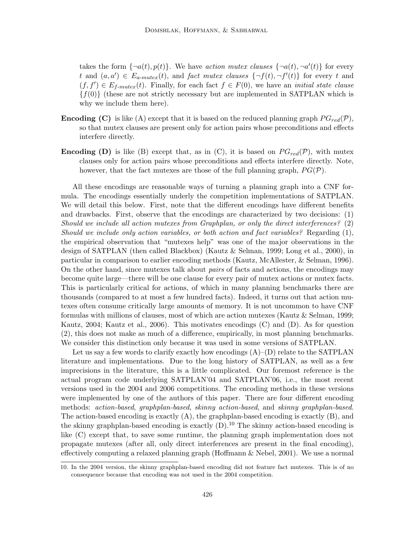takes the form  $\{\neg a(t), p(t)\}\)$ . We have *action mutex clauses*  $\{\neg a(t), \neg a'(t)\}\)$  for every t and  $(a, a') \in E_{a-mutex}(t)$ , and fact mutex clauses  $\{\neg f(t), \neg f'(t)\}\$ for every t and  $(f, f') \in E_{f-mutex}(t)$ . Finally, for each fact  $f \in F(0)$ , we have an *initial state clause*  ${f(0)}$  (these are not strictly necessary but are implemented in SATPLAN which is why we include them here).

- **Encoding (C)** is like (A) except that it is based on the reduced planning graph  $PG_{red}(\mathcal{P})$ , so that mutex clauses are present only for action pairs whose preconditions and effects interfere directly.
- **Encoding (D)** is like (B) except that, as in (C), it is based on  $PG_{red}(\mathcal{P})$ , with mutex clauses only for action pairs whose preconditions and effects interfere directly. Note, however, that the fact mutexes are those of the full planning graph,  $PG(\mathcal{P})$ .

All these encodings are reasonable ways of turning a planning graph into a CNF formula. The encodings essentially underly the competition implementations of SATPLAN. We will detail this below. First, note that the different encodings have different benefits and drawbacks. First, observe that the encodings are characterized by two decisions: (1) Should we include all action mutexes from Graphplan, or only the direct interferences? (2) Should we include only action variables, or both action and fact variables? Regarding (1), the empirical observation that "mutexes help" was one of the major observations in the design of SATPLAN (then called Blackbox) (Kautz & Selman, 1999; Long et al., 2000), in particular in comparison to earlier encoding methods (Kautz, McAllester, & Selman, 1996). On the other hand, since mutexes talk about pairs of facts and actions, the encodings may become quite large—there will be one clause for every pair of mutex actions or mutex facts. This is particularly critical for actions, of which in many planning benchmarks there are thousands (compared to at most a few hundred facts). Indeed, it turns out that action mutexes often consume critically large amounts of memory. It is not uncommon to have CNF formulas with millions of clauses, most of which are action mutexes (Kautz & Selman, 1999; Kautz, 2004; Kautz et al., 2006). This motivates encodings (C) and (D). As for question (2), this does not make as much of a difference, empirically, in most planning benchmarks. We consider this distinction only because it was used in some versions of SATPLAN.

Let us say a few words to clarify exactly how encodings  $(A)$ – $(D)$  relate to the SATPLAN literature and implementations. Due to the long history of SATPLAN, as well as a few imprecisions in the literature, this is a little complicated. Our foremost reference is the actual program code underlying SATPLAN'04 and SATPLAN'06, i.e., the most recent versions used in the 2004 and 2006 competitions. The encoding methods in these versions were implemented by one of the authors of this paper. There are four different encoding methods: action-based, graphplan-based, skinny action-based, and skinny graphplan-based. The action-based encoding is exactly (A), the graphplan-based encoding is exactly (B), and the skinny graphplan-based encoding is exactly  $(D)$ .<sup>10</sup> The skinny action-based encoding is like (C) except that, to save some runtime, the planning graph implementation does not propagate mutexes (after all, only direct interferences are present in the final encoding), effectively computing a relaxed planning graph (Hoffmann & Nebel, 2001). We use a normal

<sup>10.</sup> In the 2004 version, the skinny graphplan-based encoding did not feature fact mutexes. This is of no consequence because that encoding was not used in the 2004 competition.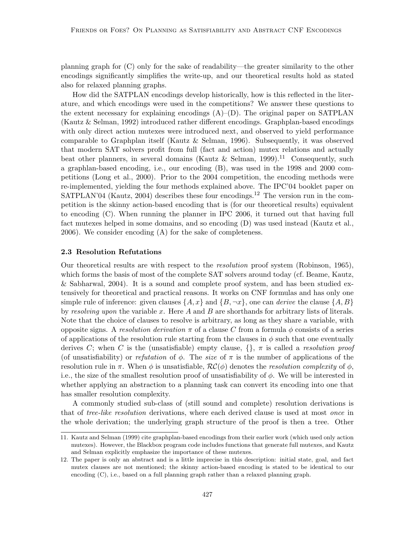planning graph for (C) only for the sake of readability—the greater similarity to the other encodings significantly simplifies the write-up, and our theoretical results hold as stated also for relaxed planning graphs.

How did the SATPLAN encodings develop historically, how is this reflected in the literature, and which encodings were used in the competitions? We answer these questions to the extent necessary for explaining encodings  $(A)$ – $(D)$ . The original paper on SATPLAN (Kautz & Selman, 1992) introduced rather different encodings. Graphplan-based encodings with only direct action mutexes were introduced next, and observed to yield performance comparable to Graphplan itself (Kautz & Selman, 1996). Subsequently, it was observed that modern SAT solvers profit from full (fact and action) mutex relations and actually beat other planners, in several domains (Kautz & Selman, 1999).<sup>11</sup> Consequently, such a graphlan-based encoding, i.e., our encoding (B), was used in the 1998 and 2000 competitions (Long et al., 2000). Prior to the 2004 competition, the encoding methods were re-implemented, yielding the four methods explained above. The IPC'04 booklet paper on SATPLAN'04 (Kautz, 2004) describes these four encodings.<sup>12</sup> The version run in the competition is the skinny action-based encoding that is (for our theoretical results) equivalent to encoding (C). When running the planner in IPC 2006, it turned out that having full fact mutexes helped in some domains, and so encoding (D) was used instead (Kautz et al., 2006). We consider encoding (A) for the sake of completeness.

#### 2.3 Resolution Refutations

Our theoretical results are with respect to the resolution proof system (Robinson, 1965), which forms the basis of most of the complete SAT solvers around today (cf. Beame, Kautz, & Sabharwal, 2004). It is a sound and complete proof system, and has been studied extensively for theoretical and practical reasons. It works on CNF formulas and has only one simple rule of inference: given clauses  $\{A, x\}$  and  $\{B, \neg x\}$ , one can *derive* the clause  $\{A, B\}$ by resolving upon the variable x. Here A and B are shorthands for arbitrary lists of literals. Note that the choice of clauses to resolve is arbitrary, as long as they share a variable, with opposite signs. A resolution derivation  $\pi$  of a clause C from a formula  $\phi$  consists of a series of applications of the resolution rule starting from the clauses in  $\phi$  such that one eventually derives C; when C is the (unsatisfiable) empty clause,  $\{\}, \pi$  is called a *resolution proof* (of unsatisfiability) or refutation of  $\phi$ . The size of  $\pi$  is the number of applications of the resolution rule in  $\pi$ . When  $\phi$  is unsatisfiable,  $\mathcal{RC}(\phi)$  denotes the *resolution complexity* of  $\phi$ , i.e., the size of the smallest resolution proof of unsatisfiability of  $\phi$ . We will be interested in whether applying an abstraction to a planning task can convert its encoding into one that has smaller resolution complexity.

A commonly studied sub-class of (still sound and complete) resolution derivations is that of tree-like resolution derivations, where each derived clause is used at most once in the whole derivation; the underlying graph structure of the proof is then a tree. Other

<sup>11.</sup> Kautz and Selman (1999) cite graphplan-based encodings from their earlier work (which used only action mutexes). However, the Blackbox program code includes functions that generate full mutexes, and Kautz and Selman explicitly emphasize the importance of these mutexes.

<sup>12.</sup> The paper is only an abstract and is a little imprecise in this description: initial state, goal, and fact mutex clauses are not mentioned; the skinny action-based encoding is stated to be identical to our encoding  $(C)$ , i.e., based on a full planning graph rather than a relaxed planning graph.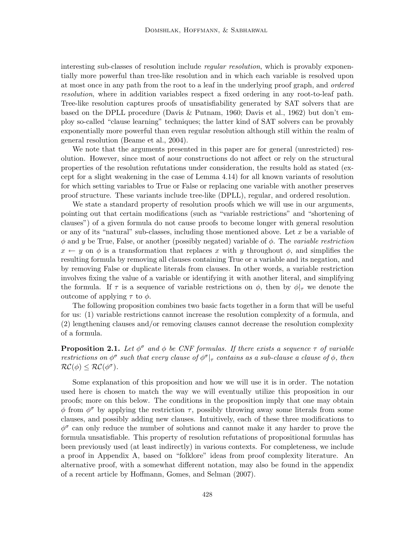interesting sub-classes of resolution include *regular resolution*, which is provably exponentially more powerful than tree-like resolution and in which each variable is resolved upon at most once in any path from the root to a leaf in the underlying proof graph, and ordered resolution, where in addition variables respect a fixed ordering in any root-to-leaf path. Tree-like resolution captures proofs of unsatisfiability generated by SAT solvers that are based on the DPLL procedure (Davis & Putnam, 1960; Davis et al., 1962) but don't employ so-called "clause learning" techniques; the latter kind of SAT solvers can be provably exponentially more powerful than even regular resolution although still within the realm of general resolution (Beame et al., 2004).

We note that the arguments presented in this paper are for general (unrestricted) resolution. However, since most of aour constructions do not affect or rely on the structural properties of the resolution refutations under consideration, the results hold as stated (except for a slight weakening in the case of Lemma 4.14) for all known variants of resolution for which setting variables to True or False or replacing one variable with another preserves proof structure. These variants include tree-like (DPLL), regular, and ordered resolution.

We state a standard property of resolution proofs which we will use in our arguments, pointing out that certain modifications (such as "variable restrictions" and "shortening of clauses") of a given formula do not cause proofs to become longer with general resolution or any of its "natural" sub-classes, including those mentioned above. Let  $x$  be a variable of  $\phi$  and y be True, False, or another (possibly negated) variable of  $\phi$ . The variable restriction  $x \leftarrow y$  on  $\phi$  is a transformation that replaces x with y throughout  $\phi$ , and simplifies the resulting formula by removing all clauses containing True or a variable and its negation, and by removing False or duplicate literals from clauses. In other words, a variable restriction involves fixing the value of a variable or identifying it with another literal, and simplifying the formula. If  $\tau$  is a sequence of variable restrictions on  $\phi$ , then by  $\phi|_{\tau}$  we denote the outcome of applying  $τ$  to  $φ$ .

The following proposition combines two basic facts together in a form that will be useful for us: (1) variable restrictions cannot increase the resolution complexity of a formula, and (2) lengthening clauses and/or removing clauses cannot decrease the resolution complexity of a formula.

**Proposition 2.1.** Let  $\phi^{\sigma}$  and  $\phi$  be CNF formulas. If there exists a sequence  $\tau$  of variable restrictions on  $\phi^{\sigma}$  such that every clause of  $\phi^{\sigma}|_{\tau}$  contains as a sub-clause a clause of  $\phi$ , then  $\mathcal{RC}(\phi) \leq \mathcal{RC}(\phi^{\sigma}).$ 

Some explanation of this proposition and how we will use it is in order. The notation used here is chosen to match the way we will eventually utilize this proposition in our proofs; more on this below. The conditions in the proposition imply that one may obtain  $\phi$  from  $\phi^{\sigma}$  by applying the restriction  $\tau$ , possibly throwing away some literals from some clauses, and possibly adding new clauses. Intuitively, each of these three modifications to  $\phi^{\sigma}$  can only reduce the number of solutions and cannot make it any harder to prove the formula unsatisfiable. This property of resolution refutations of propositional formulas has been previously used (at least indirectly) in various contexts. For completeness, we include a proof in Appendix A, based on "folklore" ideas from proof complexity literature. An alternative proof, with a somewhat different notation, may also be found in the appendix of a recent article by Hoffmann, Gomes, and Selman (2007).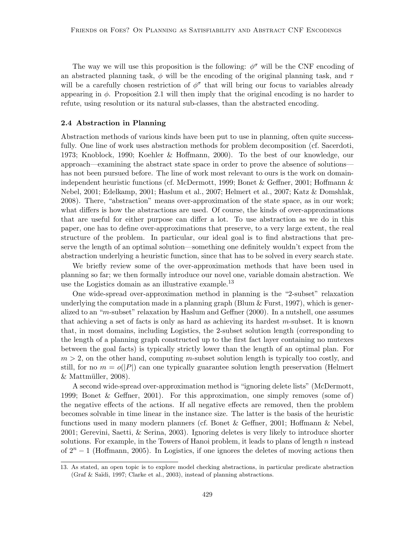The way we will use this proposition is the following:  $\phi^{\sigma}$  will be the CNF encoding of an abstracted planning task,  $\phi$  will be the encoding of the original planning task, and  $\tau$ will be a carefully chosen restriction of  $\phi^{\sigma}$  that will bring our focus to variables already appearing in  $\phi$ . Proposition 2.1 will then imply that the original encoding is no harder to refute, using resolution or its natural sub-classes, than the abstracted encoding.

#### 2.4 Abstraction in Planning

Abstraction methods of various kinds have been put to use in planning, often quite successfully. One line of work uses abstraction methods for problem decomposition (cf. Sacerdoti, 1973; Knoblock, 1990; Koehler & Hoffmann, 2000). To the best of our knowledge, our approach—examining the abstract state space in order to prove the absence of solutions has not been pursued before. The line of work most relevant to ours is the work on domainindependent heuristic functions (cf. McDermott, 1999; Bonet & Geffner, 2001; Hoffmann & Nebel, 2001; Edelkamp, 2001; Haslum et al., 2007; Helmert et al., 2007; Katz & Domshlak, 2008). There, "abstraction" means over-approximation of the state space, as in our work; what differs is how the abstractions are used. Of course, the kinds of over-approximations that are useful for either purpose can differ a lot. To use abstraction as we do in this paper, one has to define over-approximations that preserve, to a very large extent, the real structure of the problem. In particular, our ideal goal is to find abstractions that preserve the length of an optimal solution—something one definitely wouldn't expect from the abstraction underlying a heuristic function, since that has to be solved in every search state.

We briefly review some of the over-approximation methods that have been used in planning so far; we then formally introduce our novel one, variable domain abstraction. We use the Logistics domain as an illustrative example.<sup>13</sup>

One wide-spread over-approximation method in planning is the "2-subset" relaxation underlying the computation made in a planning graph (Blum  $&$  Furst, 1997), which is generalized to an "m-subset" relaxation by Haslum and Geffner (2000). In a nutshell, one assumes that achieving a set of facts is only as hard as achieving its hardest m-subset. It is known that, in most domains, including Logistics, the 2-subset solution length (corresponding to the length of a planning graph constructed up to the first fact layer containing no mutexes between the goal facts) is typically strictly lower than the length of an optimal plan. For  $m > 2$ , on the other hand, computing m-subset solution length is typically too costly, and still, for no  $m = o(|P|)$  can one typically guarantee solution length preservation (Helmert  $&$  Mattmüller, 2008).

A second wide-spread over-approximation method is "ignoring delete lists" (McDermott, 1999; Bonet & Geffner, 2001). For this approximation, one simply removes (some of) the negative effects of the actions. If all negative effects are removed, then the problem becomes solvable in time linear in the instance size. The latter is the basis of the heuristic functions used in many modern planners (cf. Bonet & Geffner, 2001; Hoffmann & Nebel, 2001; Gerevini, Saetti, & Serina, 2003). Ignoring deletes is very likely to introduce shorter solutions. For example, in the Towers of Hanoi problem, it leads to plans of length  $n$  instead of  $2^{n} - 1$  (Hoffmann, 2005). In Logistics, if one ignores the deletes of moving actions then

<sup>13.</sup> As stated, an open topic is to explore model checking abstractions, in particular predicate abstraction (Graf & Saïdi, 1997; Clarke et al., 2003), instead of planning abstractions.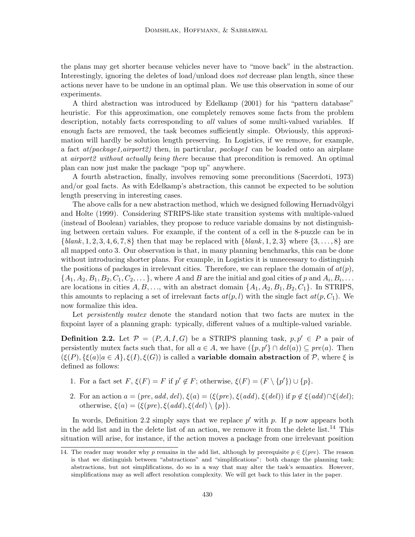the plans may get shorter because vehicles never have to "move back" in the abstraction. Interestingly, ignoring the deletes of load/unload does not decrease plan length, since these actions never have to be undone in an optimal plan. We use this observation in some of our experiments.

A third abstraction was introduced by Edelkamp (2001) for his "pattern database" heuristic. For this approximation, one completely removes some facts from the problem description, notably facts corresponding to *all* values of some multi-valued variables. If enough facts are removed, the task becomes sufficiently simple. Obviously, this approximation will hardly be solution length preserving. In Logistics, if we remove, for example, a fact  $at(package1, airport2)$  then, in particular, package1 can be loaded onto an airplane at airport2 without actually being there because that precondition is removed. An optimal plan can now just make the package "pop up" anywhere.

A fourth abstraction, finally, involves removing some preconditions (Sacerdoti, 1973) and/or goal facts. As with Edelkamp's abstraction, this cannot be expected to be solution length preserving in interesting cases.

The above calls for a new abstraction method, which we designed following Hernadvölgyi and Holte (1999). Considering STRIPS-like state transition systems with multiple-valued (instead of Boolean) variables, they propose to reduce variable domains by not distinguishing between certain values. For example, if the content of a cell in the 8-puzzle can be in  ${\{blank, 1, 2, 3, 4, 6, 7, 8\}}$  then that may be replaced with  ${\{blank, 1, 2, 3\}}$  where  ${\{3, ..., 8\}}$  are all mapped onto 3. Our observation is that, in many planning benchmarks, this can be done without introducing shorter plans. For example, in Logistics it is unnecessary to distinguish the positions of packages in irrelevant cities. Therefore, we can replace the domain of  $at(p)$ ,  $\{A_1, A_2, B_1, B_2, C_1, C_2, \dots\}$ , where A and B are the initial and goal cities of p and  $A_i, B_i, \dots$ are locations in cities  $A, B, \ldots$ , with an abstract domain  $\{A_1, A_2, B_1, B_2, C_1\}$ . In STRIPS, this amounts to replacing a set of irrelevant facts  $at(p, l)$  with the single fact  $at(p, C_1)$ . We now formalize this idea.

Let *persistently mutex* denote the standard notion that two facts are mutex in the fixpoint layer of a planning graph: typically, different values of a multiple-valued variable.

**Definition 2.2.** Let  $\mathcal{P} = (P, A, I, G)$  be a STRIPS planning task,  $p, p' \in P$  a pair of persistently mutex facts such that, for all  $a \in A$ , we have  $({p, p' \} \cap \text{del}(a)) \subseteq \text{pre}(a)$ . Then  $(\xi(P), \{\xi(a)|a \in A\}, \xi(I), \xi(G))$  is called a **variable domain abstraction** of P, where  $\xi$  is defined as follows:

- 1. For a fact set  $F, \xi(F) = F$  if  $p' \notin F$ ; otherwise,  $\xi(F) = (F \setminus \{p'\}) \cup \{p\}.$
- 2. For an action  $a = (pre, add, del), \xi(a) = (\xi(pre), \xi(add), \xi(del))$  if  $p \notin \xi(add) \cap \xi(del);$ otherwise,  $\xi(a) = (\xi(pre), \xi(add), \xi(del) \setminus \{p\}).$

In words, Definition 2.2 simply says that we replace  $p'$  with p. If p now appears both in the add list and in the delete list of an action, we remove it from the delete list.<sup>14</sup> This situation will arise, for instance, if the action moves a package from one irrelevant position

<sup>14.</sup> The reader may wonder why p remains in the add list, although by prerequisite  $p \in \mathcal{E}(pre)$ . The reason is that we distinguish between "abstractions" and "simplifications": both change the planning task; abstractions, but not simplifications, do so in a way that may alter the task's semantics. However, simplifications may as well affect resolution complexity. We will get back to this later in the paper.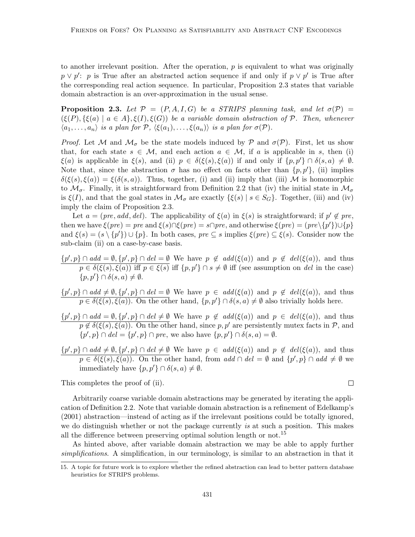to another irrelevant position. After the operation,  $p$  is equivalent to what was originally  $p \vee p'$ : p is True after an abstracted action sequence if and only if  $p \vee p'$  is True after the corresponding real action sequence. In particular, Proposition 2.3 states that variable domain abstraction is an over-approximation in the usual sense.

**Proposition 2.3.** Let  $\mathcal{P} = (P, A, I, G)$  be a STRIPS planning task, and let  $\sigma(\mathcal{P}) =$  $(\xi(P), \{\xi(a) \mid a \in A\}, \xi(I), \xi(G))$  be a variable domain abstraction of P. Then, whenever  $\langle a_1, \ldots, a_n \rangle$  is a plan for  $P$ ,  $\langle \xi(a_1), \ldots, \xi(a_n) \rangle$  is a plan for  $\sigma(P)$ .

*Proof.* Let M and  $\mathcal{M}_{\sigma}$  be the state models induced by P and  $\sigma(\mathcal{P})$ . First, let us show that, for each state  $s \in \mathcal{M}$ , and each action  $a \in \mathcal{M}$ , if a is applicable in s, then (i)  $\xi(a)$  is applicable in  $\xi(s)$ , and (ii)  $p \in \delta(\xi(s), \xi(a))$  if and only if  $\{p, p'\} \cap \delta(s, a) \neq \emptyset$ . Note that, since the abstraction  $\sigma$  has no effect on facts other than  $\{p, p'\}$ , (ii) implies  $\delta(\xi(s), \xi(a)) = \xi(\delta(s, a))$ . Thus, together, (i) and (ii) imply that (iii) M is homomorphic to  $\mathcal{M}_{\sigma}$ . Finally, it is straightforward from Definition 2.2 that (iv) the initial state in  $\mathcal{M}_{\sigma}$ is  $\xi(I)$ , and that the goal states in  $\mathcal{M}_{\sigma}$  are exactly  $\{\xi(s) | s \in S_G\}$ . Together, (iii) and (iv) imply the claim of Proposition 2.3.

Let  $a = (pre, add, del)$ . The applicability of  $\xi(a)$  in  $\xi(s)$  is straightforward; if  $p' \notin pre$ , then we have  $\xi(pre) = pre$  and  $\xi(s) \cap \xi(pre) = s \cap pre$ , and otherwise  $\xi(pre) = (pre \setminus \{p'\}) \cup \{p\}$ and  $\xi(s) = (s \setminus \{p'\}) \cup \{p\}$ . In both cases,  $pre \subseteq s$  implies  $\xi(pre) \subseteq \xi(s)$ . Consider now the sub-claim (ii) on a case-by-case basis.

 $\{p', p\} \cap add = \emptyset, \{p', p\} \cap del = \emptyset$  We have  $p \notin add(\xi(a))$  and  $p \notin del(\xi(a))$ , and thus  $p \in \delta(\xi(s), \xi(a))$  iff  $p \in \xi(s)$  iff  $\{p, p'\} \cap s \neq \emptyset$  iff (see assumption on del in the case)  $\{p, p'\}\cap \delta(s, a)\neq \emptyset.$ 

 $\{p', p\} \cap add \neq \emptyset, \{p', p\} \cap del = \emptyset$  We have  $p \in add(\xi(a))$  and  $p \notin del(\xi(a))$ , and thus  $p \in \delta(\xi(s), \xi(a))$ . On the other hand,  $\{p, p'\} \cap \delta(s, a) \neq \emptyset$  also trivially holds here.

 $\{p', p\} \cap add = \emptyset, \{p', p\} \cap del \neq \emptyset$  We have  $p \notin add(\xi(a))$  and  $p \in del(\xi(a))$ , and thus  $p \notin \delta(\xi(s), \xi(a))$ . On the other hand, since p, p' are persistently mutex facts in P, and  $\{p', p\} \cap \text{del} = \{p', p\} \cap \text{pre},$  we also have  $\{p, p'\} \cap \delta(s, a) = \emptyset.$ 

 $\{p', p\} \cap add \neq \emptyset, \{p', p\} \cap del \neq \emptyset$  We have  $p \in add(\xi(a))$  and  $p \notin del(\xi(a))$ , and thus  $p \in \delta(\xi(s), \xi(a))$ . On the other hand, from add  $\cap$  del = Ø and  $\{p', p\} \cap$  add  $\neq \emptyset$  we immediately have  $\{p, p'\} \cap \delta(s, a) \neq \emptyset$ .

This completes the proof of (ii).

Arbitrarily coarse variable domain abstractions may be generated by iterating the application of Definition 2.2. Note that variable domain abstraction is a refinement of Edelkamp's (2001) abstraction—instead of acting as if the irrelevant positions could be totally ignored, we do distinguish whether or not the package currently is at such a position. This makes all the difference between preserving optimal solution length or not.<sup>15</sup>

As hinted above, after variable domain abstraction we may be able to apply further simplifications. A simplification, in our terminology, is similar to an abstraction in that it

 $\Box$ 

<sup>15.</sup> A topic for future work is to explore whether the refined abstraction can lead to better pattern database heuristics for STRIPS problems.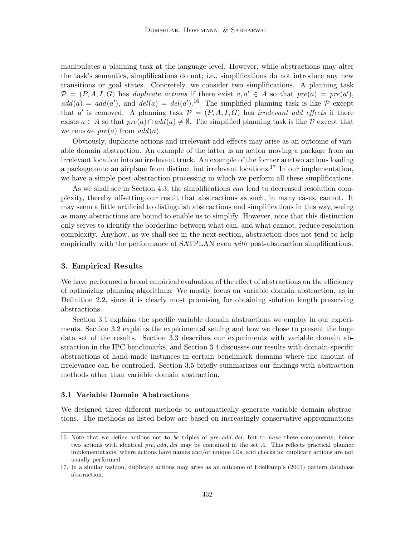manipulates a planning task at the language level. However, while abstractions may alter the task's semantics, simplifications do not; i.e., simplifications do not introduce any new transitions or goal states. Concretely, we consider two simplifications. A planning task  $\mathcal{P} = (P, A, I, G)$  has duplicate actions if there exist  $a, a' \in A$  so that  $pre(a) = pre(a'),$  $add(a) = add(a')$ , and  $del(a) = del(a')$ .<sup>16</sup> The simplified planning task is like P except that a' is removed. A planning task  $P = (P, A, I, G)$  has *irrelevant add effects* if there exists  $a \in A$  so that  $pre(a) \cap add(a) \neq \emptyset$ . The simplified planning task is like P except that we remove  $pre(a)$  from  $add(a)$ .

Obviously, duplicate actions and irrelevant add effects may arise as an outcome of variable domain abstraction. An example of the latter is an action moving a package from an irrelevant location into an irrelevant truck. An example of the former are two actions loading a package onto an airplane from distinct but irrelevant locations.<sup>17</sup> In our implementation, we have a simple post-abstraction processing in which we perform all these simplifications.

As we shall see in Section 4.3, the simplifications can lead to decreased resolution complexity, thereby offsetting our result that abstractions as such, in many cases, cannot. It may seem a little artificial to distinguish abstractions and simplifications in this way, seeing as many abstractions are bound to enable us to simplify. However, note that this distinction only serves to identify the borderline between what can, and what cannot, reduce resolution complexity. Anyhow, as we shall see in the next section, abstraction does not tend to help empirically with the performance of SATPLAN even *with* post-abstraction simplifications.

#### 3. Empirical Results

We have performed a broad empirical evaluation of the effect of abstractions on the efficiency of optimizing planning algorithms. We mostly focus on variable domain abstraction, as in Definition 2.2, since it is clearly most promising for obtaining solution length preserving abstractions.

Section 3.1 explains the specific variable domain abstractions we employ in our experiments. Section 3.2 explains the experimental setting and how we chose to present the huge data set of the results. Section 3.3 describes our experiments with variable domain abstraction in the IPC benchmarks, and Section 3.4 discusses our results with domain-specific abstractions of hand-made instances in certain benchmark domains where the amount of irrelevance can be controlled. Section 3.5 briefly summarizes our findings with abstraction methods other than variable domain abstraction.

## 3.1 Variable Domain Abstractions

We designed three different methods to automatically generate variable domain abstractions. The methods as listed below are based on increasingly conservative approximations

<sup>16.</sup> Note that we define actions not to be triples of pre, add, del, but to have these components; hence two actions with identical pre, add, del may be contained in the set A. This reflects practical planner implementations, where actions have names and/or unique IDs, and checks for duplicate actions are not usually performed.

<sup>17.</sup> In a similar fashion, duplicate actions may arise as an outcome of Edelkamp's (2001) pattern database abstraction.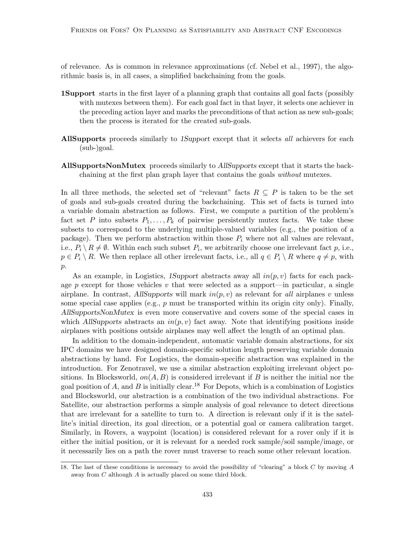of relevance. As is common in relevance approximations (cf. Nebel et al., 1997), the algorithmic basis is, in all cases, a simplified backchaining from the goals.

- 1Support starts in the first layer of a planning graph that contains all goal facts (possibly with mutexes between them). For each goal fact in that layer, it selects one achiever in the preceding action layer and marks the preconditions of that action as new sub-goals; then the process is iterated for the created sub-goals.
- AllSupports proceeds similarly to 1Support except that it selects all achievers for each (sub-)goal.
- AllSupportsNonMutex proceeds similarly to AllSupports except that it starts the backchaining at the first plan graph layer that contains the goals without mutexes.

In all three methods, the selected set of "relevant" facts  $R \subseteq P$  is taken to be the set of goals and sub-goals created during the backchaining. This set of facts is turned into a variable domain abstraction as follows. First, we compute a partition of the problem's fact set P into subsets  $P_1, \ldots, P_k$  of pairwise persistently mutex facts. We take these subsets to correspond to the underlying multiple-valued variables (e.g., the position of a package). Then we perform abstraction within those  $P_i$  where not all values are relevant, i.e.,  $P_i \setminus R \neq \emptyset$ . Within each such subset  $P_i$ , we arbitrarily choose one irrelevant fact p, i.e.,  $p \in P_i \setminus R$ . We then replace all other irrelevant facts, i.e., all  $q \in P_i \setminus R$  where  $q \neq p$ , with  $p$ .

As an example, in Logistics, 1Support abstracts away all  $in(p, v)$  facts for each package p except for those vehicles v that were selected as a support—in particular, a single airplane. In contrast, AllSupports will mark  $in(p, v)$  as relevant for all airplanes v unless some special case applies (e.g.,  $p$  must be transported within its origin city only). Finally, AllSupportsNonMutex is even more conservative and covers some of the special cases in which AllSupports abstracts an  $in(p, v)$  fact away. Note that identifying positions inside airplanes with positions outside airplanes may well affect the length of an optimal plan.

In addition to the domain-independent, automatic variable domain abstractions, for six IPC domains we have designed domain-specific solution length preserving variable domain abstractions by hand. For Logistics, the domain-specific abstraction was explained in the introduction. For Zenotravel, we use a similar abstraction exploiting irrelevant object positions. In Blocksworld,  $on(A, B)$  is considered irrelevant if B is neither the initial nor the goal position of A, and B is initially clear.<sup>18</sup> For Depots, which is a combination of Logistics and Blocksworld, our abstraction is a combination of the two individual abstractions. For Satellite, our abstraction performs a simple analysis of goal relevance to detect directions that are irrelevant for a satellite to turn to. A direction is relevant only if it is the satellite's initial direction, its goal direction, or a potential goal or camera calibration target. Similarly, in Rovers, a waypoint (location) is considered relevant for a rover only if it is either the initial position, or it is relevant for a needed rock sample/soil sample/image, or it necessarily lies on a path the rover must traverse to reach some other relevant location.

<sup>18.</sup> The last of these conditions is necessary to avoid the possibility of "clearing" a block C by moving A away from C although A is actually placed on some third block.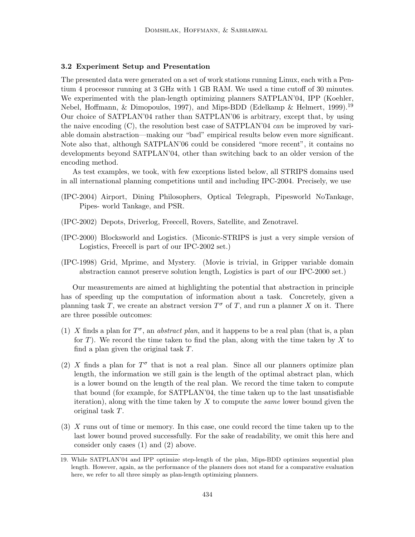## 3.2 Experiment Setup and Presentation

The presented data were generated on a set of work stations running Linux, each with a Pentium 4 processor running at 3 GHz with 1 GB RAM. We used a time cutoff of 30 minutes. We experimented with the plan-length optimizing planners SATPLAN'04, IPP (Koehler, Nebel, Hoffmann, & Dimopoulos, 1997), and Mips-BDD (Edelkamp & Helmert, 1999).<sup>19</sup> Our choice of SATPLAN'04 rather than SATPLAN'06 is arbitrary, except that, by using the naive encoding  $(C)$ , the resolution best case of SATPLAN'04 *can* be improved by variable domain abstraction—making our "bad" empirical results below even more significant. Note also that, although SATPLAN'06 could be considered "more recent", it contains no developments beyond SATPLAN'04, other than switching back to an older version of the encoding method.

As test examples, we took, with few exceptions listed below, all STRIPS domains used in all international planning competitions until and including IPC-2004. Precisely, we use

- (IPC-2004) Airport, Dining Philosophers, Optical Telegraph, Pipesworld NoTankage, Pipes- world Tankage, and PSR.
- (IPC-2002) Depots, Driverlog, Freecell, Rovers, Satellite, and Zenotravel.
- (IPC-2000) Blocksworld and Logistics. (Miconic-STRIPS is just a very simple version of Logistics, Freecell is part of our IPC-2002 set.)
- (IPC-1998) Grid, Mprime, and Mystery. (Movie is trivial, in Gripper variable domain abstraction cannot preserve solution length, Logistics is part of our IPC-2000 set.)

Our measurements are aimed at highlighting the potential that abstraction in principle has of speeding up the computation of information about a task. Concretely, given a planning task T, we create an abstract version  $T^{\sigma}$  of T, and run a planner X on it. There are three possible outcomes:

- (1) X finds a plan for  $T^{\sigma}$ , an *abstract plan*, and it happens to be a real plan (that is, a plan for T). We record the time taken to find the plan, along with the time taken by X to find a plan given the original task T.
- (2) X finds a plan for  $T^{\sigma}$  that is not a real plan. Since all our planners optimize plan length, the information we still gain is the length of the optimal abstract plan, which is a lower bound on the length of the real plan. We record the time taken to compute that bound (for example, for SATPLAN'04, the time taken up to the last unsatisfiable iteration), along with the time taken by  $X$  to compute the *same* lower bound given the original task T.
- (3) X runs out of time or memory. In this case, one could record the time taken up to the last lower bound proved successfully. For the sake of readability, we omit this here and consider only cases (1) and (2) above.

<sup>19.</sup> While SATPLAN'04 and IPP optimize step-length of the plan, Mips-BDD optimizes sequential plan length. However, again, as the performance of the planners does not stand for a comparative evaluation here, we refer to all three simply as plan-length optimizing planners.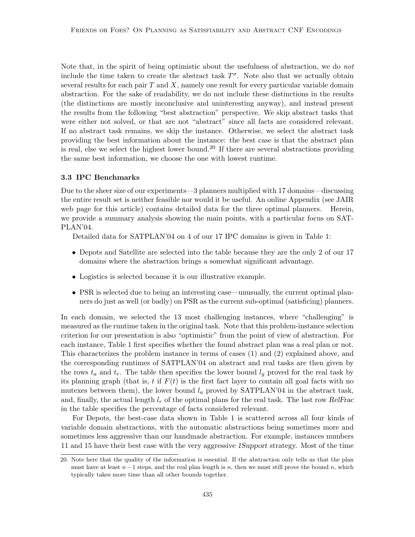Note that, in the spirit of being optimistic about the usefulness of abstraction, we do not include the time taken to create the abstract task  $T^{\sigma}$ . Note also that we actually obtain several results for each pair  $T$  and  $X$ , namely one result for every particular variable domain abstraction. For the sake of readability, we do not include these distinctions in the results (the distinctions are mostly inconclusive and uninteresting anyway), and instead present the results from the following "best abstraction" perspective. We skip abstract tasks that were either not solved, or that are not "abstract" since all facts are considered relevant. If no abstract task remains, we skip the instance. Otherwise, we select the abstract task providing the best information about the instance: the best case is that the abstract plan is real, else we select the highest lower bound.<sup>20</sup> If there are several abstractions providing the same best information, we choose the one with lowest runtime.

#### 3.3 IPC Benchmarks

Due to the sheer size of our experiments—3 planners multiplied with 17 domains—discussing the entire result set is neither feasible nor would it be useful. An online Appendix (see JAIR web page for this article) contains detailed data for the three optimal planners. Herein, we provide a summary analysis showing the main points, with a particular focus on SAT-PLAN'04.

Detailed data for SATPLAN'04 on 4 of our 17 IPC domains is given in Table 1:

- Depots and Satellite are selected into the table because they are the only 2 of our 17 domains where the abstraction brings a somewhat significant advantage.
- Logistics is selected because it is our illustrative example.
- PSR is selected due to being an interesting case—unusually, the current optimal planners do just as well (or badly) on PSR as the current sub-optimal (satisficing) planners.

In each domain, we selected the 13 most challenging instances, where "challenging" is measured as the runtime taken in the original task. Note that this problem-instance selection criterion for our presentation is also "optimistic" from the point of view of abstraction. For each instance, Table 1 first specifies whether the found abstract plan was a real plan or not. This characterizes the problem instance in terms of cases (1) and (2) explained above, and the corresponding runtimes of SATPLAN'04 on abstract and real tasks are then given by the rows  $t_a$  and  $t_r$ . The table then specifies the lower bound  $l_g$  proved for the real task by its planning graph (that is, t if  $F(t)$  is the first fact layer to contain all goal facts with no mutexes between them), the lower bound  $l_a$  proved by SATPLAN'04 in the abstract task, and, finally, the actual length  $l_r$  of the optimal plans for the real task. The last row RelFrac in the table specifies the percentage of facts considered relevant.

For Depots, the best-case data shown in Table 1 is scattered across all four kinds of variable domain abstractions, with the automatic abstractions being sometimes more and sometimes less aggressive than our handmade abstraction. For example, instances numbers 11 and 15 have their best case with the very aggressive 1Support strategy. Most of the time

<sup>20.</sup> Note here that the quality of the information is essential. If the abstraction only tells us that the plan must have at least  $n-1$  steps, and the real plan length is n, then we must still prove the bound n, which typically takes more time than all other bounds together.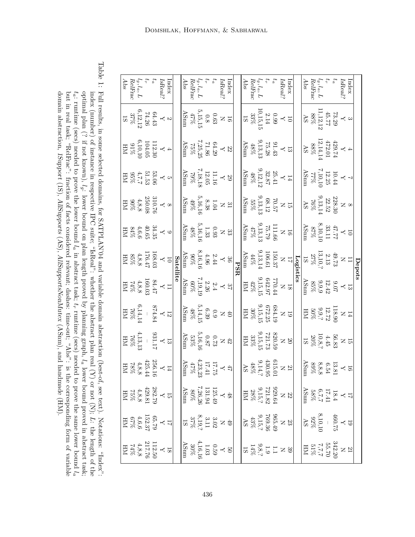Table 1: index (Humber) of instance in respective IPC suite; "IsReal": whether the abstract plan real (X) or not (N);  $\alpha$ ; (N);  $\alpha$ Full results, in some selected domains, for SATPLAN'04 and variable domain abstraction (best-of, see text). Notations: "Index": L: the length of the optimal plan (? if not known),  $\mathcal{E}_q$ : lower bound on plan length proved by planning graph,  $\tilde{c}$ lower bound proved in abstract task;  $\tau_a$ : runtime (secs) needed to prove the lower bound  $\tilde{c}$ in abstract task; tr runtime (secs) needed to prove the same lower bound  $\tilde{f}_a$ domain abstraction, but in real task; "RelFrac": fraction of facts considered relevant; dashes: time-out; "Abs": is the corresponding form of variable 1Support (1S), AllSupports (AS), AllSupportsNonMutex (ASnm), and handmade (HM).

|                                                                                                                                                                                                      |                                                                                                                       |                                                                                                             |                                                                                                                            |                                                                                                                                                        |                                                                                                                   | Depots                                                                                                                                                                                                                                                                                                                                                 |                                                                                                                                                                                                  |                                                                                                                                                                                                                                                                                                                                                                                                                                               |                                                                                                                                                                                                                                                                                                                                                         |                                                                                                                                                                                                                                                                                                                                                                                                                                                   |                                                                                                                                                                                                                                                                                                                                                            |
|------------------------------------------------------------------------------------------------------------------------------------------------------------------------------------------------------|-----------------------------------------------------------------------------------------------------------------------|-------------------------------------------------------------------------------------------------------------|----------------------------------------------------------------------------------------------------------------------------|--------------------------------------------------------------------------------------------------------------------------------------------------------|-------------------------------------------------------------------------------------------------------------------|--------------------------------------------------------------------------------------------------------------------------------------------------------------------------------------------------------------------------------------------------------------------------------------------------------------------------------------------------------|--------------------------------------------------------------------------------------------------------------------------------------------------------------------------------------------------|-----------------------------------------------------------------------------------------------------------------------------------------------------------------------------------------------------------------------------------------------------------------------------------------------------------------------------------------------------------------------------------------------------------------------------------------------|---------------------------------------------------------------------------------------------------------------------------------------------------------------------------------------------------------------------------------------------------------------------------------------------------------------------------------------------------------|---------------------------------------------------------------------------------------------------------------------------------------------------------------------------------------------------------------------------------------------------------------------------------------------------------------------------------------------------------------------------------------------------------------------------------------------------|------------------------------------------------------------------------------------------------------------------------------------------------------------------------------------------------------------------------------------------------------------------------------------------------------------------------------------------------------------|
|                                                                                                                                                                                                      |                                                                                                                       |                                                                                                             |                                                                                                                            |                                                                                                                                                        |                                                                                                                   |                                                                                                                                                                                                                                                                                                                                                        |                                                                                                                                                                                                  |                                                                                                                                                                                                                                                                                                                                                                                                                                               |                                                                                                                                                                                                                                                                                                                                                         |                                                                                                                                                                                                                                                                                                                                                                                                                                                   |                                                                                                                                                                                                                                                                                                                                                            |
|                                                                                                                                                                                                      |                                                                                                                       |                                                                                                             |                                                                                                                            |                                                                                                                                                        |                                                                                                                   |                                                                                                                                                                                                                                                                                                                                                        |                                                                                                                                                                                                  |                                                                                                                                                                                                                                                                                                                                                                                                                                               |                                                                                                                                                                                                                                                                                                                                                         |                                                                                                                                                                                                                                                                                                                                                                                                                                                   |                                                                                                                                                                                                                                                                                                                                                            |
|                                                                                                                                                                                                      |                                                                                                                       |                                                                                                             |                                                                                                                            | $\begin{array}{c} 8 \\ \times 1228.30 \\ 22.52 \\ 76\% \\ \hline \end{array}$ AS<br>$^{113,14}_{\Lambda \textrm{S}}$                                   |                                                                                                                   | $\begin{array}{c} 11 \\ \text{N} \\ 2.13 \\ 27.13 \\ 13,10,?\ \\ 18 \\ 15 \\ \end{array}$                                                                                                                                                                                                                                                              |                                                                                                                                                                                                  | $\begin{array}{c} 14 \\ \text{N} \\ 12.72 \\ \text{50\%} \\ 12.72 \\ \text{H} \\ \text{H} \\ \text{H} \\ \text{H} \\ \text{H} \\ \text{H} \\ \text{H} \\ \text{H} \\ \text{H} \\ \text{H} \\ \text{H} \\ \text{H} \\ \text{H} \\ \text{H} \\ \text{H} \\ \text{H} \\ \text{H} \\ \text{H} \\ \text{H} \\ \text{H} \\ \text{H} \\ \text{H} \\ \text{H} \\ \text{H} \\ \text{H} \\ \text{H} \\ \text{H} \\ \text{H} \\ \text{H} \\ \text{H} \\$ | $\begin{array}{l} 15 \\[-2pt] \text{N} \\ 10 \\[-2pt] \text{N} \\ 20 \\[-2pt] 10 \\[-2pt] 18 \\[-2pt] 18 \\[-2pt] 19 \\[-2pt] 19 \\[-2pt] 19 \\[-2pt] 19 \\[-2pt] 19 \\[-2pt] 10 \\[-2pt] 10 \\[-2pt] 10 \\[-2pt] 10 \\[-2pt] 10 \\[-2pt] 10 \\[-2pt] 10 \\[-2pt] 10 \\[-2pt] 10 \\[-2pt] 10 \\[-2pt] 10 \\[-2pt] 10 \\[-2pt] 10 \\[-2pt] 10 \\[-2pt] $ |                                                                                                                                                                                                                                                                                                                                                                                                                                                   |                                                                                                                                                                                                                                                                                                                                                            |
|                                                                                                                                                                                                      |                                                                                                                       |                                                                                                             |                                                                                                                            |                                                                                                                                                        |                                                                                                                   |                                                                                                                                                                                                                                                                                                                                                        |                                                                                                                                                                                                  |                                                                                                                                                                                                                                                                                                                                                                                                                                               |                                                                                                                                                                                                                                                                                                                                                         |                                                                                                                                                                                                                                                                                                                                                                                                                                                   |                                                                                                                                                                                                                                                                                                                                                            |
|                                                                                                                                                                                                      |                                                                                                                       |                                                                                                             |                                                                                                                            |                                                                                                                                                        |                                                                                                                   |                                                                                                                                                                                                                                                                                                                                                        |                                                                                                                                                                                                  |                                                                                                                                                                                                                                                                                                                                                                                                                                               |                                                                                                                                                                                                                                                                                                                                                         |                                                                                                                                                                                                                                                                                                                                                                                                                                                   |                                                                                                                                                                                                                                                                                                                                                            |
|                                                                                                                                                                                                      |                                                                                                                       |                                                                                                             |                                                                                                                            |                                                                                                                                                        |                                                                                                                   |                                                                                                                                                                                                                                                                                                                                                        |                                                                                                                                                                                                  |                                                                                                                                                                                                                                                                                                                                                                                                                                               |                                                                                                                                                                                                                                                                                                                                                         |                                                                                                                                                                                                                                                                                                                                                                                                                                                   |                                                                                                                                                                                                                                                                                                                                                            |
| $\begin{array}{ll} \text{Index} \\ \text{IsReal?} \\ t_{\text{a}} \\ R_{\text{b}}, L \\ \text{RelFrac} \\ \text{RelFrac} \\ \text{AbelFrac} \\ \text{AbelFrac} \end{array}$                          | $\begin{array}{c} 3 \\ 73.29 \\ 11,12,12 \\ 88\% \\ 88\% \\ \hline \end{array}$<br>AS                                 | $\begin{array}{c} 4 \\ 4 \\ 472.01 \\ 12,14,14 \\ 88\% \\ 88\% \\ 88\% \end{array}$                         | $\begin{array}{c} 7 \\ \text{10.44} \\ 12.25 \\ 7.10,10 \\ \text{12.25} \\ 177\% \\ \text{12.26} \end{array}$              |                                                                                                                                                        | $\begin{array}{c} 10 \\ \times 7 \\ 8,10,10 \\ 8,10,10 \\ \times 57\% \\ \times 57\% \end{array}$                 |                                                                                                                                                                                                                                                                                                                                                        | $\begin{array}{c} 13 \\ \text{y} \\ 12.42 \\ \text{85\%} \\ \text{85\%} \\ \text{M5mm} \\ \text{M5mm} \\ \text{M5mm} \end{array}$                                                                |                                                                                                                                                                                                                                                                                                                                                                                                                                               |                                                                                                                                                                                                                                                                                                                                                         | $\begin{array}{c} 16 \\ \text{V} \\ 13.81 \\ \text{V} \\ 8.9\% \\ \text{M} \\ \text{M} \\ \text{M} \\ \text{M} \\ \text{M} \\ \text{M} \\ \text{M} \\ \text{M} \\ \text{M} \\ \text{M} \\ \text{M} \\ \text{M} \\ \text{M} \\ \text{M} \\ \text{M} \\ \text{M} \\ \text{M} \\ \text{M} \\ \text{M} \\ \text{M} \\ \text{M} \\ \text{M} \\ \text{M} \\ \text{M} \\ \text{M} \\ \text{M} \\ \text{M} \\ \text{M} \\ \text{M} \\ \text{M} \\ \text{$ | $\begin{array}{r l} \hline 17 & \times 4 & 18.4 \\ \text{18.35} & 0.58\% \\ \text{17.41} & 22 \\ \text{18.52} & 238.64 \\ \text{18.53} & 238.64 \\ \hline \text{18.6} & 238.64 \\ \hline \text{18.7} & 238.64 \\ \hline \text{18.8} & 238.64 \\ \hline \text{18.8} & 238.64 \\ \hline \text{18.8} & 238.64 \\ \hline \text{18.8} & 238.64 \\ \hline \text$ |
|                                                                                                                                                                                                      |                                                                                                                       |                                                                                                             |                                                                                                                            |                                                                                                                                                        |                                                                                                                   |                                                                                                                                                                                                                                                                                                                                                        |                                                                                                                                                                                                  |                                                                                                                                                                                                                                                                                                                                                                                                                                               |                                                                                                                                                                                                                                                                                                                                                         |                                                                                                                                                                                                                                                                                                                                                                                                                                                   |                                                                                                                                                                                                                                                                                                                                                            |
|                                                                                                                                                                                                      |                                                                                                                       |                                                                                                             |                                                                                                                            |                                                                                                                                                        |                                                                                                                   |                                                                                                                                                                                                                                                                                                                                                        |                                                                                                                                                                                                  |                                                                                                                                                                                                                                                                                                                                                                                                                                               |                                                                                                                                                                                                                                                                                                                                                         |                                                                                                                                                                                                                                                                                                                                                                                                                                                   |                                                                                                                                                                                                                                                                                                                                                            |
|                                                                                                                                                                                                      |                                                                                                                       |                                                                                                             |                                                                                                                            |                                                                                                                                                        |                                                                                                                   |                                                                                                                                                                                                                                                                                                                                                        |                                                                                                                                                                                                  |                                                                                                                                                                                                                                                                                                                                                                                                                                               |                                                                                                                                                                                                                                                                                                                                                         |                                                                                                                                                                                                                                                                                                                                                                                                                                                   |                                                                                                                                                                                                                                                                                                                                                            |
|                                                                                                                                                                                                      |                                                                                                                       |                                                                                                             |                                                                                                                            |                                                                                                                                                        |                                                                                                                   |                                                                                                                                                                                                                                                                                                                                                        |                                                                                                                                                                                                  |                                                                                                                                                                                                                                                                                                                                                                                                                                               |                                                                                                                                                                                                                                                                                                                                                         |                                                                                                                                                                                                                                                                                                                                                                                                                                                   |                                                                                                                                                                                                                                                                                                                                                            |
| $\begin{array}{l} \displaystyle \text{Index} \\ \text{IsReal?} \\ \displaystyle t_a \\ \displaystyle \text{RellFace} \\ \text{RelFree} \\ \displaystyle \text{RelFree} \\ \text{AdS} \\ \end{array}$ | $\begin{array}{c} 10 \\ \text{C} \\ 0.99 \\ 10,15,15 \\ 10,15,15 \\ 18 \\ 18 \\ 18 \\ 18 \\ \end{array}$              | $\begin{array}{l} 13 \\ \text{p1.43} \\ 17.28 \\ \text{p2.13,13} \\ \text{A8\%} \\ \text{A8\%} \end{array}$ | $\begin{array}{c} 14 \\ \text{25.41} \\ 32.87 \\ \text{48\%} \\ \text{48\%} \\ \text{48\%} \\ \text{48\%} \end{array}$     | $\begin{array}{c} 15 \\ \text{70.57} \\ 70.57 \\ \text{123.13} \\ 68.12 \\ \text{155\%} \\ \text{155\%} \end{array}$                                   | $\begin{array}{r} \hline 16 \\ 111.66 \\ 75.79 \\ 47\% \\ 47\% \\ \hline \end{array}$<br>AShm                     |                                                                                                                                                                                                                                                                                                                                                        | $\begin{array}{r} 18 \\ \text{N} \\ 642.97 \\ \text{15},15 \\ \text{H} \mathrm{M} \\ \text{H} \mathrm{M} \\ \mathrm{H} \mathrm{M} \\ \mathrm{H} \mathrm{M} \\ \mathrm{H} \mathrm{M} \end{array}$ | $\begin{array}{r l} \hline 19 \ \text{N} \ \text{NS} & 19 \ \text{30\%} \ \text{30\%} \ \text{30\%} \ \text{H} \ \text{H} \ \text{H} \ \text{H} \ \text{H} \ \text{H} \ \text{H} \ \text{H} \ \text{H} \ \text{H} \ \text{H} \ \text{H} \ \text{H} \ \text{H} \ \text{H} \ \text{H} \ \text{H} \ \text{H} \ \text{H} \ \text{H} \ \text{H} \ \text{H} \ \text{H} \ \text{H} \ \text{H} \ \text{H} \ \text{H}$                                 | $\frac{20}{10} \times 221.739 \times 11.739 \times 15.15,15$<br>$33\%$<br>$33\%$<br>$\hbox{HM}$                                                                                                                                                                                                                                                         | $\begin{array}{c} 21\ 815.01\ 815.01\ 9,14,?\ 9,14,?\ 48\% \end{array}$                                                                                                                                                                                                                                                                                                                                                                           |                                                                                                                                                                                                                                                                                                                                                            |
|                                                                                                                                                                                                      |                                                                                                                       |                                                                                                             |                                                                                                                            |                                                                                                                                                        |                                                                                                                   |                                                                                                                                                                                                                                                                                                                                                        |                                                                                                                                                                                                  |                                                                                                                                                                                                                                                                                                                                                                                                                                               |                                                                                                                                                                                                                                                                                                                                                         |                                                                                                                                                                                                                                                                                                                                                                                                                                                   |                                                                                                                                                                                                                                                                                                                                                            |
|                                                                                                                                                                                                      |                                                                                                                       |                                                                                                             |                                                                                                                            |                                                                                                                                                        |                                                                                                                   |                                                                                                                                                                                                                                                                                                                                                        |                                                                                                                                                                                                  |                                                                                                                                                                                                                                                                                                                                                                                                                                               |                                                                                                                                                                                                                                                                                                                                                         |                                                                                                                                                                                                                                                                                                                                                                                                                                                   |                                                                                                                                                                                                                                                                                                                                                            |
|                                                                                                                                                                                                      |                                                                                                                       |                                                                                                             |                                                                                                                            |                                                                                                                                                        |                                                                                                                   | $\begin{array}{r} \rm \overline{Log}_{\rm 150\,37}^{\rm 20\,stat} \\ \rm 17\,N \\ \rm 100.37 \\ \rm 44\% \\ \rm 44\% \\ \rm 44\% \\ \rm 45\% \\ \rm 47\% \\ \rm 48\% \\ \rm 49\% \\ \rm 49\% \\ \rm 49\% \\ \rm 40\% \\ \rm 40\% \\ \rm 40\% \\ \rm 41\% \\ \rm 42\% \\ \rm 43\% \\ \rm 44\% \\ \rm 44\% \\ \rm 45\% \\ \rm 45\% \\ \rm 49\% \\ \rm 4$ |                                                                                                                                                                                                  |                                                                                                                                                                                                                                                                                                                                                                                                                                               |                                                                                                                                                                                                                                                                                                                                                         |                                                                                                                                                                                                                                                                                                                                                                                                                                                   |                                                                                                                                                                                                                                                                                                                                                            |
|                                                                                                                                                                                                      |                                                                                                                       |                                                                                                             |                                                                                                                            |                                                                                                                                                        |                                                                                                                   |                                                                                                                                                                                                                                                                                                                                                        |                                                                                                                                                                                                  |                                                                                                                                                                                                                                                                                                                                                                                                                                               |                                                                                                                                                                                                                                                                                                                                                         |                                                                                                                                                                                                                                                                                                                                                                                                                                                   |                                                                                                                                                                                                                                                                                                                                                            |
|                                                                                                                                                                                                      |                                                                                                                       |                                                                                                             |                                                                                                                            |                                                                                                                                                        |                                                                                                                   |                                                                                                                                                                                                                                                                                                                                                        |                                                                                                                                                                                                  |                                                                                                                                                                                                                                                                                                                                                                                                                                               |                                                                                                                                                                                                                                                                                                                                                         |                                                                                                                                                                                                                                                                                                                                                                                                                                                   |                                                                                                                                                                                                                                                                                                                                                            |
| Index<br>IsReal':                                                                                                                                                                                    | $\begin{array}{c} 16 \\ \text{D} \\ 0.63 \\ \text{A/5} \\ 47\% \\ \text{A/5} \\ \text{A/5} \\ \text{A/6} \end{array}$ | $\begin{array}{l} 22 \\ 64.29 \\ 7,25,25 \\ 75\% \\ \hline \end{array}$ AShm                                | $\begin{array}{c} 29 \\ \text{11.16} \\ 12.05 \\ \text{18,18} \\ \text{12.05} \\ \text{12.07} \\ \text{13.18} \end{array}$ | $\begin{array}{c} 31 \\ \text{N} \\ 1.04 \\ \text{N} \\ 8.38 \\ \text{A} \\ 9\% \\ \text{A} \\ 4\% \text{mm} \\ \text{A} \\ 4\% \text{mm} \end{array}$ | $\begin{array}{r} 33 \\ \text{N} \\ 1.33 \\ \text{48\%} \\ \text{48\%} \\ \text{48\%} \\ \text{48\%} \end{array}$ | $\begin{array}{c} 36 \\ 2.44 \\ 4.96 \\ 90\% \\ \text{Alsmn} \\ \text{ASum} \end{array}$                                                                                                                                                                                                                                                               | $\begin{array}{c} 37 \\ 2.4 \\ 2.26 \\ 60\% \\ 60\% \\ \hline \end{array}$ ASmn                                                                                                                  | $\begin{array}{c} 40 \\ \text{D} \\ 0.9 \\ \text{A8\%} \\ \text{A8\%} \\ \text{A8\%} \\ \text{A8\%} \end{array}$                                                                                                                                                                                                                                                                                                                              | $^{42}_{0.72}$<br>$^{0.77}_{0.87}$<br>$^{0.87}_{0.8\%}$<br>$^{13\%}_{0.82\%}$                                                                                                                                                                                                                                                                           | $\begin{array}{l} 47\\ 17.75\\ 11.741\\ 4,23,23\\ 47\%\\ \hline 47\%\\ \hline \end{array}$ AShm                                                                                                                                                                                                                                                                                                                                                   |                                                                                                                                                                                                                                                                                                                                                            |
|                                                                                                                                                                                                      |                                                                                                                       |                                                                                                             |                                                                                                                            |                                                                                                                                                        |                                                                                                                   |                                                                                                                                                                                                                                                                                                                                                        |                                                                                                                                                                                                  |                                                                                                                                                                                                                                                                                                                                                                                                                                               |                                                                                                                                                                                                                                                                                                                                                         |                                                                                                                                                                                                                                                                                                                                                                                                                                                   |                                                                                                                                                                                                                                                                                                                                                            |
|                                                                                                                                                                                                      |                                                                                                                       |                                                                                                             |                                                                                                                            |                                                                                                                                                        |                                                                                                                   |                                                                                                                                                                                                                                                                                                                                                        |                                                                                                                                                                                                  |                                                                                                                                                                                                                                                                                                                                                                                                                                               |                                                                                                                                                                                                                                                                                                                                                         |                                                                                                                                                                                                                                                                                                                                                                                                                                                   |                                                                                                                                                                                                                                                                                                                                                            |
|                                                                                                                                                                                                      |                                                                                                                       |                                                                                                             |                                                                                                                            |                                                                                                                                                        |                                                                                                                   |                                                                                                                                                                                                                                                                                                                                                        |                                                                                                                                                                                                  |                                                                                                                                                                                                                                                                                                                                                                                                                                               |                                                                                                                                                                                                                                                                                                                                                         |                                                                                                                                                                                                                                                                                                                                                                                                                                                   |                                                                                                                                                                                                                                                                                                                                                            |
| t <sub>a</sub><br>I <sub>g, la, L</sub><br>RelFrac<br>Abs<br>Abs                                                                                                                                     |                                                                                                                       |                                                                                                             |                                                                                                                            |                                                                                                                                                        |                                                                                                                   |                                                                                                                                                                                                                                                                                                                                                        |                                                                                                                                                                                                  |                                                                                                                                                                                                                                                                                                                                                                                                                                               |                                                                                                                                                                                                                                                                                                                                                         |                                                                                                                                                                                                                                                                                                                                                                                                                                                   |                                                                                                                                                                                                                                                                                                                                                            |
|                                                                                                                                                                                                      |                                                                                                                       |                                                                                                             |                                                                                                                            |                                                                                                                                                        |                                                                                                                   |                                                                                                                                                                                                                                                                                                                                                        |                                                                                                                                                                                                  |                                                                                                                                                                                                                                                                                                                                                                                                                                               |                                                                                                                                                                                                                                                                                                                                                         |                                                                                                                                                                                                                                                                                                                                                                                                                                                   |                                                                                                                                                                                                                                                                                                                                                            |
|                                                                                                                                                                                                      |                                                                                                                       |                                                                                                             |                                                                                                                            |                                                                                                                                                        |                                                                                                                   |                                                                                                                                                                                                                                                                                                                                                        |                                                                                                                                                                                                  |                                                                                                                                                                                                                                                                                                                                                                                                                                               |                                                                                                                                                                                                                                                                                                                                                         |                                                                                                                                                                                                                                                                                                                                                                                                                                                   |                                                                                                                                                                                                                                                                                                                                                            |
|                                                                                                                                                                                                      |                                                                                                                       |                                                                                                             |                                                                                                                            |                                                                                                                                                        |                                                                                                                   |                                                                                                                                                                                                                                                                                                                                                        |                                                                                                                                                                                                  |                                                                                                                                                                                                                                                                                                                                                                                                                                               |                                                                                                                                                                                                                                                                                                                                                         |                                                                                                                                                                                                                                                                                                                                                                                                                                                   |                                                                                                                                                                                                                                                                                                                                                            |
|                                                                                                                                                                                                      |                                                                                                                       |                                                                                                             |                                                                                                                            |                                                                                                                                                        |                                                                                                                   |                                                                                                                                                                                                                                                                                                                                                        |                                                                                                                                                                                                  |                                                                                                                                                                                                                                                                                                                                                                                                                                               |                                                                                                                                                                                                                                                                                                                                                         |                                                                                                                                                                                                                                                                                                                                                                                                                                                   |                                                                                                                                                                                                                                                                                                                                                            |
|                                                                                                                                                                                                      |                                                                                                                       |                                                                                                             |                                                                                                                            |                                                                                                                                                        |                                                                                                                   |                                                                                                                                                                                                                                                                                                                                                        |                                                                                                                                                                                                  |                                                                                                                                                                                                                                                                                                                                                                                                                                               |                                                                                                                                                                                                                                                                                                                                                         |                                                                                                                                                                                                                                                                                                                                                                                                                                                   |                                                                                                                                                                                                                                                                                                                                                            |
|                                                                                                                                                                                                      |                                                                                                                       |                                                                                                             |                                                                                                                            |                                                                                                                                                        |                                                                                                                   |                                                                                                                                                                                                                                                                                                                                                        |                                                                                                                                                                                                  |                                                                                                                                                                                                                                                                                                                                                                                                                                               |                                                                                                                                                                                                                                                                                                                                                         |                                                                                                                                                                                                                                                                                                                                                                                                                                                   |                                                                                                                                                                                                                                                                                                                                                            |
| Index<br>$t_a$<br>$t_b$<br>$t_b$ , $t_a$ , $L$<br>$t_b$ , $t_a$ , $L$<br>$A$ bs                                                                                                                      | $\begin{array}{c} 2 \\ 84.43 \\ 74.26 \\ 37.2,12 \\ 18 \\ 15 \\ 18 \end{array}$                                       | $\begin{array}{c} 4 \\ 1112.30 \\ 1104.05 \\ 91\% \\ 91\% \\ \hline \text{HM} \\ \text{HM} \end{array}$     | $\begin{array}{c} 5 \\ 53.06 \\ 51.53 \\ 4.7.7 \\ 4.68 \\ \hline \text{HM} \\ \text{HM} \end{array}$                       | $\begin{array}{c} 8 \\ 2310.76 \\ 34,8,8 \\ 90\% \\ 4,8,8 \\ \mathrm{HM} \\ \mathrm{HM} \end{array}$                                                   | $\begin{array}{c} 9 \\ 24.35 \\ 4.65 \\ 84\% \\ \hline 1\,0 \\ \hline \end{array}$                                |                                                                                                                                                                                                                                                                                                                                                        | $\begin{array}{c} 11 \\ \times 47 \\ 1160.03 \\ \times 48.8 \\ \hline 149\% \\ \times 14\% \end{array}$                                                                                          | $\begin{array}{r} 12 \ {\rm Y} \ 274.84 \ 3,14,14 \ 76\% \ {\rm H} {\rm M} \end{array}$                                                                                                                                                                                                                                                                                                                                                       | $\begin{array}{r} 13 \ \text{Y} \ 1231.17 \ \text{Y} \ -26\% \ 150\% \ \text{H} \end{array}$                                                                                                                                                                                                                                                            | $\begin{array}{c} 14 \\ \text{256.16} \\ 4,8,8 \\ 78\% \\ \text{HMM} \\ \text{HMM} \end{array}$                                                                                                                                                                                                                                                                                                                                                   |                                                                                                                                                                                                                                                                                                                                                            |
|                                                                                                                                                                                                      |                                                                                                                       |                                                                                                             |                                                                                                                            |                                                                                                                                                        |                                                                                                                   |                                                                                                                                                                                                                                                                                                                                                        |                                                                                                                                                                                                  |                                                                                                                                                                                                                                                                                                                                                                                                                                               |                                                                                                                                                                                                                                                                                                                                                         |                                                                                                                                                                                                                                                                                                                                                                                                                                                   |                                                                                                                                                                                                                                                                                                                                                            |
|                                                                                                                                                                                                      |                                                                                                                       |                                                                                                             |                                                                                                                            |                                                                                                                                                        |                                                                                                                   |                                                                                                                                                                                                                                                                                                                                                        |                                                                                                                                                                                                  |                                                                                                                                                                                                                                                                                                                                                                                                                                               |                                                                                                                                                                                                                                                                                                                                                         |                                                                                                                                                                                                                                                                                                                                                                                                                                                   |                                                                                                                                                                                                                                                                                                                                                            |

#### Domshlak, Hoffmann, & Sabharwal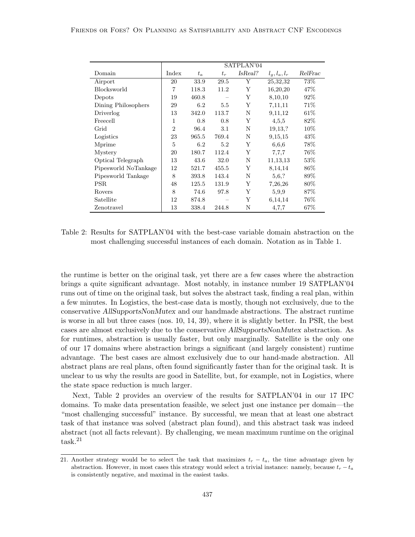|                      |                |       |       | SATPLAN'04 |                 |         |
|----------------------|----------------|-------|-------|------------|-----------------|---------|
| Domain               | Index          | $t_a$ | $t_r$ | IsReal?    | $l_g, l_a, l_r$ | RelFrac |
| Airport              | 20             | 33.9  | 29.5  | Y          | 25,32,32        | 73%     |
| Blocksworld          | 7              | 118.3 | 11.2  | Υ          | 16,20,20        | 47\%    |
| Depots               | 19             | 460.8 |       | Υ          | 8,10,10         | $92\%$  |
| Dining Philosophers  | 29             | 6.2   | 5.5   | Y          | 7,11,11         | 71\%    |
| Driverlog            | 13             | 342.0 | 113.7 | N          | 9,11,12         | 61\%    |
| Freecell             | $\mathbf{1}$   | 0.8   | 0.8   | Υ          | 4,5,5           | 82\%    |
| Grid                 | $\overline{2}$ | 96.4  | 3.1   | N          | 19,13,?         | 10\%    |
| Logistics            | 23             | 965.5 | 769.4 | N          | 9,15,15         | 43\%    |
| Mprime               | 5              | 6.2   | 5.2   | Y          | 6,6,6           | 78%     |
| Mystery              | 20             | 180.7 | 112.4 | Y          | 7,7,7           | $76\%$  |
| Optical Telegraph    | 13             | 43.6  | 32.0  | N          | 11, 13, 13      | 53\%    |
| Pipesworld NoTankage | 12             | 521.7 | 455.5 | Y          | 8,14,14         | $86\%$  |
| Pipesworld Tankage   | 8              | 393.8 | 143.4 | N          | 5,6,?           | 89%     |
| PSR.                 | 48             | 125.5 | 131.9 | Υ          | 7,26,26         | $80\%$  |
| Rovers               | 8              | 74.6  | 97.8  | Υ          | 5,9,9           | 87\%    |
| Satellite            | 12             | 874.8 |       | Υ          | 6,14,14         | 76%     |
| Zenotravel           | 13             | 338.4 | 244.8 | Ν          | 4,7,7           | 67\%    |

Table 2: Results for SATPLAN'04 with the best-case variable domain abstraction on the most challenging successful instances of each domain. Notation as in Table 1.

the runtime is better on the original task, yet there are a few cases where the abstraction brings a quite significant advantage. Most notably, in instance number 19 SATPLAN'04 runs out of time on the original task, but solves the abstract task, finding a real plan, within a few minutes. In Logistics, the best-case data is mostly, though not exclusively, due to the conservative AllSupportsNonMutex and our handmade abstractions. The abstract runtime is worse in all but three cases (nos. 10, 14, 39), where it is slightly better. In PSR, the best cases are almost exclusively due to the conservative AllSupportsNonMutex abstraction. As for runtimes, abstraction is usually faster, but only marginally. Satellite is the only one of our 17 domains where abstraction brings a significant (and largely consistent) runtime advantage. The best cases are almost exclusively due to our hand-made abstraction. All abstract plans are real plans, often found significantly faster than for the original task. It is unclear to us why the results are good in Satellite, but, for example, not in Logistics, where the state space reduction is much larger.

Next, Table 2 provides an overview of the results for SATPLAN'04 in our 17 IPC domains. To make data presentation feasible, we select just one instance per domain—the "most challenging successful" instance. By successful, we mean that at least one abstract task of that instance was solved (abstract plan found), and this abstract task was indeed abstract (not all facts relevant). By challenging, we mean maximum runtime on the original task.<sup>21</sup>

<sup>21.</sup> Another strategy would be to select the task that maximizes  $t_r - t_a$ , the time advantage given by abstraction. However, in most cases this strategy would select a trivial instance: namely, because  $t_r - t_a$ is consistently negative, and maximal in the easiest tasks.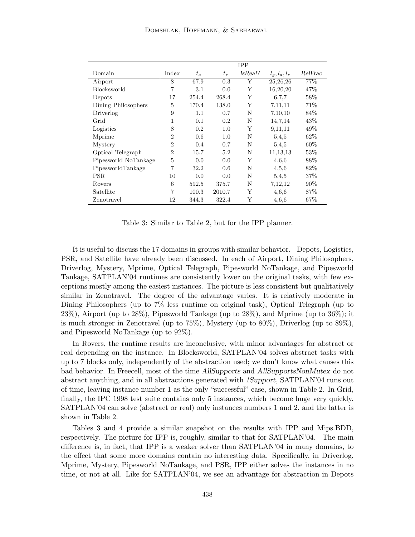|                      |                |       |        | <b>IPP</b> |                 |         |
|----------------------|----------------|-------|--------|------------|-----------------|---------|
| Domain               | Index          | $t_a$ | $t_r$  | IsReal?    | $l_g, l_a, l_r$ | RelFrac |
| Airport              | 8              | 67.9  | 0.3    | Y          | 25,26,26        | 77%     |
| <b>Blocksworld</b>   | 7              | 3.1   | 0.0    | Y          | 16,20,20        | 47\%    |
| Depots               | 17             | 254.4 | 268.4  | Υ          | 6.7.7           | 58%     |
| Dining Philosophers  | 5              | 170.4 | 138.0  | Y          | 7,11,11         | 71\%    |
| Driverlog            | 9              | 1.1   | 0.7    | N          | 7,10,10         | 84\%    |
| Grid                 | 1              | 0.1   | 0.2    | N          | 14,7,14         | 43\%    |
| Logistics            | 8              | 0.2   | 1.0    | Y          | 9,11,11         | 49\%    |
| Mprime               | $\overline{2}$ | 0.6   | 1.0    | N          | 5,4,5           | $62\%$  |
| Mystery              | $\overline{2}$ | 0.4   | 0.7    | N          | 5,4,5           | 60%     |
| Optical Telegraph    | $\overline{2}$ | 15.7  | 5.2    | N          | 11, 13, 13      | 53\%    |
| Pipesworld NoTankage | 5              | 0.0   | 0.0    | Y          | 4,6,6           | 88\%    |
| PipesworldTankage    | 7              | 32.2  | 0.6    | N          | 4,5,6           | 82\%    |
| PSR.                 | 10             | 0.0   | 0.0    | N          | 5,4,5           | 37\%    |
| Rovers               | 6              | 592.5 | 375.7  | N          | 7,12,12         | $90\%$  |
| Satellite            | 7              | 100.3 | 2010.7 | Y          | 4,6,6           | 87%     |
| Zenotravel           | 12             | 344.3 | 322.4  | Y          | 4,6,6           | 67%     |

Table 3: Similar to Table 2, but for the IPP planner.

It is useful to discuss the 17 domains in groups with similar behavior. Depots, Logistics, PSR, and Satellite have already been discussed. In each of Airport, Dining Philosophers, Driverlog, Mystery, Mprime, Optical Telegraph, Pipesworld NoTankage, and Pipesworld Tankage, SATPLAN'04 runtimes are consistently lower on the original tasks, with few exceptions mostly among the easiest instances. The picture is less consistent but qualitatively similar in Zenotravel. The degree of the advantage varies. It is relatively moderate in Dining Philosophers (up to 7% less runtime on original task), Optical Telegraph (up to 23%), Airport (up to 28%), Pipesworld Tankage (up to 28%), and Mprime (up to 36%); it is much stronger in Zenotravel (up to 75%), Mystery (up to 80%), Driverlog (up to 89%), and Pipesworld NoTankage (up to 92%).

In Rovers, the runtime results are inconclusive, with minor advantages for abstract or real depending on the instance. In Blocksworld, SATPLAN'04 solves abstract tasks with up to 7 blocks only, independently of the abstraction used; we don't know what causes this bad behavior. In Freecell, most of the time AllSupports and AllSupportsNonMutex do not abstract anything, and in all abstractions generated with 1Support, SATPLAN'04 runs out of time, leaving instance number 1 as the only "successful" case, shown in Table 2. In Grid, finally, the IPC 1998 test suite contains only 5 instances, which become huge very quickly. SATPLAN'04 can solve (abstract or real) only instances numbers 1 and 2, and the latter is shown in Table 2.

Tables 3 and 4 provide a similar snapshot on the results with IPP and Mips.BDD, respectively. The picture for IPP is, roughly, similar to that for SATPLAN'04. The main difference is, in fact, that IPP is a weaker solver than SATPLAN'04 in many domains, to the effect that some more domains contain no interesting data. Specifically, in Driverlog, Mprime, Mystery, Pipesworld NoTankage, and PSR, IPP either solves the instances in no time, or not at all. Like for SATPLAN'04, we see an advantage for abstraction in Depots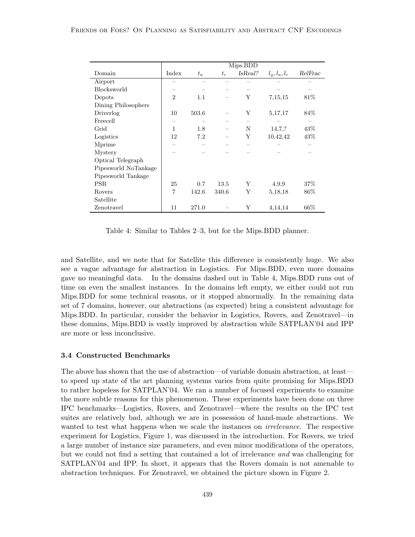|                      |                |       |       | Mips.BDD |                 |         |
|----------------------|----------------|-------|-------|----------|-----------------|---------|
| Domain               | Index          | $t_a$ | $t_r$ | IsReal?  | $l_g, l_a, l_r$ | RelFrac |
| Airport              |                |       |       |          |                 |         |
| Blocksworld          |                |       |       |          |                 |         |
| Depots               | $\overline{2}$ | 1.1   |       | Y        | 7,15,15         | 81\%    |
| Dining Philosophers  |                |       |       |          |                 |         |
| Driverlog            | 10             | 503.6 |       | Υ        | 5,17,17         | 84\%    |
| Freecell             |                |       |       |          |                 |         |
| Grid                 | 1              | 1.8   |       | N        | 14,7,?          | 43\%    |
| Logistics            | 12             | 7.2   |       | Υ        | 10,42,42        | 43\%    |
| Mprime               |                |       |       |          |                 |         |
| Mystery              |                |       |       |          |                 |         |
| Optical Telegraph    |                |       |       |          |                 |         |
| Pipesworld NoTankage |                |       |       |          |                 |         |
| Pipesworld Tankage   |                |       |       |          |                 |         |
| <b>PSR</b>           | 25             | 0.7   | 13.5  | Y        | 4,9,9           | 37\%    |
| Rovers               | $\overline{7}$ | 142.6 | 340.6 | Υ        | 5,18,18         | 86\%    |
| Satellite            |                |       |       |          |                 |         |
| Zenotravel           | 11             | 271.0 |       | Υ        | 4,14,14         | $66\%$  |

Table 4: Similar to Tables 2–3, but for the Mips.BDD planner.

and Satellite, and we note that for Satellite this difference is consistently huge. We also see a vague advantage for abstraction in Logistics. For Mips.BDD, even more domains gave no meaningful data. In the domains dashed out in Table 4, Mips.BDD runs out of time on even the smallest instances. In the domains left empty, we either could not run Mips.BDD for some technical reasons, or it stopped abnormally. In the remaining data set of 7 domains, however, our abstractions (as expected) bring a consistent advantage for Mips.BDD. In particular, consider the behavior in Logistics, Rovers, and Zenotravel—in these domains, Mips.BDD is vastly improved by abstraction while SATPLAN'04 and IPP are more or less inconclusive.

#### 3.4 Constructed Benchmarks

The above has shown that the use of abstraction—of variable domain abstraction, at least to speed up state of the art planning systems varies from quite promising for Mips.BDD to rather hopeless for SATPLAN'04. We ran a number of focused experiments to examine the more subtle reasons for this phenomenon. These experiments have been done on three IPC benchmarks—Logistics, Rovers, and Zenotravel—where the results on the IPC test suites are relatively bad, although we are in possession of hand-made abstractions. We wanted to test what happens when we scale the instances on *irrelevance*. The respective experiment for Logistics, Figure 1, was discussed in the introduction. For Rovers, we tried a large number of instance size parameters, and even minor modifications of the operators, but we could not find a setting that contained a lot of irrelevance and was challenging for SATPLAN'04 and IPP. In short, it appears that the Rovers domain is not amenable to abstraction techniques. For Zenotravel, we obtained the picture shown in Figure 2.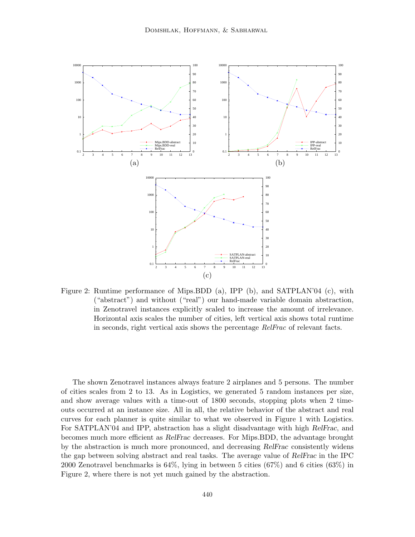

Figure 2: Runtime performance of Mips.BDD (a), IPP (b), and SATPLAN'04 (c), with ("abstract") and without ("real") our hand-made variable domain abstraction, in Zenotravel instances explicitly scaled to increase the amount of irrelevance. Horizontal axis scales the number of cities, left vertical axis shows total runtime in seconds, right vertical axis shows the percentage RelFrac of relevant facts.

The shown Zenotravel instances always feature 2 airplanes and 5 persons. The number of cities scales from 2 to 13. As in Logistics, we generated 5 random instances per size, and show average values with a time-out of 1800 seconds, stopping plots when 2 timeouts occurred at an instance size. All in all, the relative behavior of the abstract and real curves for each planner is quite similar to what we observed in Figure 1 with Logistics. For SATPLAN'04 and IPP, abstraction has a slight disadvantage with high RelFrac, and becomes much more efficient as RelFrac decreases. For Mips.BDD, the advantage brought by the abstraction is much more pronounced, and decreasing RelFrac consistently widens the gap between solving abstract and real tasks. The average value of RelFrac in the IPC 2000 Zenotravel benchmarks is  $64\%$ , lying in between 5 cities  $(67\%)$  and 6 cities  $(63\%)$  in Figure 2, where there is not yet much gained by the abstraction.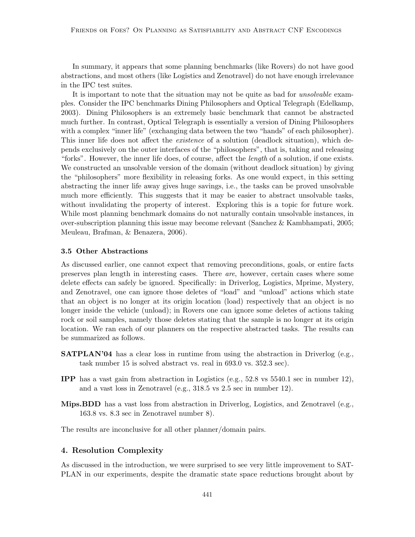In summary, it appears that some planning benchmarks (like Rovers) do not have good abstractions, and most others (like Logistics and Zenotravel) do not have enough irrelevance in the IPC test suites.

It is important to note that the situation may not be quite as bad for *unsolvable* examples. Consider the IPC benchmarks Dining Philosophers and Optical Telegraph (Edelkamp, 2003). Dining Philosophers is an extremely basic benchmark that cannot be abstracted much further. In contrast, Optical Telegraph is essentially a version of Dining Philosophers with a complex "inner life" (exchanging data between the two "hands" of each philosopher). This inner life does not affect the *existence* of a solution (deadlock situation), which depends exclusively on the outer interfaces of the "philosophers", that is, taking and releasing "forks". However, the inner life does, of course, affect the length of a solution, if one exists. We constructed an unsolvable version of the domain (without deadlock situation) by giving the "philosophers" more flexibility in releasing forks. As one would expect, in this setting abstracting the inner life away gives huge savings, i.e., the tasks can be proved unsolvable much more efficiently. This suggests that it may be easier to abstract unsolvable tasks, without invalidating the property of interest. Exploring this is a topic for future work. While most planning benchmark domains do not naturally contain unsolvable instances, in over-subscription planning this issue may become relevant (Sanchez & Kambhampati, 2005; Meuleau, Brafman, & Benazera, 2006).

## 3.5 Other Abstractions

As discussed earlier, one cannot expect that removing preconditions, goals, or entire facts preserves plan length in interesting cases. There are, however, certain cases where some delete effects can safely be ignored. Specifically: in Driverlog, Logistics, Mprime, Mystery, and Zenotravel, one can ignore those deletes of "load" and "unload" actions which state that an object is no longer at its origin location (load) respectively that an object is no longer inside the vehicle (unload); in Rovers one can ignore some deletes of actions taking rock or soil samples, namely those deletes stating that the sample is no longer at its origin location. We ran each of our planners on the respective abstracted tasks. The results can be summarized as follows.

- **SATPLAN'04** has a clear loss in runtime from using the abstraction in Driverlog (e.g., task number 15 is solved abstract vs. real in 693.0 vs. 352.3 sec).
- IPP has a vast gain from abstraction in Logistics (e.g., 52.8 vs 5540.1 sec in number 12), and a vast loss in Zenotravel (e.g., 318.5 vs 2.5 sec in number 12).
- Mips.BDD has a vast loss from abstraction in Driverlog, Logistics, and Zenotravel (e.g., 163.8 vs. 8.3 sec in Zenotravel number 8).

The results are inconclusive for all other planner/domain pairs.

## 4. Resolution Complexity

As discussed in the introduction, we were surprised to see very little improvement to SAT-PLAN in our experiments, despite the dramatic state space reductions brought about by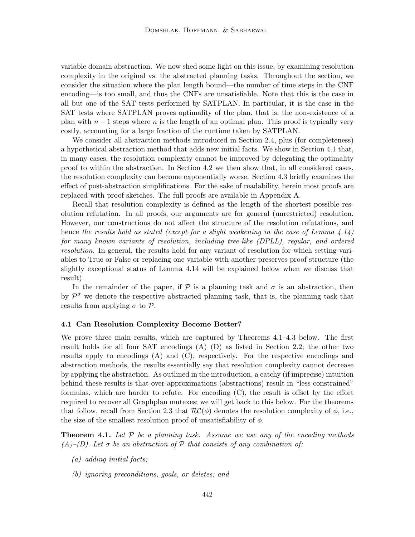variable domain abstraction. We now shed some light on this issue, by examining resolution complexity in the original vs. the abstracted planning tasks. Throughout the section, we consider the situation where the plan length bound—the number of time steps in the CNF encoding—is too small, and thus the CNFs are unsatisfiable. Note that this is the case in all but one of the SAT tests performed by SATPLAN. In particular, it is the case in the SAT tests where SATPLAN proves optimality of the plan, that is, the non-existence of a plan with  $n-1$  steps where n is the length of an optimal plan. This proof is typically very costly, accounting for a large fraction of the runtime taken by SATPLAN.

We consider all abstraction methods introduced in Section 2.4, plus (for completeness) a hypothetical abstraction method that adds new initial facts. We show in Section 4.1 that, in many cases, the resolution complexity cannot be improved by delegating the optimality proof to within the abstraction. In Section 4.2 we then show that, in all considered cases, the resolution complexity can become exponentially worse. Section 4.3 briefly examines the effect of post-abstraction simplifications. For the sake of readability, herein most proofs are replaced with proof sketches. The full proofs are available in Appendix A.

Recall that resolution complexity is defined as the length of the shortest possible resolution refutation. In all proofs, our arguments are for general (unrestricted) resolution. However, our constructions do not affect the structure of the resolution refutations, and hence the results hold as stated (except for a slight weakening in the case of Lemma  $4.14$ ) for many known variants of resolution, including tree-like (DPLL), regular, and ordered resolution. In general, the results hold for any variant of resolution for which setting variables to True or False or replacing one variable with another preserves proof structure (the slightly exceptional status of Lemma 4.14 will be explained below when we discuss that result).

In the remainder of the paper, if  $\mathcal P$  is a planning task and  $\sigma$  is an abstraction, then by  $\mathcal{P}^{\sigma}$  we denote the respective abstracted planning task, that is, the planning task that results from applying  $\sigma$  to  $\mathcal{P}$ .

#### 4.1 Can Resolution Complexity Become Better?

We prove three main results, which are captured by Theorems 4.1–4.3 below. The first result holds for all four SAT encodings  $(A)$ – $(D)$  as listed in Section 2.2; the other two results apply to encodings (A) and (C), respectively. For the respective encodings and abstraction methods, the results essentially say that resolution complexity cannot decrease by applying the abstraction. As outlined in the introduction, a catchy (if imprecise) intuition behind these results is that over-approximations (abstractions) result in "less constrained" formulas, which are harder to refute. For encoding (C), the result is offset by the effort required to recover all Graphplan mutexes; we will get back to this below. For the theorems that follow, recall from Section 2.3 that  $\mathcal{RC}(\phi)$  denotes the resolution complexity of  $\phi$ , i.e., the size of the smallest resolution proof of unsatisfiability of  $\phi$ .

**Theorem 4.1.** Let  $P$  be a planning task. Assume we use any of the encoding methods  $(A)$ –(D). Let  $\sigma$  be an abstraction of  $P$  that consists of any combination of:

- (a) adding initial facts;
- (b) ignoring preconditions, goals, or deletes; and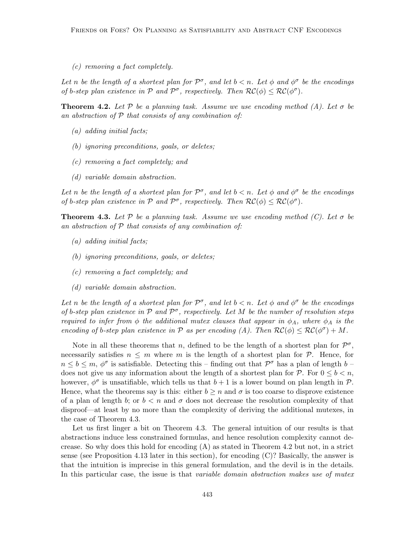(c) removing a fact completely.

Let n be the length of a shortest plan for  $\mathcal{P}^{\sigma}$ , and let  $b < n$ . Let  $\phi$  and  $\phi^{\sigma}$  be the encodings of b-step plan existence in  $P$  and  $P^{\sigma}$ , respectively. Then  $RC(\phi) \leq RC(\phi^{\sigma})$ .

**Theorem 4.2.** Let  $P$  be a planning task. Assume we use encoding method (A). Let  $\sigma$  be an abstraction of  $P$  that consists of any combination of:

- (a) adding initial facts;
- (b) ignoring preconditions, goals, or deletes;
- (c) removing a fact completely; and
- (d) variable domain abstraction.

Let n be the length of a shortest plan for  $\mathcal{P}^{\sigma}$ , and let  $b < n$ . Let  $\phi$  and  $\phi^{\sigma}$  be the encodings of b-step plan existence in  $P$  and  $P^{\sigma}$ , respectively. Then  $RC(\phi) \leq RC(\phi^{\sigma})$ .

**Theorem 4.3.** Let P be a planning task. Assume we use encoding method (C). Let  $\sigma$  be an abstraction of  $P$  that consists of any combination of:

- (a) adding initial facts;
- (b) ignoring preconditions, goals, or deletes;
- (c) removing a fact completely; and
- (d) variable domain abstraction.

Let n be the length of a shortest plan for  $\mathcal{P}^{\sigma}$ , and let  $b < n$ . Let  $\phi$  and  $\phi^{\sigma}$  be the encodings of b-step plan existence in  $P$  and  $P^{\sigma}$ , respectively. Let M be the number of resolution steps required to infer from  $\phi$  the additional mutex clauses that appear in  $\phi_A$ , where  $\phi_A$  is the encoding of b-step plan existence in P as per encoding (A). Then  $RC(\phi) \leq RC(\phi^{\sigma}) + M$ .

Note in all these theorems that n, defined to be the length of a shortest plan for  $\mathcal{P}^{\sigma}$ , necessarily satisfies  $n \leq m$  where m is the length of a shortest plan for  $P$ . Hence, for  $n \leq b \leq m, \, \phi^{\sigma}$  is satisfiable. Detecting this – finding out that  $\mathcal{P}^{\sigma}$  has a plan of length  $b$  – does not give us any information about the length of a shortest plan for  $P$ . For  $0 \leq b \leq n$ , however,  $\phi^{\sigma}$  is unsatifiable, which tells us that  $b + 1$  is a lower bound on plan length in  $\mathcal{P}$ . Hence, what the theorems say is this: either  $b \geq n$  and  $\sigma$  is too coarse to disprove existence of a plan of length b; or  $b < n$  and  $\sigma$  does not decrease the resolution complexity of that disproof—at least by no more than the complexity of deriving the additional mutexes, in the case of Theorem 4.3.

Let us first linger a bit on Theorem 4.3. The general intuition of our results is that abstractions induce less constrained formulas, and hence resolution complexity cannot decrease. So why does this hold for encoding (A) as stated in Theorem 4.2 but not, in a strict sense (see Proposition 4.13 later in this section), for encoding (C)? Basically, the answer is that the intuition is imprecise in this general formulation, and the devil is in the details. In this particular case, the issue is that variable domain abstraction makes use of mutex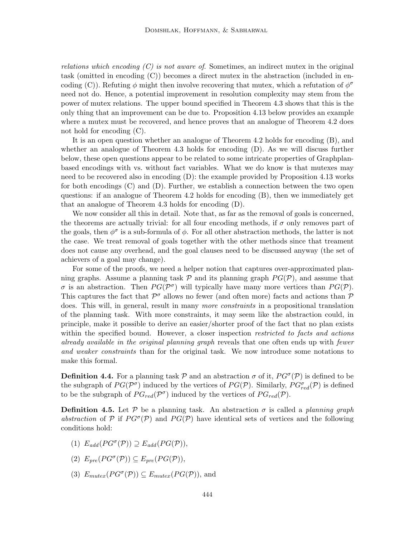relations which encoding  $(C)$  is not aware of. Sometimes, an indirect mutex in the original task (omitted in encoding (C)) becomes a direct mutex in the abstraction (included in encoding (C)). Refuting  $\phi$  might then involve recovering that mutex, which a refutation of  $\phi^{\sigma}$ need not do. Hence, a potential improvement in resolution complexity may stem from the power of mutex relations. The upper bound specified in Theorem 4.3 shows that this is the only thing that an improvement can be due to. Proposition 4.13 below provides an example where a mutex must be recovered, and hence proves that an analogue of Theorem 4.2 does not hold for encoding (C).

It is an open question whether an analogue of Theorem 4.2 holds for encoding (B), and whether an analogue of Theorem 4.3 holds for encoding (D). As we will discuss further below, these open questions appear to be related to some intricate properties of Graphplanbased encodings with vs. without fact variables. What we do know is that mutexes may need to be recovered also in encoding (D): the example provided by Proposition 4.13 works for both encodings (C) and (D). Further, we establish a connection between the two open questions: if an analogue of Theorem 4.2 holds for encoding (B), then we immediately get that an analogue of Theorem 4.3 holds for encoding (D).

We now consider all this in detail. Note that, as far as the removal of goals is concerned, the theorems are actually trivial: for all four encoding methods, if  $\sigma$  only removes part of the goals, then  $\phi^{\sigma}$  is a sub-formula of  $\phi$ . For all other abstraction methods, the latter is not the case. We treat removal of goals together with the other methods since that treament does not cause any overhead, and the goal clauses need to be discussed anyway (the set of achievers of a goal may change).

For some of the proofs, we need a helper notion that captures over-approximated planning graphs. Assume a planning task  $P$  and its planning graph  $PG(P)$ , and assume that  $\sigma$  is an abstraction. Then  $PG(\mathcal{P}^{\sigma})$  will typically have many more vertices than  $PG(\mathcal{P})$ . This captures the fact that  $\mathcal{P}^{\sigma}$  allows no fewer (and often more) facts and actions than  $\mathcal{P}$ does. This will, in general, result in many more constraints in a propositional translation of the planning task. With more constraints, it may seem like the abstraction could, in principle, make it possible to derive an easier/shorter proof of the fact that no plan exists within the specified bound. However, a closer inspection *restricted to facts and actions* already available in the original planning graph reveals that one often ends up with fewer and weaker constraints than for the original task. We now introduce some notations to make this formal.

**Definition 4.4.** For a planning task  $P$  and an abstraction  $\sigma$  of it,  $PG^{\sigma}(P)$  is defined to be the subgraph of  $PG(\mathcal{P}^{\sigma})$  induced by the vertices of  $PG(\mathcal{P})$ . Similarly,  $PG_{red}^{\sigma}(\mathcal{P})$  is defined to be the subgraph of  $PG_{red}(\mathcal{P}^{\sigma})$  induced by the vertices of  $PG_{red}(\mathcal{P})$ .

**Definition 4.5.** Let P be a planning task. An abstraction  $\sigma$  is called a *planning graph* abstraction of P if  $PG^{\sigma}(\mathcal{P})$  and  $PG(\mathcal{P})$  have identical sets of vertices and the following conditions hold:

- (1)  $E_{add}(PG^{\sigma}(\mathcal{P})) \supseteq E_{add}(PG(\mathcal{P})),$
- (2)  $E_{pre}(PG^{\sigma}(\mathcal{P})) \subseteq E_{pre}(PG(\mathcal{P})),$
- (3)  $E_{mutes}(PG^{\sigma}(\mathcal{P})) \subseteq E_{mutes}(PG(\mathcal{P})),$  and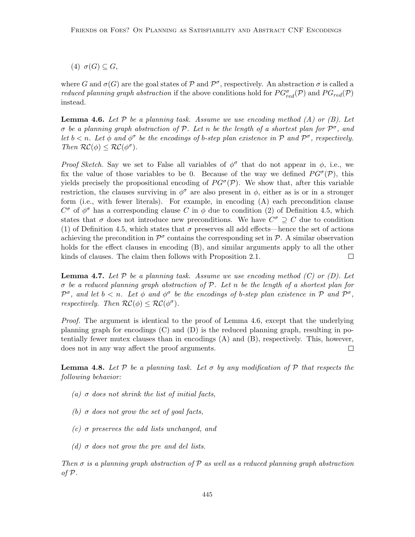(4)  $\sigma(G) \subseteq G$ ,

where G and  $\sigma(G)$  are the goal states of P and  $\mathcal{P}^{\sigma}$ , respectively. An abstraction  $\sigma$  is called a *reduced planning graph abstraction* if the above conditions hold for  $PG_{red}^{\sigma}(\mathcal{P})$  and  $PG_{red}(\mathcal{P})$ instead.

**Lemma 4.6.** Let  $P$  be a planning task. Assume we use encoding method (A) or (B). Let  $\sigma$  be a planning graph abstraction of P. Let n be the length of a shortest plan for  $\mathcal{P}^{\sigma}$ , and let  $b < n$ . Let  $\phi$  and  $\phi^{\sigma}$  be the encodings of b-step plan existence in P and  $\mathcal{P}^{\sigma}$ , respectively. Then  $\mathcal{RC}(\phi) \leq \mathcal{RC}(\phi^{\sigma})$ .

Proof Sketch. Say we set to False all variables of  $\phi^{\sigma}$  that do not appear in  $\phi$ , i.e., we fix the value of those variables to be 0. Because of the way we defined  $PG^{\sigma}(\mathcal{P})$ , this yields precisely the propositional encoding of  $PG^{\sigma}(\mathcal{P})$ . We show that, after this variable restriction, the clauses surviving in  $\phi^{\sigma}$  are also present in  $\phi$ , either as is or in a stronger form (i.e., with fewer literals). For example, in encoding (A) each precondition clause  $C^{\sigma}$  of  $\phi^{\sigma}$  has a corresponding clause C in  $\phi$  due to condition (2) of Definition 4.5, which states that  $\sigma$  does not introduce new preconditions. We have  $C^{\sigma} \supseteq C$  due to condition (1) of Definition 4.5, which states that  $\sigma$  preserves all add effects—hence the set of actions achieving the precondition in  $\mathcal{P}^{\sigma}$  contains the corresponding set in  $\mathcal{P}$ . A similar observation holds for the effect clauses in encoding (B), and similar arguments apply to all the other kinds of clauses. The claim then follows with Proposition 2.1.  $\Box$ 

**Lemma 4.7.** Let  $P$  be a planning task. Assume we use encoding method  $(C)$  or  $(D)$ . Let  $\sigma$  be a reduced planning graph abstraction of  $\mathcal{P}$ . Let n be the length of a shortest plan for  $\mathcal{P}^{\sigma}$ , and let  $b < n$ . Let  $\phi$  and  $\phi^{\sigma}$  be the encodings of b-step plan existence in  $\mathcal{P}$  and  $\mathcal{P}^{\sigma}$ , respectively. Then  $\mathcal{RC}(\phi) \leq \mathcal{RC}(\phi^{\sigma})$ .

Proof. The argument is identical to the proof of Lemma 4.6, except that the underlying planning graph for encodings (C) and (D) is the reduced planning graph, resulting in potentially fewer mutex clauses than in encodings (A) and (B), respectively. This, however, does not in any way affect the proof arguments.  $\Box$ 

**Lemma 4.8.** Let  $\mathcal{P}$  be a planning task. Let  $\sigma$  by any modification of  $\mathcal{P}$  that respects the following behavior:

- (a)  $\sigma$  does not shrink the list of initial facts,
- (b)  $\sigma$  does not grow the set of goal facts,
- (c)  $\sigma$  preserves the add lists unchanged, and
- (d)  $\sigma$  does not grow the pre and del lists.

Then  $\sigma$  is a planning graph abstraction of P as well as a reduced planning graph abstraction of  $P$ .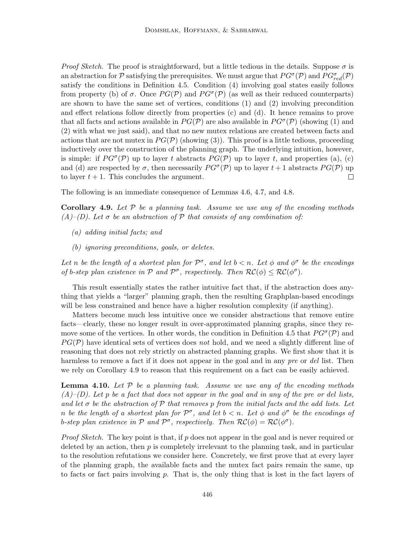*Proof Sketch.* The proof is straightforward, but a little tedious in the details. Suppose  $\sigma$  is an abstraction for  $P$  satisfying the prerequisites. We must argue that  $PG^{\sigma}(P)$  and  $PG^{\sigma}_{red}(P)$ satisfy the conditions in Definition 4.5. Condition (4) involving goal states easily follows from property (b) of  $\sigma$ . Once  $PG(\mathcal{P})$  and  $PG^{\sigma}(\mathcal{P})$  (as well as their reduced counterparts) are shown to have the same set of vertices, conditions (1) and (2) involving precondition and effect relations follow directly from properties (c) and (d). It hence remains to prove that all facts and actions available in  $PG(\mathcal{P})$  are also available in  $PG^{\sigma}(\mathcal{P})$  (showing (1) and (2) with what we just said), and that no new mutex relations are created between facts and actions that are not mutex in  $PG(\mathcal{P})$  (showing (3)). This proof is a little tedious, proceeding inductively over the construction of the planning graph. The underlying intuition, however, is simple: if  $PG^{\sigma}(\mathcal{P})$  up to layer t abstracts  $PG(\mathcal{P})$  up to layer t, and properties (a), (c) and (d) are respected by  $\sigma$ , then necessarily  $PG^{\sigma}(\mathcal{P})$  up to layer  $t+1$  abstracts  $PG(\mathcal{P})$  up to layer  $t + 1$ . This concludes the argument.  $\Box$ 

The following is an immediate consequence of Lemmas 4.6, 4.7, and 4.8.

Corollary 4.9. Let  $P$  be a planning task. Assume we use any of the encoding methods  $(A)-\text{(}D\text{)}.$  Let  $\sigma$  be an abstraction of  $P$  that consists of any combination of:

- (a) adding initial facts; and
- (b) ignoring preconditions, goals, or deletes.

Let n be the length of a shortest plan for  $\mathcal{P}^{\sigma}$ , and let  $b < n$ . Let  $\phi$  and  $\phi^{\sigma}$  be the encodings of b-step plan existence in  $P$  and  $P^{\sigma}$ , respectively. Then  $RC(\phi) \leq RC(\phi^{\sigma})$ .

This result essentially states the rather intuitive fact that, if the abstraction does anything that yields a "larger" planning graph, then the resulting Graphplan-based encodings will be less constrained and hence have a higher resolution complexity (if anything).

Matters become much less intuitive once we consider abstractions that remove entire facts—clearly, these no longer result in over-approximated planning graphs, since they remove some of the vertices. In other words, the condition in Definition 4.5 that  $PG^{\sigma}(\mathcal{P})$  and  $PG(\mathcal{P})$  have identical sets of vertices does not hold, and we need a slightly different line of reasoning that does not rely strictly on abstracted planning graphs. We first show that it is harmless to remove a fact if it does not appear in the goal and in any pre or del list. Then we rely on Corollary 4.9 to reason that this requirement on a fact can be easily achieved.

**Lemma 4.10.** Let  $P$  be a planning task. Assume we use any of the encoding methods  $(A)$ –(D). Let p be a fact that does not appear in the goal and in any of the pre or del lists, and let  $\sigma$  be the abstraction of  $\mathcal P$  that removes p from the initial facts and the add lists. Let n be the length of a shortest plan for  $\mathcal{P}^{\sigma}$ , and let  $b < n$ . Let  $\phi$  and  $\phi^{\sigma}$  be the encodings of b-step plan existence in  $P$  and  $P^{\sigma}$ , respectively. Then  $RC(\phi) = RC(\phi^{\sigma})$ .

*Proof Sketch.* The key point is that, if p does not appear in the goal and is never required or deleted by an action, then  $p$  is completely irrelevant to the planning task, and in particular to the resolution refutations we consider here. Concretely, we first prove that at every layer of the planning graph, the available facts and the mutex fact pairs remain the same, up to facts or fact pairs involving p. That is, the only thing that is lost in the fact layers of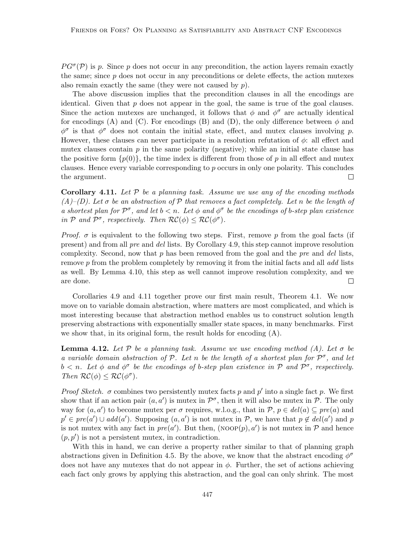$PG^{\sigma}(\mathcal{P})$  is p. Since p does not occur in any precondition, the action layers remain exactly the same; since  $p$  does not occur in any preconditions or delete effects, the action mutexes also remain exactly the same (they were not caused by  $p$ ).

The above discussion implies that the precondition clauses in all the encodings are identical. Given that  $p$  does not appear in the goal, the same is true of the goal clauses. Since the action mutexes are unchanged, it follows that  $\phi$  and  $\phi^{\sigma}$  are actually identical for encodings (A) and (C). For encodings (B) and (D), the only difference between  $\phi$  and  $\phi^{\sigma}$  is that  $\phi^{\sigma}$  does not contain the initial state, effect, and mutex clauses involving p. However, these clauses can never participate in a resolution refutation of  $\phi$ : all effect and mutex clauses contain  $p$  in the same polarity (negative); while an initial state clause has the positive form  $\{p(0)\}\$ , the time index is different from those of p in all effect and mutex clauses. Hence every variable corresponding to p occurs in only one polarity. This concludes the argument.  $\Box$ 

**Corollary 4.11.** Let  $\mathcal{P}$  be a planning task. Assume we use any of the encoding methods  $(A)$ –(D). Let  $\sigma$  be an abstraction of  $\mathcal P$  that removes a fact completely. Let n be the length of a shortest plan for  $\mathcal{P}^{\sigma}$ , and let  $b < n$ . Let  $\phi$  and  $\phi^{\sigma}$  be the encodings of b-step plan existence in P and  $\mathcal{P}^{\sigma}$ , respectively. Then  $\mathcal{RC}(\phi) \leq \mathcal{RC}(\phi^{\sigma})$ .

*Proof.*  $\sigma$  is equivalent to the following two steps. First, remove p from the goal facts (if present) and from all pre and del lists. By Corollary 4.9, this step cannot improve resolution complexity. Second, now that  $p$  has been removed from the goal and the pre and del lists, remove p from the problem completely by removing it from the initial facts and all add lists as well. By Lemma 4.10, this step as well cannot improve resolution complexity, and we are done.  $\Box$ 

Corollaries 4.9 and 4.11 together prove our first main result, Theorem 4.1. We now move on to variable domain abstraction, where matters are most complicated, and which is most interesting because that abstraction method enables us to construct solution length preserving abstractions with exponentially smaller state spaces, in many benchmarks. First we show that, in its original form, the result holds for encoding (A).

**Lemma 4.12.** Let P be a planning task. Assume we use encoding method (A). Let  $\sigma$  be a variable domain abstraction of P. Let n be the length of a shortest plan for  $\mathcal{P}^{\sigma}$ , and let  $b < n$ . Let  $\phi$  and  $\phi^{\sigma}$  be the encodings of b-step plan existence in P and  $\mathcal{P}^{\sigma}$ , respectively. Then  $\mathcal{RC}(\phi) \leq \mathcal{RC}(\phi^{\sigma})$ .

*Proof Sketch.*  $\sigma$  combines two persistently mutex facts p and p' into a single fact p. We first show that if an action pair  $(a, a')$  is mutex in  $\mathcal{P}^{\sigma}$ , then it will also be mutex in  $\mathcal{P}$ . The only way for  $(a, a')$  to become mutex per  $\sigma$  requires, w.l.o.g., that in  $\mathcal{P}, p \in del(a) \subseteq pre(a)$  and  $p' \in pre(a') \cup add(a')$ . Supposing  $(a, a')$  is not mutex in P, we have that  $p \notin del(a')$  and p is not mutex with any fact in  $pre(a')$ . But then,  $(NoOP(p), a')$  is not mutex in P and hence  $(p, p')$  is not a persistent mutex, in contradiction.

With this in hand, we can derive a property rather similar to that of planning graph abstractions given in Definition 4.5. By the above, we know that the abstract encoding  $\phi^{\sigma}$ does not have any mutexes that do not appear in  $\phi$ . Further, the set of actions achieving each fact only grows by applying this abstraction, and the goal can only shrink. The most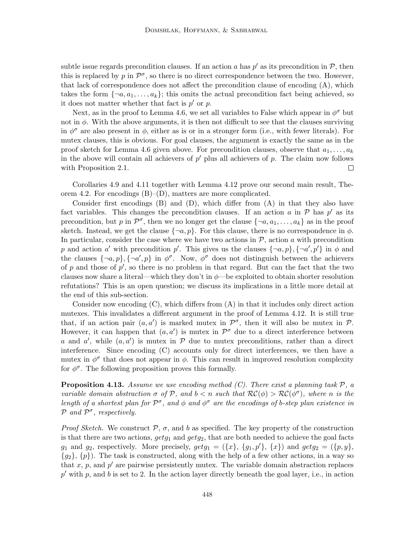subtle issue regards precondition clauses. If an action a has  $p'$  as its precondition in  $P$ , then this is replaced by  $p \text{ in } \mathcal{P}^{\sigma}$ , so there is no direct correspondence between the two. However, that lack of correspondence does not affect the precondition clause of encoding (A), which takes the form  $\{\neg a, a_1, \dots, a_k\}$ ; this omits the actual precondition fact being achieved, so it does not matter whether that fact is  $p'$  or  $p$ .

Next, as in the proof to Lemma 4.6, we set all variables to False which appear in  $\phi^{\sigma}$  but not in  $\phi$ . With the above arguments, it is then not difficult to see that the clauses surviving in  $\phi^{\sigma}$  are also present in  $\phi$ , either as is or in a stronger form (i.e., with fewer literals). For mutex clauses, this is obvious. For goal clauses, the argument is exactly the same as in the proof sketch for Lemma 4.6 given above. For precondition clauses, observe that  $a_1, \ldots, a_k$ in the above will contain all achievers of  $p'$  plus all achievers of p. The claim now follows with Proposition 2.1.  $\Box$ 

Corollaries 4.9 and 4.11 together with Lemma 4.12 prove our second main result, Theorem 4.2. For encodings  $(B)$ – $(D)$ , matters are more complicated.

Consider first encodings  $(B)$  and  $(D)$ , which differ from  $(A)$  in that they also have fact variables. This changes the precondition clauses. If an action a in  $P$  has  $p'$  as its precondition, but p in  $\mathcal{P}^{\sigma}$ , then we no longer get the clause  $\{\neg a, a_1, \dots, a_k\}$  as in the proof sketch. Instead, we get the clause  $\{\neg a, p\}$ . For this clause, there is no correspondence in  $\phi$ . In particular, consider the case where we have two actions in  $P$ , action a with precondition p and action a' with precondition p'. This gives us the clauses  $\{\neg a, p\}, \{\neg a', p'\}$  in  $\phi$  and the clauses  $\{\neg a, p\}, \{\neg a', p\}$  in  $\phi^{\sigma}$ . Now,  $\phi^{\sigma}$  does not distinguish between the achievers of  $p$  and those of  $p'$ , so there is no problem in that regard. But can the fact that the two clauses now share a literal—which they don't in  $\phi$ —be exploited to obtain shorter resolution refutations? This is an open question; we discuss its implications in a little more detail at the end of this sub-section.

Consider now encoding  $(C)$ , which differs from  $(A)$  in that it includes only direct action mutexes. This invalidates a different argument in the proof of Lemma 4.12. It is still true that, if an action pair  $(a, a')$  is marked mutex in  $\mathcal{P}^{\sigma}$ , then it will also be mutex in  $\mathcal{P}$ . However, it can happen that  $(a, a')$  is mutex in  $\mathcal{P}^{\sigma}$  due to a direct interference between a and a', while  $(a, a')$  is mutex in  $P$  due to mutex preconditions, rather than a direct interference. Since encoding (C) accounts only for direct interferences, we then have a mutex in  $\phi^{\sigma}$  that does not appear in  $\phi$ . This can result in improved resolution complexity for  $\phi^{\sigma}$ . The following proposition proves this formally.

**Proposition 4.13.** Assume we use encoding method  $(C)$ . There exist a planning task  $\mathcal{P}$ , a variable domain abstraction  $\sigma$  of  $P$ , and  $b < n$  such that  $RC(\phi) > RC(\phi^{\sigma})$ , where n is the length of a shortest plan for  $\mathcal{P}^{\sigma}$ , and  $\phi$  and  $\phi^{\sigma}$  are the encodings of b-step plan existence in  $P$  and  $P^{\sigma}$ , respectively.

*Proof Sketch.* We construct  $P$ ,  $\sigma$ , and b as specified. The key property of the construction is that there are two actions,  $getg_1$  and  $getg_2$ , that are both needed to achieve the goal facts  $g_1$  and  $g_2$ , respectively. More precisely,  $getg_1 = (\{x\}, \{g_1, p'\}, \{x\})$  and  $getg_2 = (\{p, y\}, \{x\})$  $\{g_2\}, \{p\}$ . The task is constructed, along with the help of a few other actions, in a way so that  $x, p$ , and  $p'$  are pairwise persistently mutex. The variable domain abstraction replaces  $p'$  with p, and b is set to 2. In the action layer directly beneath the goal layer, i.e., in action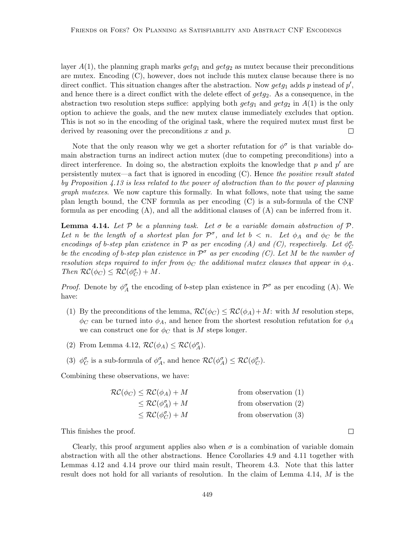layer  $A(1)$ , the planning graph marks  $getg_1$  and  $getg_2$  as mutex because their preconditions are mutex. Encoding (C), however, does not include this mutex clause because there is no direct conflict. This situation changes after the abstraction. Now  $\text{getg}_1$  adds p instead of  $p'$ , and hence there is a direct conflict with the delete effect of  $getg_2$ . As a consequence, in the abstraction two resolution steps suffice: applying both  $getg_1$  and  $getg_2$  in  $A(1)$  is the only option to achieve the goals, and the new mutex clause immediately excludes that option. This is not so in the encoding of the original task, where the required mutex must first be derived by reasoning over the preconditions  $x$  and  $p$ .  $\Box$ 

Note that the only reason why we get a shorter refutation for  $\phi^{\sigma}$  is that variable domain abstraction turns an indirect action mutex (due to competing preconditions) into a direct interference. In doing so, the abstraction exploits the knowledge that  $p$  and  $p'$  are persistently mutes—a fact that is ignored in encoding  $(C)$ . Hence the positive result stated by Proposition 4.13 is less related to the power of abstraction than to the power of planning graph mutexes. We now capture this formally. In what follows, note that using the same plan length bound, the CNF formula as per encoding (C) is a sub-formula of the CNF formula as per encoding (A), and all the additional clauses of (A) can be inferred from it.

**Lemma 4.14.** Let P be a planning task. Let  $\sigma$  be a variable domain abstraction of P. Let n be the length of a shortest plan for  $\mathcal{P}^{\sigma}$ , and let  $b < n$ . Let  $\phi_A$  and  $\phi_C$  be the encodings of b-step plan existence in  $P$  as per encoding (A) and (C), respectively. Let  $\phi_C^{\sigma}$ be the encoding of b-step plan existence in  $\mathcal{P}^{\sigma}$  as per encoding (C). Let M be the number of resolution steps required to infer from  $\phi_C$  the additional mutex clauses that appear in  $\phi_A$ . Then  $\mathcal{RC}(\phi_C) \leq \mathcal{RC}(\phi_C^{\sigma}) + M$ .

*Proof.* Denote by  $\phi_A^{\sigma}$  the encoding of b-step plan existence in  $\mathcal{P}^{\sigma}$  as per encoding (A). We have:

- (1) By the preconditions of the lemma,  $\mathcal{RC}(\phi_C) \leq \mathcal{RC}(\phi_A) + M$ : with M resolution steps,  $\phi_C$  can be turned into  $\phi_A$ , and hence from the shortest resolution refutation for  $\phi_A$ we can construct one for  $\phi_C$  that is M steps longer.
- (2) From Lemma 4.12,  $\mathcal{RC}(\phi_A) \leq \mathcal{RC}(\phi_A^{\sigma}).$
- (3)  $\phi_C^{\sigma}$  is a sub-formula of  $\phi_A^{\sigma}$ , and hence  $\mathcal{RC}(\phi_A^{\sigma}) \leq \mathcal{RC}(\phi_C^{\sigma})$ .

Combining these observations, we have:

| $\mathcal{RC}(\phi_C) \leq \mathcal{RC}(\phi_A) + M$ | from observation $(1)$ |
|------------------------------------------------------|------------------------|
| $\leq \mathcal{RC}(\phi^{\sigma}_A) + M$             | from observation $(2)$ |
| $\leq \mathcal{RC}(\phi_C^{\sigma})+M$               | from observation $(3)$ |

This finishes the proof.

Clearly, this proof argument applies also when  $\sigma$  is a combination of variable domain abstraction with all the other abstractions. Hence Corollaries 4.9 and 4.11 together with Lemmas 4.12 and 4.14 prove our third main result, Theorem 4.3. Note that this latter result does not hold for all variants of resolution. In the claim of Lemma 4.14, M is the

 $\Box$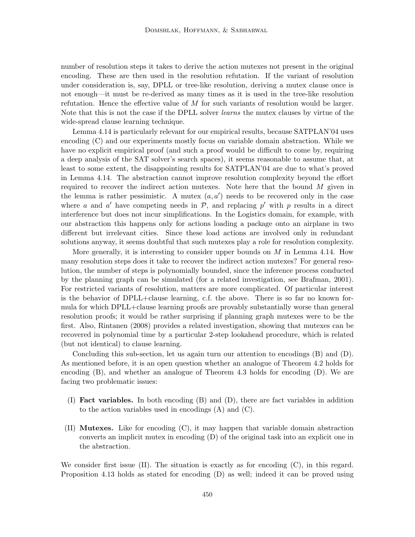number of resolution steps it takes to derive the action mutexes not present in the original encoding. These are then used in the resolution refutation. If the variant of resolution under consideration is, say, DPLL or tree-like resolution, deriving a mutex clause once is not enough—it must be re-derived as many times as it is used in the tree-like resolution refutation. Hence the effective value of  $M$  for such variants of resolution would be larger. Note that this is not the case if the DPLL solver learns the mutex clauses by virtue of the wide-spread clause learning technique.

Lemma 4.14 is particularly relevant for our empirical results, because SATPLAN'04 uses encoding (C) and our experiments mostly focus on variable domain abstraction. While we have no explicit empirical proof (and such a proof would be difficult to come by, requiring a deep analysis of the SAT solver's search spaces), it seems reasonable to assume that, at least to some extent, the disappointing results for SATPLAN'04 are due to what's proved in Lemma 4.14. The abstraction cannot improve resolution complexity beyond the effort required to recover the indirect action mutexes. Note here that the bound  $M$  given in the lemma is rather pessimistic. A mutex  $(a, a')$  needs to be recovered only in the case where a and a' have competing needs in  $P$ , and replacing p' with p results in a direct interference but does not incur simplifications. In the Logistics domain, for example, with our abstraction this happens only for actions loading a package onto an airplane in two different but irrelevant cities. Since these load actions are involved only in redundant solutions anyway, it seems doubtful that such mutexes play a role for resolution complexity.

More generally, it is interesting to consider upper bounds on  $M$  in Lemma 4.14. How many resolution steps does it take to recover the indirect action mutexes? For general resolution, the number of steps is polynomially bounded, since the inference process conducted by the planning graph can be simulated (for a related investigation, see Brafman, 2001). For restricted variants of resolution, matters are more complicated. Of particular interest is the behavior of DPLL+clause learning, c.f. the above. There is so far no known formula for which DPLL+clause learning proofs are provably substantially worse than general resolution proofs; it would be rather surprising if planning graph mutexes were to be the first. Also, Rintanen (2008) provides a related investigation, showing that mutexes can be recovered in polynomial time by a particular 2-step lookahead procedure, which is related (but not identical) to clause learning.

Concluding this sub-section, let us again turn our attention to encodings (B) and (D). As mentioned before, it is an open question whether an analogue of Theorem 4.2 holds for encoding (B), and whether an analogue of Theorem 4.3 holds for encoding (D). We are facing two problematic issues:

- (I) Fact variables. In both encoding (B) and (D), there are fact variables in addition to the action variables used in encodings (A) and (C).
- (II) Mutexes. Like for encoding (C), it may happen that variable domain abstraction converts an implicit mutex in encoding (D) of the original task into an explicit one in the abstraction.

We consider first issue  $(II)$ . The situation is exactly as for encoding  $(C)$ , in this regard. Proposition 4.13 holds as stated for encoding (D) as well; indeed it can be proved using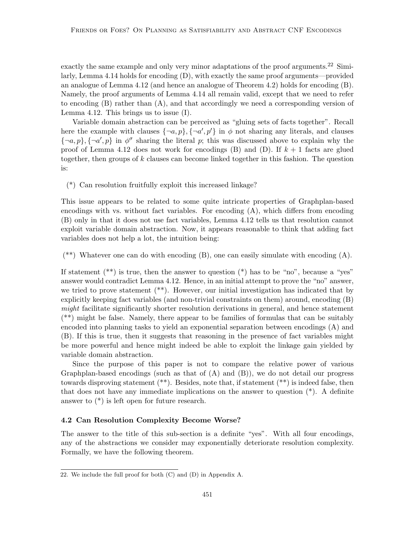exactly the same example and only very minor adaptations of the proof arguments.<sup>22</sup> Similarly, Lemma 4.14 holds for encoding (D), with exactly the same proof arguments—provided an analogue of Lemma 4.12 (and hence an analogue of Theorem 4.2) holds for encoding (B). Namely, the proof arguments of Lemma 4.14 all remain valid, except that we need to refer to encoding (B) rather than (A), and that accordingly we need a corresponding version of Lemma 4.12. This brings us to issue (I).

Variable domain abstraction can be perceived as "gluing sets of facts together". Recall here the example with clauses  $\{\neg a, p\}, \{\neg a', p'\}$  in  $\phi$  not sharing any literals, and clauses  $\{\neg a, p\}, \{\neg a', p\}$  in  $\phi^{\sigma}$  sharing the literal p; this was discussed above to explain why the proof of Lemma 4.12 does not work for encodings (B) and (D). If  $k+1$  facts are glued together, then groups of  $k$  clauses can become linked together in this fashion. The question is:

(\*) Can resolution fruitfully exploit this increased linkage?

This issue appears to be related to some quite intricate properties of Graphplan-based encodings with vs. without fact variables. For encoding  $(A)$ , which differs from encoding (B) only in that it does not use fact variables, Lemma 4.12 tells us that resolution cannot exploit variable domain abstraction. Now, it appears reasonable to think that adding fact variables does not help a lot, the intuition being:

 $(**)$  Whatever one can do with encoding  $(B)$ , one can easily simulate with encoding  $(A)$ .

If statement  $(**)$  is true, then the answer to question  $(*)$  has to be "no", because a "yes" answer would contradict Lemma 4.12. Hence, in an initial attempt to prove the "no" answer, we tried to prove statement (\*\*). However, our initial investigation has indicated that by explicitly keeping fact variables (and non-trivial constraints on them) around, encoding (B) might facilitate significantly shorter resolution derivations in general, and hence statement (\*\*) might be false. Namely, there appear to be families of formulas that can be suitably encoded into planning tasks to yield an exponential separation between encodings (A) and (B). If this is true, then it suggests that reasoning in the presence of fact variables might be more powerful and hence might indeed be able to exploit the linkage gain yielded by variable domain abstraction.

Since the purpose of this paper is not to compare the relative power of various Graphplan-based encodings (such as that of  $(A)$  and  $(B)$ ), we do not detail our progress towards disproving statement (\*\*). Besides, note that, if statement (\*\*) is indeed false, then that does not have any immediate implications on the answer to question (\*). A definite answer to (\*) is left open for future research.

#### 4.2 Can Resolution Complexity Become Worse?

The answer to the title of this sub-section is a definite "yes". With all four encodings, any of the abstractions we consider may exponentially deteriorate resolution complexity. Formally, we have the following theorem.

<sup>22.</sup> We include the full proof for both (C) and (D) in Appendix A.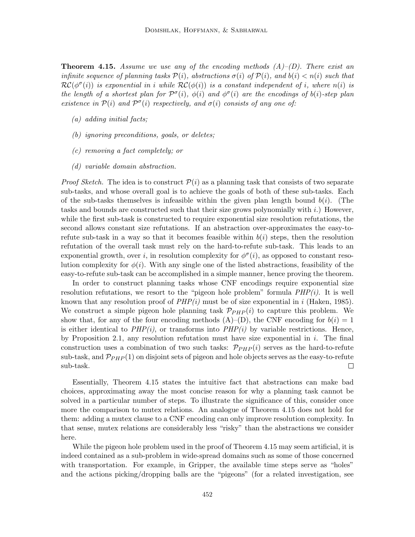**Theorem 4.15.** Assume we use any of the encoding methods  $(A)$ – $(D)$ . There exist an infinite sequence of planning tasks  $\mathcal{P}(i)$ , abstractions  $\sigma(i)$  of  $\mathcal{P}(i)$ , and  $b(i) < n(i)$  such that  $RC(\phi^{\sigma}(i))$  is exponential in i while  $RC(\phi(i))$  is a constant independent of i, where  $n(i)$  is the length of a shortest plan for  $\mathcal{P}^{\sigma}(i)$ ,  $\phi(i)$  and  $\phi^{\sigma}(i)$  are the encodings of  $b(i)$ -step plan existence in  $\mathcal{P}(i)$  and  $\mathcal{P}^{\sigma}(i)$  respectively, and  $\sigma(i)$  consists of any one of:

- (a) adding initial facts;
- (b) ignoring preconditions, goals, or deletes;
- (c) removing a fact completely; or
- (d) variable domain abstraction.

*Proof Sketch.* The idea is to construct  $P(i)$  as a planning task that consists of two separate sub-tasks, and whose overall goal is to achieve the goals of both of these sub-tasks. Each of the sub-tasks themselves is infeasible within the given plan length bound  $b(i)$ . (The tasks and bounds are constructed such that their size grows polynomially with  $i$ .) However, while the first sub-task is constructed to require exponential size resolution refutations, the second allows constant size refutations. If an abstraction over-approximates the easy-torefute sub-task in a way so that it becomes feasible within  $b(i)$  steps, then the resolution refutation of the overall task must rely on the hard-to-refute sub-task. This leads to an exponential growth, over i, in resolution complexity for  $\phi^{\sigma}(i)$ , as opposed to constant resolution complexity for  $\phi(i)$ . With any single one of the listed abstractions, feasibility of the easy-to-refute sub-task can be accomplished in a simple manner, hence proving the theorem.

In order to construct planning tasks whose CNF encodings require exponential size resolution refutations, we resort to the "pigeon hole problem" formula  $PHP(i)$ . It is well known that any resolution proof of  $PHP(i)$  must be of size exponential in i (Haken, 1985). We construct a simple pigeon hole planning task  $\mathcal{P}_{PHP}(i)$  to capture this problem. We show that, for any of the four encoding methods  $(A)$ – $(D)$ , the CNF encoding for  $b(i) = 1$ is either identical to  $PHP(i)$ , or transforms into  $PHP(i)$  by variable restrictions. Hence, by Proposition 2.1, any resolution refutation must have size exponential in  $i$ . The final construction uses a combination of two such tasks:  $\mathcal{P}_{PHP}(i)$  serves as the hard-to-refute sub-task, and  $\mathcal{P}_{PHP}(1)$  on disjoint sets of pigeon and hole objects serves as the easy-to-refute sub-task.  $\Box$ 

Essentially, Theorem 4.15 states the intuitive fact that abstractions can make bad choices, approximating away the most concise reason for why a planning task cannot be solved in a particular number of steps. To illustrate the significance of this, consider once more the comparison to mutex relations. An analogue of Theorem 4.15 does not hold for them: adding a mutex clause to a CNF encoding can only improve resolution complexity. In that sense, mutex relations are considerably less "risky" than the abstractions we consider here.

While the pigeon hole problem used in the proof of Theorem 4.15 may seem artificial, it is indeed contained as a sub-problem in wide-spread domains such as some of those concerned with transportation. For example, in Gripper, the available time steps serve as "holes" and the actions picking/dropping balls are the "pigeons" (for a related investigation, see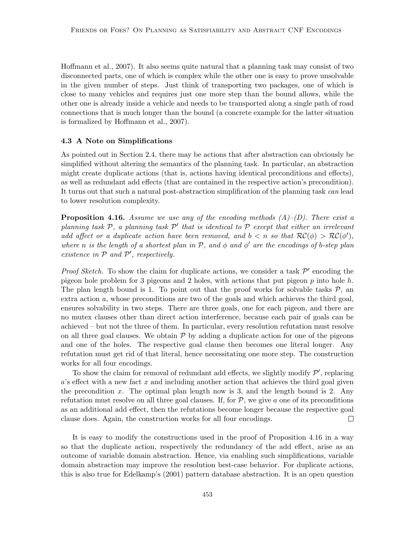Hoffmann et al., 2007). It also seems quite natural that a planning task may consist of two disconnected parts, one of which is complex while the other one is easy to prove unsolvable in the given number of steps. Just think of transporting two packages, one of which is close to many vehicles and requires just one more step than the bound allows, while the other one is already inside a vehicle and needs to be transported along a single path of road connections that is much longer than the bound (a concrete example for the latter situation is formalized by Hoffmann et al., 2007).

#### 4.3 A Note on Simplifications

As pointed out in Section 2.4, there may be actions that after abstraction can obviously be simplified without altering the semantics of the planning task. In particular, an abstraction might create duplicate actions (that is, actions having identical preconditions and effects), as well as redundant add effects (that are contained in the respective action's precondition). It turns out that such a natural post-abstraction simplification of the planning task can lead to lower resolution complexity.

**Proposition 4.16.** Assume we use any of the encoding methods  $(A)-D$ . There exist a planning task  $P$ , a planning task  $P'$  that is identical to  $P$  except that either an irrelevant add affect or a duplicate action have been removed, and  $b < n$  so that  $RC(\phi) > RC(\phi')$ , where n is the length of a shortest plan in  $P$ , and  $\phi$  and  $\phi'$  are the encodings of b-step plan existence in  $P$  and  $P'$ , respectively.

*Proof Sketch.* To show the claim for duplicate actions, we consider a task  $\mathcal{P}'$  encoding the pigeon hole problem for 3 pigeons and 2 holes, with actions that put pigeon p into hole h. The plan length bound is 1. To point out that the proof works for solvable tasks  $P$ , an extra action a, whose preconditions are two of the goals and which achieves the third goal, ensures solvability in two steps. There are three goals, one for each pigeon, and there are no mutex clauses other than direct action interference, because each pair of goals can be achieved – but not the three of them. In particular, every resolution refutation must resolve on all three goal clauses. We obtain  $P$  by adding a duplicate action for one of the pigeons and one of the holes. The respective goal clause then becomes one literal longer. Any refutation must get rid of that literal, hence necessitating one more step. The construction works for all four encodings.

To show the claim for removal of redundant add effects, we slightly modify  $\mathcal{P}'$ , replacing  $a$ 's effect with a new fact x and including another action that achieves the third goal given the precondition x. The optimal plan length now is 3, and the length bound is 2. Any refutation must resolve on all three goal clauses. If, for  $P$ , we give a one of its preconditions as an additional add effect, then the refutations become longer because the respective goal clause does. Again, the construction works for all four encodings.  $\Box$ 

It is easy to modify the constructions used in the proof of Proposition 4.16 in a way so that the duplicate action, respectively the redundancy of the add effect, arise as an outcome of variable domain abstraction. Hence, via enabling such simplifications, variable domain abstraction may improve the resolution best-case behavior. For duplicate actions, this is also true for Edelkamp's (2001) pattern database abstraction. It is an open question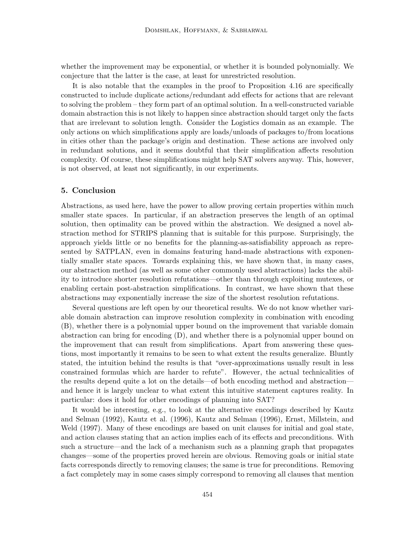whether the improvement may be exponential, or whether it is bounded polynomially. We conjecture that the latter is the case, at least for unrestricted resolution.

It is also notable that the examples in the proof to Proposition 4.16 are specifically constructed to include duplicate actions/redundant add effects for actions that are relevant to solving the problem – they form part of an optimal solution. In a well-constructed variable domain abstraction this is not likely to happen since abstraction should target only the facts that are irrelevant to solution length. Consider the Logistics domain as an example. The only actions on which simplifications apply are loads/unloads of packages to/from locations in cities other than the package's origin and destination. These actions are involved only in redundant solutions, and it seems doubtful that their simplification affects resolution complexity. Of course, these simplifications might help SAT solvers anyway. This, however, is not observed, at least not significantly, in our experiments.

## 5. Conclusion

Abstractions, as used here, have the power to allow proving certain properties within much smaller state spaces. In particular, if an abstraction preserves the length of an optimal solution, then optimality can be proved within the abstraction. We designed a novel abstraction method for STRIPS planning that is suitable for this purpose. Surprisingly, the approach yields little or no benefits for the planning-as-satisfiability approach as represented by SATPLAN, even in domains featuring hand-made abstractions with exponentially smaller state spaces. Towards explaining this, we have shown that, in many cases, our abstraction method (as well as some other commonly used abstractions) lacks the ability to introduce shorter resolution refutations—other than through exploiting mutexes, or enabling certain post-abstraction simplifications. In contrast, we have shown that these abstractions may exponentially increase the size of the shortest resolution refutations.

Several questions are left open by our theoretical results. We do not know whether variable domain abstraction can improve resolution complexity in combination with encoding (B), whether there is a polynomial upper bound on the improvement that variable domain abstraction can bring for encoding (D), and whether there is a polynomial upper bound on the improvement that can result from simplifications. Apart from answering these questions, most importantly it remains to be seen to what extent the results generalize. Bluntly stated, the intuition behind the results is that "over-approximations usually result in less constrained formulas which are harder to refute". However, the actual technicalities of the results depend quite a lot on the details—of both encoding method and abstraction and hence it is largely unclear to what extent this intuitive statement captures reality. In particular: does it hold for other encodings of planning into SAT?

It would be interesting, e.g., to look at the alternative encodings described by Kautz and Selman (1992), Kautz et al. (1996), Kautz and Selman (1996), Ernst, Millstein, and Weld (1997). Many of these encodings are based on unit clauses for initial and goal state, and action clauses stating that an action implies each of its effects and preconditions. With such a structure—and the lack of a mechanism such as a planning graph that propagates changes—some of the properties proved herein are obvious. Removing goals or initial state facts corresponds directly to removing clauses; the same is true for preconditions. Removing a fact completely may in some cases simply correspond to removing all clauses that mention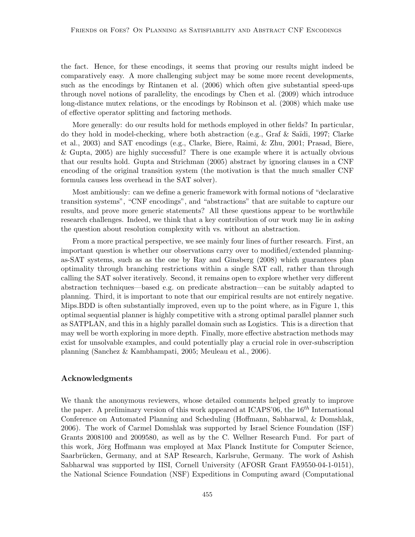the fact. Hence, for these encodings, it seems that proving our results might indeed be comparatively easy. A more challenging subject may be some more recent developments, such as the encodings by Rintanen et al. (2006) which often give substantial speed-ups through novel notions of parallelity, the encodings by Chen et al. (2009) which introduce long-distance mutex relations, or the encodings by Robinson et al. (2008) which make use of effective operator splitting and factoring methods.

More generally: do our results hold for methods employed in other fields? In particular, do they hold in model-checking, where both abstraction (e.g., Graf & Saïdi, 1997; Clarke et al., 2003) and SAT encodings (e.g., Clarke, Biere, Raimi, & Zhu, 2001; Prasad, Biere, & Gupta, 2005) are highly successful? There is one example where it is actually obvious that our results hold. Gupta and Strichman (2005) abstract by ignoring clauses in a CNF encoding of the original transition system (the motivation is that the much smaller CNF formula causes less overhead in the SAT solver).

Most ambitiously: can we define a generic framework with formal notions of "declarative transition systems", "CNF encodings", and "abstractions" that are suitable to capture our results, and prove more generic statements? All these questions appear to be worthwhile research challenges. Indeed, we think that a key contribution of our work may lie in *asking* the question about resolution complexity with vs. without an abstraction.

From a more practical perspective, we see mainly four lines of further research. First, an important question is whether our observations carry over to modified/extended planningas-SAT systems, such as as the one by Ray and Ginsberg (2008) which guarantees plan optimality through branching restrictions within a single SAT call, rather than through calling the SAT solver iteratively. Second, it remains open to explore whether very different abstraction techniques—based e.g. on predicate abstraction—can be suitably adapted to planning. Third, it is important to note that our empirical results are not entirely negative. Mips.BDD is often substantially improved, even up to the point where, as in Figure 1, this optimal sequential planner is highly competitive with a strong optimal parallel planner such as SATPLAN, and this in a highly parallel domain such as Logistics. This is a direction that may well be worth exploring in more depth. Finally, more effective abstraction methods may exist for unsolvable examples, and could potentially play a crucial role in over-subscription planning (Sanchez & Kambhampati, 2005; Meuleau et al., 2006).

## Acknowledgments

We thank the anonymous reviewers, whose detailed comments helped greatly to improve the paper. A preliminary version of this work appeared at ICAPS'06, the  $16^{th}$  International Conference on Automated Planning and Scheduling (Hoffmann, Sabharwal, & Domshlak, 2006). The work of Carmel Domshlak was supported by Israel Science Foundation (ISF) Grants 2008100 and 2009580, as well as by the C. Wellner Research Fund. For part of this work, Jörg Hoffmann was employed at Max Planck Institute for Computer Science, Saarbrücken, Germany, and at SAP Research, Karlsruhe, Germany. The work of Ashish Sabharwal was supported by IISI, Cornell University (AFOSR Grant FA9550-04-1-0151), the National Science Foundation (NSF) Expeditions in Computing award (Computational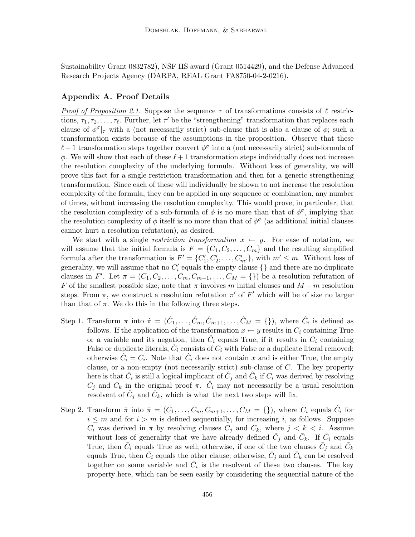Sustainability Grant 0832782), NSF IIS award (Grant 0514429), and the Defense Advanced Research Projects Agency (DARPA, REAL Grant FA8750-04-2-0216).

## Appendix A. Proof Details

*Proof of Proposition 2.1.* Suppose the sequence  $\tau$  of transformations consists of  $\ell$  restrictions,  $\tau_1, \tau_2, \ldots, \tau_\ell$ . Further, let  $\tau'$  be the "strengthening" transformation that replaces each clause of  $\phi^{\sigma}|_{\tau}$  with a (not necessarily strict) sub-clause that is also a clause of  $\phi$ ; such a transformation exists because of the assumptions in the proposition. Observe that these  $\ell+1$  transformation steps together convert  $\phi^{\sigma}$  into a (not necessarily strict) sub-formula of  $\phi$ . We will show that each of these  $\ell+1$  transformation steps individually does not increase the resolution complexity of the underlying formula. Without loss of generality, we will prove this fact for a single restriction transformation and then for a generic strengthening transformation. Since each of these will individually be shown to not increase the resolution complexity of the formula, they can be applied in any sequence or combination, any number of times, without increasing the resolution complexity. This would prove, in particular, that the resolution complexity of a sub-formula of  $\phi$  is no more than that of  $\phi^{\sigma}$ , implying that the resolution complexity of  $\phi$  itself is no more than that of  $\phi^{\sigma}$  (as additional initial clauses cannot hurt a resolution refutation), as desired.

We start with a single restriction transformation  $x \leftarrow y$ . For ease of notation, we will assume that the initial formula is  $F = \{C_1, C_2, \ldots, C_m\}$  and the resulting simplified formula after the transformation is  $F' = \{C'_1, C'_2, \ldots, C'_{m'}\}$ , with  $m' \leq m$ . Without loss of generality, we will assume that no  $C_i'$  equals the empty clause  $\{\}$  and there are no duplicate clauses in F'. Let  $\pi = (C_1, C_2, \ldots, C_m, C_{m+1}, \ldots, C_M = \{\})$  be a resolution refutation of F of the smallest possible size; note that  $\pi$  involves m initial clauses and  $M - m$  resolution steps. From  $\pi$ , we construct a resolution refutation  $\pi'$  of F' which will be of size no larger than that of  $\pi$ . We do this in the following three steps.

- Step 1. Transform  $\pi$  into  $\hat{\pi} = (\hat{C}_1, \ldots, \hat{C}_m, \hat{C}_{m+1}, \ldots, \hat{C}_M = \{\})$ , where  $\hat{C}_i$  is defined as follows. If the application of the transformation  $x \leftarrow y$  results in  $C_i$  containing True or a variable and its negation, then  $\hat{C}_i$  equals True; if it results in  $C_i$  containing False or duplicate literals,  $\hat{C}_i$  consists of  $C_i$  with False or a duplicate literal removed; otherwise  $\tilde{C}_i = C_i$ . Note that  $\hat{C}_i$  does not contain x and is either True, the empty clause, or a non-empty (not necessarily strict) sub-clause of C. The key property here is that  $\hat{C}_i$  is still a logical implicant of  $\hat{C}_j$  and  $\hat{C}_k$  if  $C_i$  was derived by resolving  $C_j$  and  $C_k$  in the original proof  $\pi$ .  $\hat{C}_i$  may not necessarily be a usual resolution resolvent of  $\hat{C}_j$  and  $\hat{C}_k$ , which is what the next two steps will fix.
- Step 2. Transform  $\bar{\pi}$  into  $\bar{\pi} = (\bar{C}_1, \ldots, \bar{C}_m, \bar{C}_{m+1}, \ldots, \bar{C}_M = \{\})$ , where  $\bar{C}_i$  equals  $\hat{C}_i$  for  $i \leq m$  and for  $i > m$  is defined sequentially, for increasing i, as follows. Suppose  $C_i$  was derived in  $\pi$  by resolving clauses  $C_j$  and  $C_k$ , where  $j < k < i$ . Assume without loss of generality that we have already defined  $\bar{C}_j$  and  $\bar{C}_k$ . If  $\hat{C}_i$  equals True, then  $\bar{C}_i$  equals True as well; otherwise, if one of the two clauses  $\bar{C}_j$  and  $\bar{C}_k$ equals True, then  $\bar{C}_i$  equals the other clause; otherwise,  $\bar{C}_j$  and  $\bar{C}_k$  can be resolved together on some variable and  $\overline{C}_i$  is the resolvent of these two clauses. The key property here, which can be seen easily by considering the sequential nature of the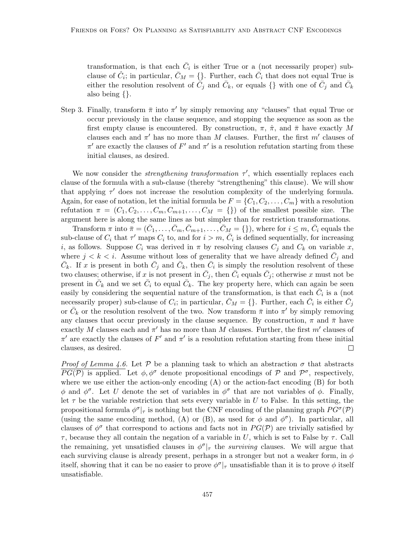transformation, is that each  $\bar{C}_i$  is either True or a (not necessarily proper) subclause of  $\hat{C}_i$ ; in particular,  $\bar{C}_M = \{\}$ . Further, each  $\bar{C}_i$  that does not equal True is either the resolution resolvent of  $\tilde{C}_j$  and  $\bar{C}_k$ , or equals  $\{\}\$  with one of  $\bar{C}_j$  and  $\bar{C}_k$ also being {}.

Step 3. Finally, transform  $\bar{\pi}$  into  $\pi'$  by simply removing any "clauses" that equal True or occur previously in the clause sequence, and stopping the sequence as soon as the first empty clause is encountered. By construction,  $\pi$ ,  $\hat{\pi}$ , and  $\bar{\pi}$  have exactly M clauses each and  $\pi'$  has no more than M clauses. Further, the first m' clauses of  $\pi'$  are exactly the clauses of  $F'$  and  $\pi'$  is a resolution refutation starting from these initial clauses, as desired.

We now consider the *strengthening transformation*  $\tau'$ , which essentially replaces each clause of the formula with a sub-clause (thereby "strengthening" this clause). We will show that applying  $\tau'$  does not increase the resolution complexity of the underlying formula. Again, for ease of notation, let the initial formula be  $F = \{C_1, C_2, \ldots, C_m\}$  with a resolution refutation  $\pi = (C_1, C_2, \ldots, C_m, C_{m+1}, \ldots, C_M = \{\})$  of the smallest possible size. The argument here is along the same lines as but simpler than for restriction transformations.

Transform  $\pi$  into  $\bar{\pi} = (\bar{C}_1, \ldots, \bar{C}_m, \bar{C}_{m+1}, \ldots, \bar{C}_M = \{\})$ , where for  $i \leq m, \bar{C}_i$  equals the sub-clause of  $C_i$  that  $\tau'$  maps  $C_i$  to, and for  $i > m$ ,  $\overline{C}_i$  is defined sequentially, for increasing i, as follows. Suppose  $C_i$  was derived in  $\pi$  by resolving clauses  $C_j$  and  $C_k$  on variable x, where  $j < k < i$ . Assume without loss of generality that we have already defined  $\bar{C}_j$  and  $\bar{C}_k$ . If x is present in both  $\bar{C}_j$  and  $\bar{C}_k$ , then  $\bar{C}_i$  is simply the resolution resolvent of these two clauses; otherwise, if x is not present in  $\bar{C}_j$ , then  $\bar{C}_i$  equals  $\bar{C}_j$ ; otherwise x must not be present in  $\bar{C}_k$  and we set  $\bar{C}_i$  to equal  $\bar{C}_k$ . The key property here, which can again be seen easily by considering the sequential nature of the transformation, is that each  $\bar{C}_i$  is a (not necessarily proper) sub-clause of  $C_i$ ; in particular,  $\bar{C}_M = \{\}$ . Further, each  $\bar{C}_i$  is either  $\bar{C}_j$ or  $\bar{C}_k$  or the resolution resolvent of the two. Now transform  $\bar{\pi}$  into  $\pi'$  by simply removing any clauses that occur previously in the clause sequence. By construction,  $\pi$  and  $\bar{\pi}$  have exactly M clauses each and  $\pi'$  has no more than M clauses. Further, the first m' clauses of  $\pi'$  are exactly the clauses of F' and  $\pi'$  is a resolution refutation starting from these initial clauses, as desired.  $\Box$ 

*Proof of Lemma 4.6.* Let P be a planning task to which an abstraction  $\sigma$  that abstracts  $PG(\mathcal{P})$  is applied. Let  $\phi, \phi^{\sigma}$  denote propositional encodings of  $\mathcal{P}$  and  $\mathcal{P}^{\sigma}$ , respectively, where we use either the action-only encoding  $(A)$  or the action-fact encoding  $(B)$  for both  $\phi$  and  $\phi^{\sigma}$ . Let U denote the set of variables in  $\phi^{\sigma}$  that are not variables of  $\phi$ . Finally, let  $\tau$  be the variable restriction that sets every variable in U to False. In this setting, the propositional formula  $\phi^{\sigma}|_{\tau}$  is nothing but the CNF encoding of the planning graph  $PG^{\sigma}(\mathcal{P})$ (using the same encoding method, (A) or (B), as used for  $\phi$  and  $\phi^{\sigma}$ ). In particular, all clauses of  $\phi^{\sigma}$  that correspond to actions and facts not in  $PG(\mathcal{P})$  are trivially satisfied by  $\tau$ , because they all contain the negation of a variable in U, which is set to False by  $\tau$ . Call the remaining, yet unsatisfied clauses in  $\phi^{\sigma}|_{\tau}$  the *surviving* clauses. We will argue that each surviving clause is already present, perhaps in a stronger but not a weaker form, in  $\phi$ itself, showing that it can be no easier to prove  $\phi^{\sigma}|_{\tau}$  unsatisfiable than it is to prove  $\phi$  itself unsatisfiable.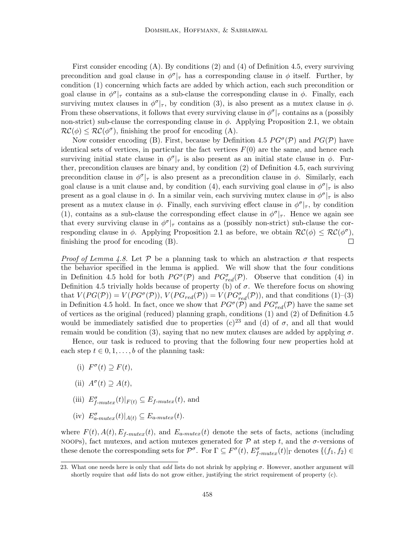First consider encoding (A). By conditions (2) and (4) of Definition 4.5, every surviving precondition and goal clause in  $\phi^{\sigma}|_{\tau}$  has a corresponding clause in  $\phi$  itself. Further, by condition (1) concerning which facts are added by which action, each such precondition or goal clause in  $\phi^{\sigma}|_{\tau}$  contains as a sub-clause the corresponding clause in  $\phi$ . Finally, each surviving mutex clauses in  $\phi^{\sigma}|_{\tau}$ , by condition (3), is also present as a mutex clause in  $\phi$ . From these observations, it follows that every surviving clause in  $\phi^{\sigma}|_{\tau}$  contains as a (possibly non-strict) sub-clause the corresponding clause in  $\phi$ . Applying Proposition 2.1, we obtain  $\mathcal{RC}(\phi) \leq \mathcal{RC}(\phi^{\sigma})$ , finishing the proof for encoding (A).

Now consider encoding (B). First, because by Definition 4.5  $PG^{\sigma}(\mathcal{P})$  and  $PG(\mathcal{P})$  have identical sets of vertices, in particular the fact vertices  $F(0)$  are the same, and hence each surviving initial state clause in  $\phi^{\sigma}|_{\tau}$  is also present as an initial state clause in  $\phi$ . Further, precondition clauses are binary and, by condition (2) of Definition 4.5, each surviving precondition clause in  $\phi^{\sigma}|_{\tau}$  is also present as a precondition clause in  $\phi$ . Similarly, each goal clause is a unit clause and, by condition (4), each surviving goal clause in  $\phi^{\sigma}|_{\tau}$  is also present as a goal clause in  $\phi$ . In a similar vein, each surviving mutex clause in  $\phi^{\sigma}|_{\tau}$  is also present as a mutex clause in  $\phi$ . Finally, each surviving effect clause in  $\phi^{\sigma}|_{\tau}$ , by condition (1), contains as a sub-clause the corresponding effect clause in  $\phi^{\sigma}|_{\tau}$ . Hence we again see that every surviving clause in  $\phi^{\sigma}|_{\tau}$  contains as a (possibly non-strict) sub-clause the corresponding clause in  $\phi$ . Applying Proposition 2.1 as before, we obtain  $\mathcal{RC}(\phi) \leq \mathcal{RC}(\phi^{\sigma})$ , finishing the proof for encoding (B).  $\Box$ 

*Proof of Lemma 4.8.* Let  $P$  be a planning task to which an abstraction  $\sigma$  that respects the behavior specified in the lemma is applied. We will show that the four conditions in Definition 4.5 hold for both  $PG^{\sigma}(\mathcal{P})$  and  $PG^{\sigma}(\mathcal{P})$ . Observe that condition (4) in Definition 4.5 trivially holds because of property (b) of  $\sigma$ . We therefore focus on showing that  $V(PG(\mathcal{P})) = V(PG^{\sigma}(\mathcal{P}))$ ,  $V(PG_{red}(\mathcal{P})) = V(PG^{\sigma}_{red}(\mathcal{P}))$ , and that conditions (1)-(3) in Definition 4.5 hold. In fact, once we show that  $PG^{\sigma}(\mathcal{P})$  and  $PG^{\sigma}_{red}(\mathcal{P})$  have the same set of vertices as the original (reduced) planning graph, conditions (1) and (2) of Definition 4.5 would be immediately satisfied due to properties (c)<sup>23</sup> and (d) of  $\sigma$ , and all that would remain would be condition (3), saying that no new mutex clauses are added by applying  $\sigma$ .

Hence, our task is reduced to proving that the following four new properties hold at each step  $t \in 0, 1, \ldots, b$  of the planning task:

- (i)  $F^{\sigma}(t) \supseteq F(t)$ ,
- (ii)  $A^{\sigma}(t) \supseteq A(t)$ ,
- (iii)  $E_{f-mutex}^{\sigma}(t)|_{F(t)} \subseteq E_{f-mutex}(t)$ , and
- (iv)  $E_{a-mutex}^{\sigma}(t)|_{A(t)} \subseteq E_{a-mutex}(t)$ .

where  $F(t)$ ,  $A(t)$ ,  $E_{f-mutex}(t)$ , and  $E_{a-mutex}(t)$  denote the sets of facts, actions (including noops), fact mutexes, and action mutexes generated for  $\mathcal P$  at step t, and the  $\sigma$ -versions of these denote the corresponding sets for  $\mathcal{P}^{\sigma}$ . For  $\Gamma \subseteq F^{\sigma}(t)$ ,  $E^{\sigma}_{f-mutex}(t)|_{\Gamma}$  denotes  $\{(f_1, f_2) \in$ 

<sup>23.</sup> What one needs here is only that add lists do not shrink by applying  $\sigma$ . However, another argument will shortly require that add lists do not grow either, justifying the strict requirement of property (c).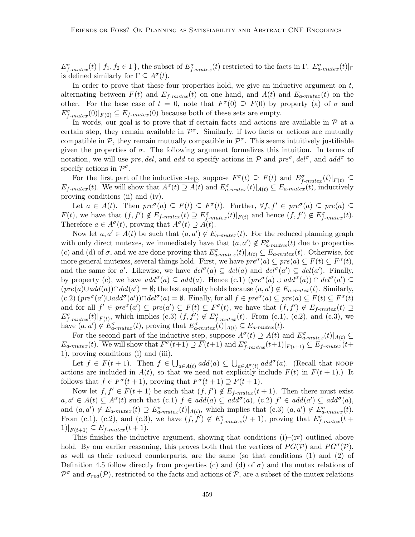$E_{f-mutex}^{\sigma}(t) | f_1, f_2 \in \Gamma$ , the subset of  $E_{f-mutex}^{\sigma}(t)$  restricted to the facts in  $\Gamma$ .  $E_{a-mutex}^{\sigma}(t)|_{\Gamma}$ is defined similarly for  $\Gamma \subseteq A^{\sigma}(t)$ .

In order to prove that these four properties hold, we give an inductive argument on  $t$ , alternating between  $F(t)$  and  $E_{f-mute}(t)$  on one hand, and  $A(t)$  and  $E_{a-mute}(t)$  on the other. For the base case of  $t = 0$ , note that  $F^{\sigma}(0) \supseteq F(0)$  by property (a) of  $\sigma$  and  $E_{f-mutex}^{\sigma}(0)|_{F(0)} \subseteq E_{f-mutex}(0)$  because both of these sets are empty.

In words, our goal is to prove that if certain facts and actions are available in  $P$  at a certain step, they remain available in  $\mathcal{P}^{\sigma}$ . Similarly, if two facts or actions are mutually compatible in  $P$ , they remain mutually compatible in  $P^{\sigma}$ . This seems intuitively justifiable given the properties of  $\sigma$ . The following argument formalizes this intuition. In terms of notation, we will use pre, del, and add to specify actions in  $P$  and pre<sup> $\sigma$ </sup>, del<sup> $\sigma$ </sup>, and add<sup> $\sigma$ </sup> to specify actions in  $\mathcal{P}^{\sigma}$ .

For the <u>first part of the inductive step</u>, suppose  $F^{\sigma}(t) \supseteq F(t)$  and  $E^{\sigma}_{f-mutex}(t)|_{F(t)} \subseteq$  $E_{f-mutex}(t)$ . We will show that  $A^{\sigma}(t) \supseteq A(t)$  and  $E_{a-mutex}^{\sigma}(t)|_{A(t)} \subseteq E_{a-mutex}(t)$ , inductively proving conditions (ii) and (iv).

Let  $a \in A(t)$ . Then  $pre^{\sigma}(a) \subseteq F(t) \subseteq F^{\sigma}(t)$ . Further,  $\forall f, f' \in pre^{\sigma}(a) \subseteq pre(a) \subseteq$  $F(t)$ , we have that  $(f, f') \notin E_{f-mutex}(t) \supseteq E_{f-mutex}^{\sigma}(t)|_{F(t)}$  and hence  $(f, f') \notin E_{f-mutex}^{\sigma}(t)$ . Therefore  $a \in A^{\sigma}(t)$ , proving that  $A^{\sigma}(t) \supseteq A(t)$ .

Now let  $a, a' \in A(t)$  be such that  $(a, a') \notin E_{a-mutex}(t)$ . For the reduced planning graph with only direct mutexes, we immediately have that  $(a, a') \notin E_{a-mutex}^{\sigma}(t)$  due to properties (c) and (d) of  $\sigma$ , and we are done proving that  $E_{a-mutex}^{\sigma}(t)|_{A(t)} \subseteq E_{a-mutex}(t)$ . Otherwise, for more general mutexes, several things hold. First, we have  $\text{pre}^{\sigma}(a) \subseteq \text{pre}(a) \subseteq F(t) \subseteq F^{\sigma}(t)$ , and the same for a'. Likewise, we have  $del^{\sigma}(a) \subseteq del(a)$  and  $del^{\sigma}(a') \subseteq del(a')$ . Finally, by property (c), we have  $add^{\sigma}(a) \subseteq add(a)$ . Hence  $(c.1) (pre^{\sigma}(a) \cup add^{\sigma}(a)) \cap del^{\sigma}(a') \subseteq$  $(pred(a) \cup add(a)) \cap del(a') = \emptyset$ ; the last equality holds because  $(a, a') \notin E_{a-mutes}(t)$ . Similarly,  $(c.2)$   $(\text{pre}^{\sigma}(a') \cup \text{add}^{\sigma}(a')) \cap \text{del}^{\sigma}(a) = \emptyset$ . Finally, for all  $f \in \text{pre}^{\sigma}(a) \subseteq \text{pre}(a) \subseteq F(t) \subseteq F^{\sigma}(t)$ and for all  $f' \in pre^{\sigma}(a') \subseteq pre(a') \subseteq F(t) \subseteq F^{\sigma}(t)$ , we have that  $(f, f') \notin E_{f-mutex}(t) \supseteq$  $E_{f-mutex}^{\sigma}(t)|_{F(t)}$ , which implies (c.3)  $(f, f') \notin E_{f-mutex}^{\sigma}(t)$ . From (c.1), (c.2), and (c.3), we have  $(a, a') \notin E_{a-mutex}^{\sigma}(t)$ , proving that  $E_{a-mutex}^{\sigma}(t)|_{A(t)} \subseteq E_{a-mutex}(t)$ .

For the second part of the inductive step, suppose  $A^{\sigma}(t) \supseteq A(t)$  and  $E^{\sigma}_{a-mutex}(t)|_{A(t)} \subseteq$  $E_{a-mutex}(t)$ . We will show that  $F^{\sigma}(t+1) \supseteq F(t+1)$  and  $E^{\sigma}_{f-mutex}(t+1)|_{F(t+1)} \subseteq E_{f-mutex}(t+1)$ 1), proving conditions (i) and (iii).

Let  $f \in F(t+1)$ . Then  $f \in \bigcup_{a \in A(t)} add(a) \subseteq \bigcup_{a \in A^{\sigma}(t)} add^{\sigma}(a)$ . (Recall that NOOP actions are included in  $A(t)$ , so that we need not explicitly include  $F(t)$  in  $F(t + 1)$ .) It follows that  $f \in F^{\sigma}(t+1)$ , proving that  $F^{\sigma}(t+1) \supseteq F(t+1)$ .

Now let  $f, f' \in F(t+1)$  be such that  $(f, f') \notin E_{f-mutex}(t+1)$ . Then there must exist  $a, a' \in A(t) \subseteq A^{\sigma}(t)$  such that  $(c.1)$   $f \in add(a) \subseteq add^{\sigma}(a)$ ,  $(c.2)$   $f' \in add(a') \subseteq add^{\sigma}(a)$ , and  $(a, a') \notin E_{a-mutex}(t) \supseteq E_{a-mutex}^{\sigma}(t)|_{A(t)}$ , which implies that  $(c.3)$   $(a, a') \notin E_{a-mutex}^{\sigma}(t)$ . From (c.1), (c.2), and (c.3), we have  $(f, f') \notin E_{f-mutex}^{\sigma}(t+1)$ , proving that  $E_{f-mutex}^{\sigma}(t+1)$  $1)|_{F(t+1)} \subseteq E_{f-mutex}(t+1).$ 

This finishes the inductive argument, showing that conditions (i)–(iv) outlined above hold. By our earlier reasoning, this proves both that the vertices of  $PG(\mathcal{P})$  and  $PG^{\sigma}(\mathcal{P})$ , as well as their reduced counterparts, are the same (so that conditions (1) and (2) of Definition 4.5 follow directly from properties (c) and (d) of  $\sigma$ ) and the mutex relations of  $\mathcal{P}^{\sigma}$  and  $\sigma_{red}(\mathcal{P})$ , restricted to the facts and actions of  $\mathcal{P}$ , are a subset of the mutex relations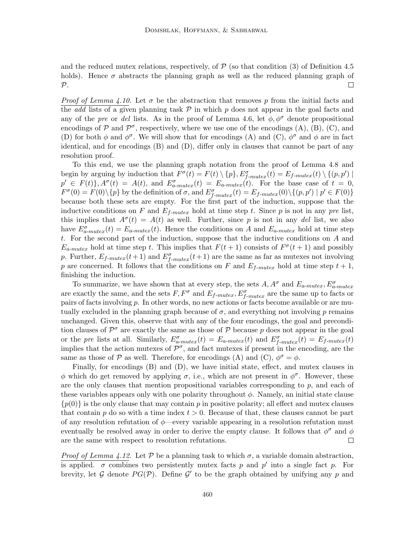and the reduced mutex relations, respectively, of  $P$  (so that condition (3) of Definition 4.5 holds). Hence  $\sigma$  abstracts the planning graph as well as the reduced planning graph of  $\Box$  $\mathcal{P}.$ 

*Proof of Lemma 4.10.* Let  $\sigma$  be the abstraction that removes p from the initial facts and the add lists of a given planning task  $P$  in which p does not appear in the goal facts and any of the pre or del lists. As in the proof of Lemma 4.6, let  $\phi, \phi^{\sigma}$  denote propositional encodings of  $P$  and  $P^{\sigma}$ , respectively, where we use one of the encodings (A), (B), (C), and (D) for both  $\phi$  and  $\phi^{\sigma}$ . We will show that for encodings (A) and (C),  $\phi^{\sigma}$  and  $\phi$  are in fact identical, and for encodings (B) and (D), differ only in clauses that cannot be part of any resolution proof.

To this end, we use the planning graph notation from the proof of Lemma 4.8 and begin by arguing by induction that  $F^{\sigma}(t) = F(t) \setminus \{p\}$ ,  $E^{\sigma}_{f-mutex}(t) = E_{f-mutex}(t) \setminus \{(p, p') \mid$  $p' \in F(t) \}$ ,  $A^{\sigma}(t) = A(t)$ , and  $E^{\sigma}_{a-mutex}(t) = E_{a-mutex}(t)$ . For the base case of  $t = 0$ ,  $F^{\sigma}(0) = F(0) \setminus \{p\}$  by the definition of  $\sigma$ , and  $E^{\sigma}_{f-mutex}(t) = E_{f-mutex}(0) \setminus \{(p, p') \mid p' \in F(0)\}$ because both these sets are empty. For the first part of the induction, suppose that the inductive conditions on F and  $E_{f-mutex}$  hold at time step t. Since p is not in any pre list, this implies that  $A^{\sigma}(t) = A(t)$  as well. Further, since p is not in any del list, we also have  $E_{a-mutex}^{\sigma}(t) = E_{a-mutex}(t)$ . Hence the conditions on A and  $E_{a-mutex}$  hold at time step t. For the second part of the induction, suppose that the inductive conditions on A and  $E_{a-mutex}$  hold at time step t. This implies that  $F(t + 1)$  consists of  $F^{\sigma}(t + 1)$  and possibly p. Further,  $E_{f-mutex}(t+1)$  and  $E_{f-mutex}^{\sigma}(t+1)$  are the same as far as mutexes not involving p are concerned. It follows that the conditions on F and  $E_{f-mutex}$  hold at time step  $t + 1$ , finishing the induction.

To summarize, we have shown that at every step, the sets  $A, A^{\sigma}$  and  $E_{a-mutex}, E^{\sigma}_{a-mutex}$ are exactly the same, and the sets  $F, F^{\sigma}$  and  $E_{f-mutex}, E^{\sigma}_{f-mutex}$  are the same up to facts or pairs of facts involving p. In other words, no new actions or facts become available or are mutually excluded in the planning graph because of  $\sigma$ , and everything not involving p remains unchanged. Given this, observe that with any of the four encodings, the goal and precondition clauses of  $\mathcal{P}^{\sigma}$  are exactly the same as those of  $\mathcal{P}$  because p does not appear in the goal or the pre lists at all. Similarly,  $E_{a-mutex}^{\sigma}(t) = E_{a-mutex}(t)$  and  $E_{f-mutex}^{\sigma}(t) = E_{f-mutex}(t)$ implies that the action mutexes of  $\mathcal{P}^{\sigma}$ , and fact mutexes if present in the encoding, are the same as those of P as well. Therefore, for encodings (A) and (C),  $\phi^{\sigma} = \phi$ .

Finally, for encodings (B) and (D), we have initial state, effect, and mutex clauses in  $\phi$  which do get removed by applying σ, i.e., which are not present in  $\phi^{\sigma}$ . However, these are the only clauses that mention propositional variables corresponding to  $p$ , and each of these variables appears only with one polarity throughout  $\phi$ . Namely, an initial state clause  $\{p(0)\}\$ is the only clause that may contain p in positive polarity; all effect and mutex clauses that contain p do so with a time index  $t > 0$ . Because of that, these clauses cannot be part of any resolution refutation of  $\phi$ —every variable appearing in a resolution refutation must eventually be resolved away in order to derive the empty clause. It follows that  $\phi^{\sigma}$  and  $\phi$ are the same with respect to resolution refutations.  $\Box$ 

*Proof of Lemma 4.12.* Let  $\mathcal P$  be a planning task to which  $\sigma$ , a variable domain abstraction, is applied.  $\sigma$  combines two persistently mutex facts p and p' into a single fact p. For brevity, let G denote  $PG(\mathcal{P})$ . Define G' to be the graph obtained by unifying any p and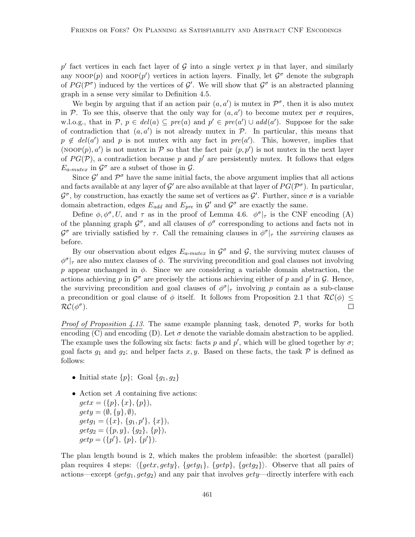p' fact vertices in each fact layer of G into a single vertex p in that layer, and similarly any NOOP $(p)$  and NOOP $(p')$  vertices in action layers. Finally, let  $\mathcal{G}^{\sigma}$  denote the subgraph of  $PG(\mathcal{P}^{\sigma})$  induced by the vertices of  $\mathcal{G}'$ . We will show that  $\mathcal{G}^{\sigma}$  is an abstracted planning graph in a sense very similar to Definition 4.5.

We begin by arguing that if an action pair  $(a, a')$  is mutex in  $\mathcal{P}^{\sigma}$ , then it is also mutex in P. To see this, observe that the only way for  $(a, a')$  to become mutex per  $\sigma$  requires, w.l.o.g., that in  $P, p \in del(a) \subseteq pre(a)$  and  $p' \in pre(a') \cup add(a')$ . Suppose for the sake of contradiction that  $(a, a')$  is not already mutex in  $P$ . In particular, this means that  $p \notin del(a')$  and p is not mutex with any fact in  $pre(a')$ . This, however, implies that (NOOP $(p), a'$ ) is not mutex in P so that the fact pair  $(p, p')$  is not mutex in the next layer of  $PG(\mathcal{P})$ , a contradiction because p and p' are persistently mutex. It follows that edges  $E_{a-mutex}$  in  $\mathcal{G}^{\sigma}$  are a subset of those in  $\mathcal{G}$ .

Since  $\mathcal{G}'$  and  $\mathcal{P}^{\sigma}$  have the same initial facts, the above argument implies that all actions and facts available at any layer of  $\mathcal{G}'$  are also available at that layer of  $PG(\mathcal{P}^{\sigma})$ . In particular,  $\mathcal{G}^{\sigma}$ , by construction, has exactly the same set of vertices as  $\mathcal{G}'$ . Further, since  $\sigma$  is a variable domain abstraction, edges  $E_{add}$  and  $E_{pre}$  in  $\mathcal{G}'$  and  $\mathcal{G}^{\sigma}$  are exactly the same.

Define  $\phi, \phi^{\sigma}, U$ , and  $\tau$  as in the proof of Lemma 4.6.  $\phi^{\sigma}|_{\tau}$  is the CNF encoding (A) of the planning graph  $\mathcal{G}^{\sigma}$ , and all clauses of  $\phi^{\sigma}$  corresponding to actions and facts not in  $\mathcal{G}^{\sigma}$  are trivially satisfied by  $\tau$ . Call the remaining clauses in  $\phi^{\sigma}|_{\tau}$  the *surviving* clauses as before.

By our observation about edges  $E_{a-mutex}$  in  $\mathcal{G}^{\sigma}$  and  $\mathcal{G}$ , the surviving mutex clauses of  $\phi^{\sigma}|_{\tau}$  are also mutex clauses of  $\phi$ . The surviving precondition and goal clauses not involving p appear unchanged in  $\phi$ . Since we are considering a variable domain abstraction, the actions achieving p in  $\mathcal{G}^{\sigma}$  are precisely the actions achieving either of p and p' in  $\mathcal{G}$ . Hence, the surviving precondition and goal clauses of  $\phi^{\sigma}|_{\tau}$  involving p contain as a sub-clause a precondition or goal clause of  $\phi$  itself. It follows from Proposition 2.1 that  $\mathcal{RC}(\phi) \leq$  $RC(\phi^{\sigma}).$  $\Box$ 

*Proof of Proposition 4.13.* The same example planning task, denoted  $P$ , works for both encoding (C) and encoding (D). Let  $\sigma$  denote the variable domain abstraction to be applied. The example uses the following six facts: facts p and  $p'$ , which will be glued together by  $\sigma$ ; goal facts  $g_1$  and  $g_2$ ; and helper facts x, y. Based on these facts, the task P is defined as follows:

- Initial state  $\{p\}$ ; Goal  $\{q_1, q_2\}$
- Action set A containing five actions:  $getx = (\{p\}, \{x\}, \{p\}),$  $gety = (\emptyset, \{y\}, \emptyset),$  $getg_1 = (\{x\}, \{g_1, p'\}, \{x\}),$  $getg_2 = (\{p, y\}, \{g_2\}, \{p\}),$  $getp = (\{p'\}, \{p\}, \{p'\}).$

The plan length bound is 2, which makes the problem infeasible: the shortest (parallel) plan requires 4 steps:  $\{getx, gety\}$ ,  $\{getg1\}$ ,  $\{getp\}$ ,  $\{getg2\}$ . Observe that all pairs of actions—except  $(getg_1, getg_2)$  and any pair that involves  $gety$ —directly interfere with each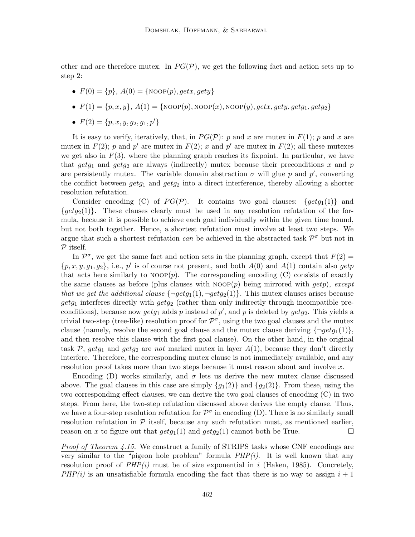other and are therefore mutex. In  $PG(\mathcal{P})$ , we get the following fact and action sets up to step 2:

- $F(0) = \{p\}, A(0) = \{\text{NoOP}(p), getx, gety\}$
- $F(1) = \{p, x, y\}, A(1) = \{Noop(p), Noop(x), Noop(y), getx, gety, getg_1, getg_2\}$
- $F(2) = \{p, x, y, q_2, q_1, p'\}$

It is easy to verify, iteratively, that, in  $PG(\mathcal{P})$ : p and x are mutex in  $F(1)$ ; p and x are mutex in  $F(2)$ ; p and p' are mutex in  $F(2)$ ; x and p' are mutex in  $F(2)$ ; all these mutexes we get also in  $F(3)$ , where the planning graph reaches its fixpoint. In particular, we have that  $getg_1$  and  $getg_2$  are always (indirectly) mutex because their preconditions x and p are persistently mutex. The variable domain abstraction  $\sigma$  will glue p and  $p'$ , converting the conflict between  $getg_1$  and  $getg_2$  into a direct interference, thereby allowing a shorter resolution refutation.

Consider encoding (C) of  $PG(\mathcal{P})$ . It contains two goal clauses:  $\{getg_1(1)\}\$  and  $\{getq_2(1)\}\.$  These clauses clearly must be used in any resolution refutation of the formula, because it is possible to achieve each goal individually within the given time bound, but not both together. Hence, a shortest refutation must involve at least two steps. We argue that such a shortest refutation *can* be achieved in the abstracted task  $\mathcal{P}^{\sigma}$  but not in  $P$  itself.

In  $\mathcal{P}^{\sigma}$ , we get the same fact and action sets in the planning graph, except that  $F(2) =$  $\{p, x, y, g_1, g_2\}$ , i.e., p' is of course not present, and both  $A(0)$  and  $A(1)$  contain also getp that acts here similarly to  $NOP(p)$ . The corresponding encoding (C) consists of exactly the same clauses as before (plus clauses with  $NOP(p)$  being mirrored with  $qetp$ ), except that we get the additional clause  $\{\neg getg_1(1), \neg getg_2(1)\}\.$  This mutex clauses arises because  $getg_1$  interferes directly with  $getg_2$  (rather than only indirectly through incompatible preconditions), because now  $getg_1$  adds p instead of p', and p is deleted by  $getg_2$ . This yields a trivial two-step (tree-like) resolution proof for  $\mathcal{P}^{\sigma}$ , using the two goal clauses and the mutex clause (namely, resolve the second goal clause and the mutex clause deriving  $\{\neg getg_1(1)\}\$ , and then resolve this clause with the first goal clause). On the other hand, in the original task P, getg<sub>1</sub> and getg<sub>2</sub> are not marked mutex in layer  $A(1)$ , because they don't directly interfere. Therefore, the corresponding mutex clause is not immediately available, and any resolution proof takes more than two steps because it must reason about and involve x.

Encoding (D) works similarly, and  $\sigma$  lets us derive the new mutex clause discussed above. The goal clauses in this case are simply  $\{g_1(2)\}\$  and  $\{g_2(2)\}\$ . From these, using the two corresponding effect clauses, we can derive the two goal clauses of encoding (C) in two steps. From here, the two-step refutation discussed above derives the empty clause. Thus, we have a four-step resolution refutation for  $\mathcal{P}^{\sigma}$  in encoding (D). There is no similarly small resolution refutation in  $\mathcal P$  itself, because any such refutation must, as mentioned earlier, reason on x to figure out that  $getg_1(1)$  and  $getg_2(1)$  cannot both be True.  $\Box$ 

Proof of Theorem 4.15. We construct a family of STRIPS tasks whose CNF encodings are very similar to the "pigeon hole problem" formula  $PHP(i)$ . It is well known that any resolution proof of  $PHP(i)$  must be of size exponential in i (Haken, 1985). Concretely,  $PHP(i)$  is an unsatisfiable formula encoding the fact that there is no way to assign  $i + 1$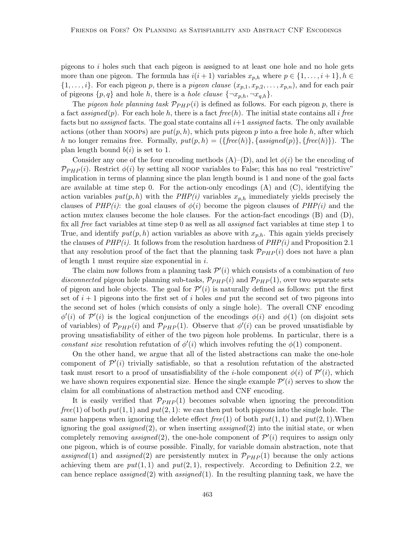pigeons to  $i$  holes such that each pigeon is assigned to at least one hole and no hole gets more than one pigeon. The formula has  $i(i+1)$  variables  $x_{p,h}$  where  $p \in \{1, \ldots, i+1\}, h \in$  $\{1,\ldots,i\}$ . For each pigeon p, there is a pigeon clause  $(x_{p,1}, x_{p,2}, \ldots, x_{p,n})$ , and for each pair of pigeons  $\{p,q\}$  and hole h, there is a hole clause  $\{\neg x_{p,h}, \neg x_{q,h}\}.$ 

The pigeon hole planning task  $\mathcal{P}_{PHP}(i)$  is defined as follows. For each pigeon p, there is a fact assigned(p). For each hole h, there is a fact free(h). The initial state contains all i free facts but no *assigned* facts. The goal state contains all  $i+1$  *assigned* facts. The only available actions (other than NOOPs) are  $put(p, h)$ , which puts pigeon p into a free hole h, after which h no longer remains free. Formally,  $put(p, h) = (\{free(h)\}, \{assigned(p)\}, \{free(h)\})$ . The plan length bound  $b(i)$  is set to 1.

Consider any one of the four encoding methods  $(A)$ –(D), and let  $\phi(i)$  be the encoding of  $\mathcal{P}_{PHP}(i)$ . Restrict  $\phi(i)$  by setting all noop variables to False; this has no real "restrictive" implication in terms of planning since the plan length bound is 1 and none of the goal facts are available at time step 0. For the action-only encodings  $(A)$  and  $(C)$ , identifying the action variables  $put(p, h)$  with the  $PHP(i)$  variables  $x_{p,h}$  immediately yields precisely the clauses of  $PHP(i)$ : the goal clauses of  $\phi(i)$  become the pigeon clauses of  $PHP(i)$  and the action mutex clauses become the hole clauses. For the action-fact encodings (B) and (D), fix all free fact variables at time step 0 as well as all assigned fact variables at time step 1 to True, and identify  $put(p, h)$  action variables as above with  $x_{p,h}$ . This again yields precisely the clauses of  $PHP(i)$ . It follows from the resolution hardness of  $PHP(i)$  and Proposition 2.1 that any resolution proof of the fact that the planning task  $\mathcal{P}_{PHP}(i)$  does not have a plan of length 1 must require size exponential in  $i$ .

The claim now follows from a planning task  $\mathcal{P}'(i)$  which consists of a combination of two disconnected pigeon hole planning sub-tasks,  $\mathcal{P}_{PHP}(i)$  and  $\mathcal{P}_{PHP}(1)$ , over two separate sets of pigeon and hole objects. The goal for  $\mathcal{P}'(i)$  is naturally defined as follows: put the first set of  $i+1$  pigeons into the first set of i holes and put the second set of two pigeons into the second set of holes (which consists of only a single hole). The overall CNF encoding  $\phi'(i)$  of  $\mathcal{P}'(i)$  is the logical conjunction of the encodings  $\phi(i)$  and  $\phi(1)$  (on disjoint sets of variables) of  $\mathcal{P}_{PHP}(i)$  and  $\mathcal{P}_{PHP}(1)$ . Observe that  $\phi'(i)$  can be proved unsatisfiable by proving unsatisfiability of either of the two pigeon hole problems. In particular, there is a constant size resolution refutation of  $\phi'(i)$  which involves refuting the  $\phi(1)$  component.

On the other hand, we argue that all of the listed abstractions can make the one-hole component of  $\mathcal{P}'(i)$  trivially satisfiable, so that a resolution refutation of the abstracted task must resort to a proof of unsatisfiability of the *i*-hole component  $\phi(i)$  of  $\mathcal{P}'(i)$ , which we have shown requires exponential size. Hence the single example  $\mathcal{P}'(i)$  serves to show the claim for all combinations of abstraction method and CNF encoding.

It is easily verified that  $\mathcal{P}_{PHP}(1)$  becomes solvable when ignoring the precondition  $free(1)$  of both  $put(1, 1)$  and  $put(2, 1)$ : we can then put both pigeons into the single hole. The same happens when ignoring the delete effect free(1) of both  $put(1, 1)$  and  $put(2, 1)$ . When ignoring the goal assigned(2), or when inserting assigned(2) into the initial state, or when completely removing *assigned*(2), the one-hole component of  $\mathcal{P}'(i)$  requires to assign only one pigeon, which is of course possible. Finally, for variable domain abstraction, note that assigned(1) and assigned(2) are persistently mutex in  $\mathcal{P}_{PHP}(1)$  because the only actions achieving them are  $put(1, 1)$  and  $put(2, 1)$ , respectively. According to Definition 2.2, we can hence replace assigned(2) with assigned(1). In the resulting planning task, we have the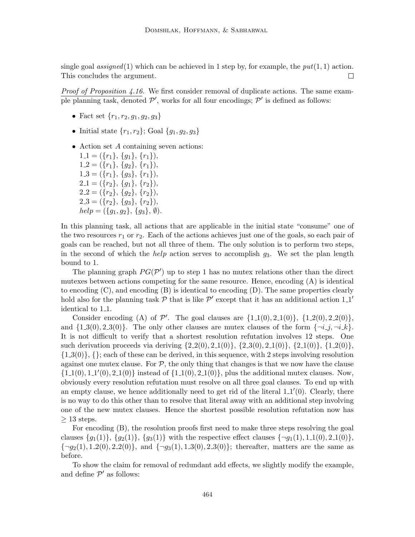single goal assigned(1) which can be achieved in 1 step by, for example, the  $put(1, 1)$  action. This concludes the argument.  $\Box$ 

*Proof of Proposition 4.16.* We first consider removal of duplicate actions. The same example planning task, denoted  $\mathcal{P}'$ , works for all four encodings;  $\mathcal{P}'$  is defined as follows:

- Fact set  $\{r_1, r_2, g_1, g_2, g_3\}$
- Initial state  $\{r_1, r_2\}$ ; Goal  $\{q_1, q_2, q_3\}$
- Action set A containing seven actions:

 $1_1 = (\{r_1\}, \{g_1\}, \{r_1\}),$  $1-2 = (\{r_1\}, \{g_2\}, \{r_1\}),$  $1.3 = (\{r_1\}, \{g_3\}, \{r_1\}),$  $2.1 = (\{r_2\}, \{g_1\}, \{r_2\}),$  $2.2 = (\{r_2\}, \{g_2\}, \{r_2\}),$  $2.3 = (\{r_2\}, \{g_3\}, \{r_2\}),$  $help = (\{g_1, g_2\}, \{g_3\}, \emptyset).$ 

In this planning task, all actions that are applicable in the initial state "consume" one of the two resources  $r_1$  or  $r_2$ . Each of the actions achieves just one of the goals, so each pair of goals can be reached, but not all three of them. The only solution is to perform two steps, in the second of which the *help* action serves to accomplish  $g_3$ . We set the plan length bound to 1.

The planning graph  $PG(\mathcal{P}')$  up to step 1 has no mutex relations other than the direct mutexes between actions competing for the same resource. Hence, encoding (A) is identical to encoding (C), and encoding (B) is identical to encoding (D). The same properties clearly hold also for the planning task  $P$  that is like  $P'$  except that it has an additional action 1.1' identical to 1<sub>-1</sub>.

Consider encoding (A) of  $\mathcal{P}'$ . The goal clauses are  $\{1.1(0), 2.1(0)\}, \{1.2(0), 2.2(0)\},$ and  $\{1.3(0), 2.3(0)\}\.$  The only other clauses are mutex clauses of the form  $\{\neg i\_, j, \neg i\_\& k\}.$ It is not difficult to verify that a shortest resolution refutation involves 12 steps. One such derivation proceeds via deriving  $\{2.2(0), 2.1(0)\}, \{2.3(0), 2.1(0)\}, \{1.2(0)\}, \{1.2(0)\}\$  $\{1.3(0)\}\$ ,  $\{\}$ ; each of these can be derived, in this sequence, with 2 steps involving resolution against one mutex clause. For  $P$ , the only thing that changes is that we now have the clause  ${1.1(0), 1.1'(0), 2.1(0)}$  instead of  ${1.1(0), 2.1(0)}$ , plus the additional mutex clauses. Now, obviously every resolution refutation must resolve on all three goal clauses. To end up with an empty clause, we hence additionally need to get rid of the literal  $1.1'(0)$ . Clearly, there is no way to do this other than to resolve that literal away with an additional step involving one of the new mutex clauses. Hence the shortest possible resolution refutation now has  $\geq 13$  steps.

For encoding (B), the resolution proofs first need to make three steps resolving the goal clauses  $\{g_1(1)\}\$ ,  $\{g_2(1)\}\$ , with the respective effect clauses  $\{\neg g_1(1), 1.1(0), 2.1(0)\}\$ ,  $\{\neg g_2(1), 1.2(0), 2.2(0)\}\$ , and  $\{\neg g_3(1), 1.3(0), 2.3(0)\}\$ ; thereafter, matters are the same as before.

To show the claim for removal of redundant add effects, we slightly modify the example, and define  $\mathcal{P}'$  as follows: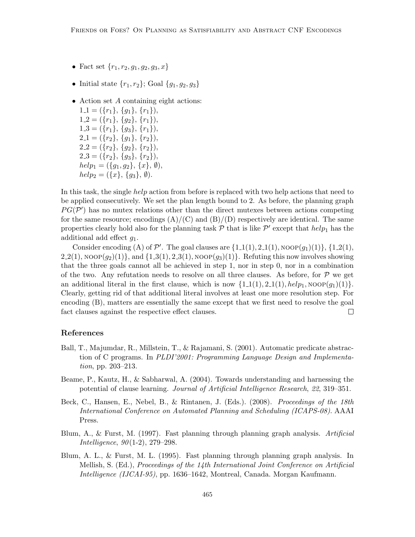- Fact set  $\{r_1, r_2, g_1, g_2, g_3, x\}$
- Initial state  $\{r_1, r_2\}$ ; Goal  $\{g_1, g_2, g_3\}$
- Action set  $A$  containing eight actions:

 $1-1 = (\{r_1\}, \{g_1\}, \{r_1\}),$  $1.2 = (\{r_1\}, \{g_2\}, \{r_1\}),$  $1.3 = (\{r_1\}, \{g_3\}, \{r_1\}),$  $2.1 = (\{r_2\}, \{g_1\}, \{r_2\}),$  $2.2 = (\{r_2\}, \{g_2\}, \{r_2\}),$  $2.3 = (\{r_2\}, \{g_3\}, \{r_2\}),$  $help_1 = (\{g_1, g_2\}, \{x\}, \emptyset),$  $help_2 = (\{x\}, \{g_3\}, \emptyset).$ 

In this task, the single help action from before is replaced with two help actions that need to be applied consecutively. We set the plan length bound to 2. As before, the planning graph  $PG(\mathcal{P}')$  has no mutex relations other than the direct mutexes between actions competing for the same resource; encodings  $(A)/(C)$  and  $(B)/(D)$  respectively are identical. The same properties clearly hold also for the planning task  $P$  that is like  $P'$  except that  $help_1$  has the additional add effect  $g_1$ .

Consider encoding (A) of  $\mathcal{P}'$ . The goal clauses are  $\{1.1(1), 2.1(1), \text{noop}(g_1)(1)\}, \{1.2(1),$  $2.2(1)$ , NOOP $(g_2)(1)$ , and  $\{1.3(1), 2.3(1),$  NOOP $(g_3)(1)\}$ . Refuting this now involves showing that the three goals cannot all be achieved in step 1, nor in step 0, nor in a combination of the two. Any refutation needs to resolve on all three clauses. As before, for  $\mathcal P$  we get an additional literal in the first clause, which is now  $\{1_1(1), 2_1(1), \text{help}_1, \text{NoOP}(q_1)(1)\}.$ Clearly, getting rid of that additional literal involves at least one more resolution step. For encoding (B), matters are essentially the same except that we first need to resolve the goal fact clauses against the respective effect clauses.  $\Box$ 

## References

- Ball, T., Majumdar, R., Millstein, T., & Rajamani, S. (2001). Automatic predicate abstraction of C programs. In PLDI'2001: Programming Language Design and Implementation, pp. 203–213.
- Beame, P., Kautz, H., & Sabharwal, A. (2004). Towards understanding and harnessing the potential of clause learning. Journal of Artificial Intelligence Research, 22, 319–351.
- Beck, C., Hansen, E., Nebel, B., & Rintanen, J. (Eds.). (2008). Proceedings of the 18th International Conference on Automated Planning and Scheduling (ICAPS-08). AAAI Press.
- Blum, A., & Furst, M. (1997). Fast planning through planning graph analysis. Artificial *Intelligence*,  $90(1-2)$ ,  $279-298$ .
- Blum, A. L., & Furst, M. L. (1995). Fast planning through planning graph analysis. In Mellish, S. (Ed.), Proceedings of the 14th International Joint Conference on Artificial Intelligence (IJCAI-95), pp. 1636–1642, Montreal, Canada. Morgan Kaufmann.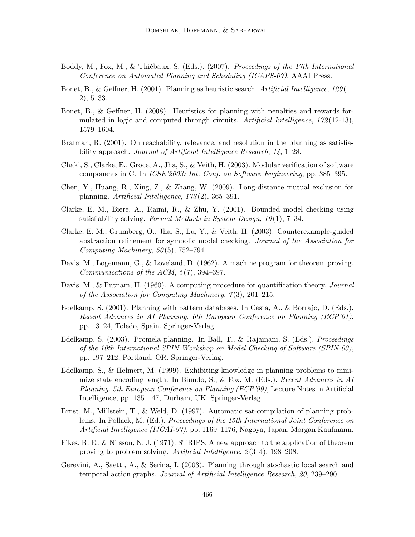- Boddy, M., Fox, M., & Thiébaux, S. (Eds.). (2007). Proceedings of the 17th International Conference on Automated Planning and Scheduling (ICAPS-07). AAAI Press.
- Bonet, B., & Geffner, H. (2001). Planning as heuristic search. Artificial Intelligence, 129(1– 2), 5–33.
- Bonet, B., & Geffner, H. (2008). Heuristics for planning with penalties and rewards formulated in logic and computed through circuits. Artificial Intelligence, 172(12-13), 1579–1604.
- Brafman, R. (2001). On reachability, relevance, and resolution in the planning as satisfiability approach. Journal of Artificial Intelligence Research, 14, 1–28.
- Chaki, S., Clarke, E., Groce, A., Jha, S., & Veith, H. (2003). Modular verification of software components in C. In ICSE'2003: Int. Conf. on Software Engineering, pp. 385–395.
- Chen, Y., Huang, R., Xing, Z., & Zhang, W. (2009). Long-distance mutual exclusion for planning. Artificial Intelligence, 173 (2), 365–391.
- Clarke, E. M., Biere, A., Raimi, R., & Zhu, Y. (2001). Bounded model checking using satisfiability solving. Formal Methods in System Design,  $19(1)$ , 7–34.
- Clarke, E. M., Grumberg, O., Jha, S., Lu, Y., & Veith, H. (2003). Counterexample-guided abstraction refinement for symbolic model checking. Journal of the Association for Computing Machinery,  $50(5)$ ,  $752-794$ .
- Davis, M., Logemann, G., & Loveland, D. (1962). A machine program for theorem proving. Communications of the ACM,  $5(7)$ , 394-397.
- Davis, M., & Putnam, H. (1960). A computing procedure for quantification theory. Journal of the Association for Computing Machinery,  $7(3)$ , 201–215.
- Edelkamp, S. (2001). Planning with pattern databases. In Cesta, A., & Borrajo, D. (Eds.), Recent Advances in AI Planning. 6th European Conference on Planning (ECP'01), pp. 13–24, Toledo, Spain. Springer-Verlag.
- Edelkamp, S. (2003). Promela planning. In Ball, T., & Rajamani, S. (Eds.), Proceedings of the 10th International SPIN Workshop on Model Checking of Software (SPIN-03), pp. 197–212, Portland, OR. Springer-Verlag.
- Edelkamp, S., & Helmert, M. (1999). Exhibiting knowledge in planning problems to minimize state encoding length. In Biundo, S., & Fox, M. (Eds.), Recent Advances in AI Planning. 5th European Conference on Planning (ECP'99), Lecture Notes in Artificial Intelligence, pp. 135–147, Durham, UK. Springer-Verlag.
- Ernst, M., Millstein, T., & Weld, D. (1997). Automatic sat-compilation of planning problems. In Pollack, M. (Ed.), Proceedings of the 15th International Joint Conference on Artificial Intelligence (IJCAI-97), pp. 1169–1176, Nagoya, Japan. Morgan Kaufmann.
- Fikes, R. E., & Nilsson, N. J. (1971). STRIPS: A new approach to the application of theorem proving to problem solving. Artificial Intelligence, 2 (3–4), 198–208.
- Gerevini, A., Saetti, A., & Serina, I. (2003). Planning through stochastic local search and temporal action graphs. Journal of Artificial Intelligence Research, 20, 239–290.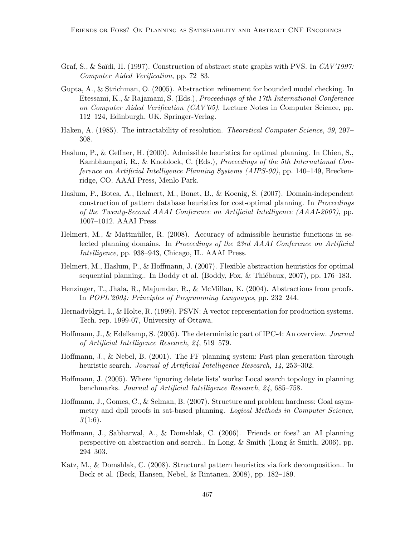- Graf, S., & Saïdi, H. (1997). Construction of abstract state graphs with PVS. In CAV'1997: Computer Aided Verification, pp. 72–83.
- Gupta, A., & Strichman, O. (2005). Abstraction refinement for bounded model checking. In Etessami, K., & Rajamani, S. (Eds.), Proceedings of the 17th International Conference on Computer Aided Verification  $(CAV'05)$ , Lecture Notes in Computer Science, pp. 112–124, Edinburgh, UK. Springer-Verlag.
- Haken, A. (1985). The intractability of resolution. *Theoretical Computer Science*, 39, 297– 308.
- Haslum, P., & Geffner, H. (2000). Admissible heuristics for optimal planning. In Chien, S., Kambhampati, R., & Knoblock, C. (Eds.), Proceedings of the 5th International Conference on Artificial Intelligence Planning Systems (AIPS-00), pp. 140–149, Breckenridge, CO. AAAI Press, Menlo Park.
- Haslum, P., Botea, A., Helmert, M., Bonet, B., & Koenig, S. (2007). Domain-independent construction of pattern database heuristics for cost-optimal planning. In Proceedings of the Twenty-Second AAAI Conference on Artificial Intelligence (AAAI-2007), pp. 1007–1012. AAAI Press.
- Helmert, M., & Mattmüller, R.  $(2008)$ . Accuracy of admissible heuristic functions in selected planning domains. In Proceedings of the 23rd AAAI Conference on Artificial Intelligence, pp. 938–943, Chicago, IL. AAAI Press.
- Helmert, M., Haslum, P., & Hoffmann, J. (2007). Flexible abstraction heuristics for optimal sequential planning.. In Boddy et al. (Boddy, Fox,  $&$  Thiébaux, 2007), pp. 176–183.
- Henzinger, T., Jhala, R., Majumdar, R., & McMillan, K. (2004). Abstractions from proofs. In POPL'2004: Principles of Programming Languages, pp. 232–244.
- Hernadvölgyi, I., & Holte, R. (1999). PSVN: A vector representation for production systems. Tech. rep. 1999-07, University of Ottawa.
- Hoffmann, J., & Edelkamp, S. (2005). The deterministic part of IPC-4: An overview. *Journal* of Artificial Intelligence Research, 24, 519–579.
- Hoffmann, J., & Nebel, B. (2001). The FF planning system: Fast plan generation through heuristic search. Journal of Artificial Intelligence Research, 14, 253–302.
- Hoffmann, J. (2005). Where 'ignoring delete lists' works: Local search topology in planning benchmarks. Journal of Artificial Intelligence Research, 24, 685–758.
- Hoffmann, J., Gomes, C., & Selman, B. (2007). Structure and problem hardness: Goal asymmetry and dpll proofs in sat-based planning. Logical Methods in Computer Science,  $3(1:6).$
- Hoffmann, J., Sabharwal, A., & Domshlak, C. (2006). Friends or foes? an AI planning perspective on abstraction and search.. In Long, & Smith (Long & Smith, 2006), pp. 294–303.
- Katz, M., & Domshlak, C. (2008). Structural pattern heuristics via fork decomposition.. In Beck et al. (Beck, Hansen, Nebel, & Rintanen, 2008), pp. 182–189.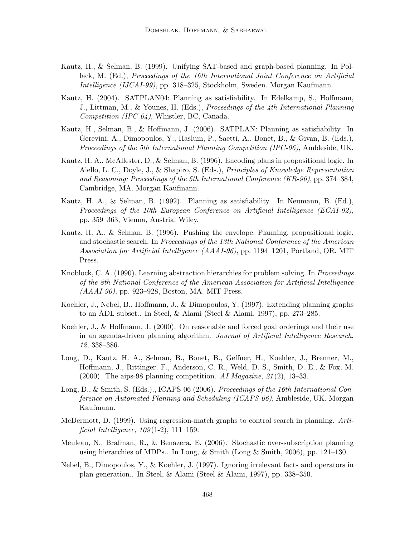- Kautz, H., & Selman, B. (1999). Unifying SAT-based and graph-based planning. In Pollack, M. (Ed.), Proceedings of the 16th International Joint Conference on Artificial Intelligence (IJCAI-99), pp. 318–325, Stockholm, Sweden. Morgan Kaufmann.
- Kautz, H. (2004). SATPLAN04: Planning as satisfiability. In Edelkamp, S., Hoffmann, J., Littman, M., & Younes, H. (Eds.), Proceedings of the 4th International Planning Competition (IPC-04), Whistler, BC, Canada.
- Kautz, H., Selman, B., & Hoffmann, J. (2006). SATPLAN: Planning as satisfiability. In Gerevini, A., Dimopoulos, Y., Haslum, P., Saetti, A., Bonet, B., & Givan, B. (Eds.), Proceedings of the 5th International Planning Competition (IPC-06), Ambleside, UK.
- Kautz, H. A., McAllester, D., & Selman, B. (1996). Encoding plans in propositional logic. In Aiello, L. C., Doyle, J., & Shapiro, S. (Eds.), Principles of Knowledge Representation and Reasoning: Proceedings of the 5th International Conference (KR-96), pp. 374–384, Cambridge, MA. Morgan Kaufmann.
- Kautz, H. A., & Selman, B. (1992). Planning as satisfiability. In Neumann, B. (Ed.), Proceedings of the 10th European Conference on Artificial Intelligence (ECAI-92), pp. 359–363, Vienna, Austria. Wiley.
- Kautz, H. A., & Selman, B. (1996). Pushing the envelope: Planning, propositional logic, and stochastic search. In Proceedings of the 13th National Conference of the American Association for Artificial Intelligence (AAAI-96), pp. 1194–1201, Portland, OR. MIT Press.
- Knoblock, C. A. (1990). Learning abstraction hierarchies for problem solving. In *Proceedings* of the 8th National Conference of the American Association for Artificial Intelligence (AAAI-90), pp. 923–928, Boston, MA. MIT Press.
- Koehler, J., Nebel, B., Hoffmann, J., & Dimopoulos, Y. (1997). Extending planning graphs to an ADL subset.. In Steel, & Alami (Steel & Alami, 1997), pp. 273–285.
- Koehler, J., & Hoffmann, J. (2000). On reasonable and forced goal orderings and their use in an agenda-driven planning algorithm. Journal of Artificial Intelligence Research, 12, 338–386.
- Long, D., Kautz, H. A., Selman, B., Bonet, B., Geffner, H., Koehler, J., Brenner, M., Hoffmann, J., Rittinger, F., Anderson, C. R., Weld, D. S., Smith, D. E., & Fox, M. (2000). The aips-98 planning competition. AI Magazine,  $21(2)$ , 13–33.
- Long, D., & Smith, S. (Eds.)., ICAPS-06 (2006). Proceedings of the 16th International Conference on Automated Planning and Scheduling (ICAPS-06), Ambleside, UK. Morgan Kaufmann.
- McDermott, D. (1999). Using regression-match graphs to control search in planning. Artificial Intelligence,  $109(1-2)$ , 111-159.
- Meuleau, N., Brafman, R., & Benazera, E. (2006). Stochastic over-subscription planning using hierarchies of MDPs.. In Long, & Smith (Long & Smith, 2006), pp. 121–130.
- Nebel, B., Dimopoulos, Y., & Koehler, J. (1997). Ignoring irrelevant facts and operators in plan generation.. In Steel, & Alami (Steel & Alami, 1997), pp. 338–350.